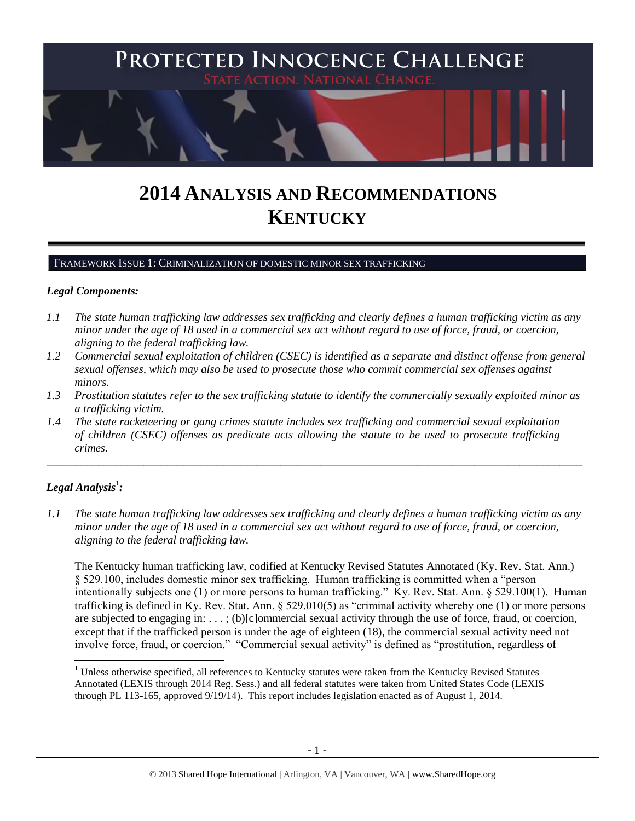

# **2014 ANALYSIS AND RECOMMENDATIONS KENTUCKY**

#### FRAMEWORK ISSUE 1: CRIMINALIZATION OF DOMESTIC MINOR SEX TRAFFICKING

#### *Legal Components:*

- *1.1 The state human trafficking law addresses sex trafficking and clearly defines a human trafficking victim as any minor under the age of 18 used in a commercial sex act without regard to use of force, fraud, or coercion, aligning to the federal trafficking law.*
- *1.2 Commercial sexual exploitation of children (CSEC) is identified as a separate and distinct offense from general sexual offenses, which may also be used to prosecute those who commit commercial sex offenses against minors.*
- *1.3 Prostitution statutes refer to the sex trafficking statute to identify the commercially sexually exploited minor as a trafficking victim.*

\_\_\_\_\_\_\_\_\_\_\_\_\_\_\_\_\_\_\_\_\_\_\_\_\_\_\_\_\_\_\_\_\_\_\_\_\_\_\_\_\_\_\_\_\_\_\_\_\_\_\_\_\_\_\_\_\_\_\_\_\_\_\_\_\_\_\_\_\_\_\_\_\_\_\_\_\_\_\_\_\_\_\_\_\_\_\_\_\_\_\_\_\_\_

*1.4 The state racketeering or gang crimes statute includes sex trafficking and commercial sexual exploitation of children (CSEC) offenses as predicate acts allowing the statute to be used to prosecute trafficking crimes.* 

# $\bm{L}$ egal Analysis $^1$ :

 $\overline{\phantom{a}}$ 

*1.1 The state human trafficking law addresses sex trafficking and clearly defines a human trafficking victim as any minor under the age of 18 used in a commercial sex act without regard to use of force, fraud, or coercion, aligning to the federal trafficking law.*

The Kentucky human trafficking law, codified at Kentucky Revised Statutes Annotated (Ky. Rev. Stat. Ann.) § 529.100, includes domestic minor sex trafficking. Human trafficking is committed when a "person intentionally subjects one (1) or more persons to human trafficking." Ky. Rev. Stat. Ann. § 529.100(1). Human trafficking is defined in Ky. Rev. Stat. Ann. § 529.010(5) as "criminal activity whereby one (1) or more persons are subjected to engaging in: . . . ; (b)[c]ommercial sexual activity through the use of force, fraud, or coercion, except that if the trafficked person is under the age of eighteen (18), the commercial sexual activity need not involve force, fraud, or coercion." "Commercial sexual activity" is defined as "prostitution, regardless of

<sup>&</sup>lt;sup>1</sup> Unless otherwise specified, all references to Kentucky statutes were taken from the Kentucky Revised Statutes Annotated (LEXIS through 2014 Reg. Sess.) and all federal statutes were taken from United States Code (LEXIS through PL 113-165, approved 9/19/14). This report includes legislation enacted as of August 1, 2014.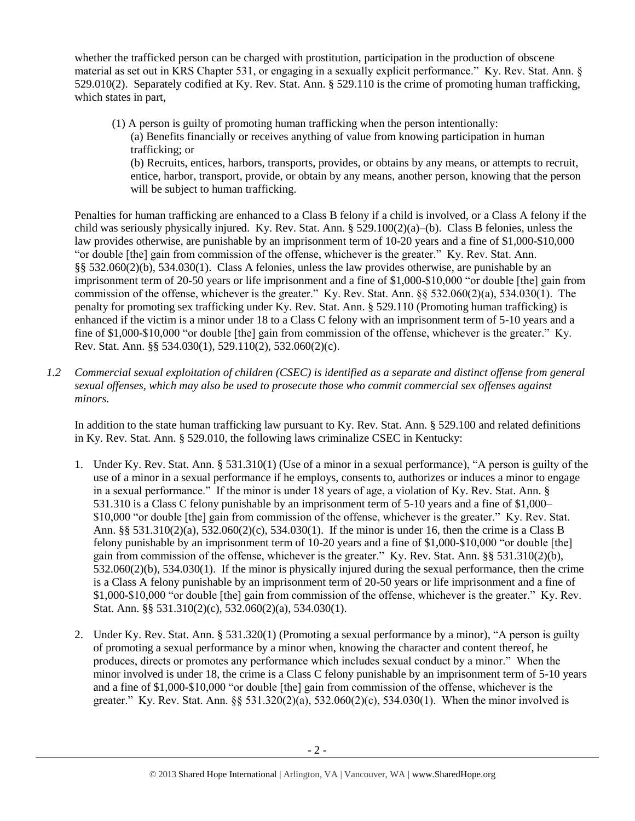whether the trafficked person can be charged with prostitution, participation in the production of obscene material as set out in KRS Chapter 531, or engaging in a sexually explicit performance." Ky. Rev. Stat. Ann. § 529.010(2). Separately codified at Ky. Rev. Stat. Ann. § 529.110 is the crime of promoting human trafficking, which states in part,

(1) A person is guilty of promoting human trafficking when the person intentionally: (a) Benefits financially or receives anything of value from knowing participation in human trafficking; or (b) Recruits, entices, harbors, transports, provides, or obtains by any means, or attempts to recruit,

entice, harbor, transport, provide, or obtain by any means, another person, knowing that the person will be subject to human trafficking.

Penalties for human trafficking are enhanced to a Class B felony if a child is involved, or a Class A felony if the child was seriously physically injured. Ky. Rev. Stat. Ann. § 529.100(2)(a)–(b). Class B felonies, unless the law provides otherwise, are punishable by an imprisonment term of 10-20 years and a fine of \$1,000-\$10,000 "or double [the] gain from commission of the offense, whichever is the greater." Ky. Rev. Stat. Ann. §§ 532.060(2)(b), 534.030(1). Class A felonies, unless the law provides otherwise, are punishable by an imprisonment term of 20-50 years or life imprisonment and a fine of \$1,000-\$10,000 "or double [the] gain from commission of the offense, whichever is the greater." Ky. Rev. Stat. Ann. §§ 532.060(2)(a), 534.030(1). The penalty for promoting sex trafficking under Ky. Rev. Stat. Ann. § 529.110 (Promoting human trafficking) is enhanced if the victim is a minor under 18 to a Class C felony with an imprisonment term of 5-10 years and a fine of \$1,000-\$10,000 "or double [the] gain from commission of the offense, whichever is the greater." Ky. Rev. Stat. Ann. §§ 534.030(1), 529.110(2), 532.060(2)(c).

*1.2 Commercial sexual exploitation of children (CSEC) is identified as a separate and distinct offense from general sexual offenses, which may also be used to prosecute those who commit commercial sex offenses against minors.*

In addition to the state human trafficking law pursuant to Ky. Rev. Stat. Ann. § 529.100 and related definitions in Ky. Rev. Stat. Ann. § 529.010, the following laws criminalize CSEC in Kentucky:

- 1. Under Ky. Rev. Stat. Ann. § 531.310(1) (Use of a minor in a sexual performance), "A person is guilty of the use of a minor in a sexual performance if he employs, consents to, authorizes or induces a minor to engage in a sexual performance." If the minor is under 18 years of age, a violation of Ky. Rev. Stat. Ann. § 531.310 is a Class C felony punishable by an imprisonment term of 5-10 years and a fine of \$1,000– \$10,000 "or double [the] gain from commission of the offense, whichever is the greater." Ky. Rev. Stat. Ann. §§ 531.310(2)(a), 532.060(2)(c), 534.030(1). If the minor is under 16, then the crime is a Class B felony punishable by an imprisonment term of 10-20 years and a fine of \$1,000-\$10,000 "or double [the] gain from commission of the offense, whichever is the greater." Ky. Rev. Stat. Ann. §§ 531.310(2)(b), 532.060(2)(b), 534.030(1). If the minor is physically injured during the sexual performance, then the crime is a Class A felony punishable by an imprisonment term of 20-50 years or life imprisonment and a fine of \$1,000-\$10,000 "or double [the] gain from commission of the offense, whichever is the greater." Ky. Rev. Stat. Ann. §§ 531.310(2)(c), 532.060(2)(a), 534.030(1).
- 2. Under Ky. Rev. Stat. Ann. § 531.320(1) (Promoting a sexual performance by a minor), "A person is guilty of promoting a sexual performance by a minor when, knowing the character and content thereof, he produces, directs or promotes any performance which includes sexual conduct by a minor." When the minor involved is under 18, the crime is a Class C felony punishable by an imprisonment term of 5-10 years and a fine of \$1,000-\$10,000 "or double [the] gain from commission of the offense, whichever is the greater." Ky. Rev. Stat. Ann.  $\S$ § 531.320(2)(a), 532.060(2)(c), 534.030(1). When the minor involved is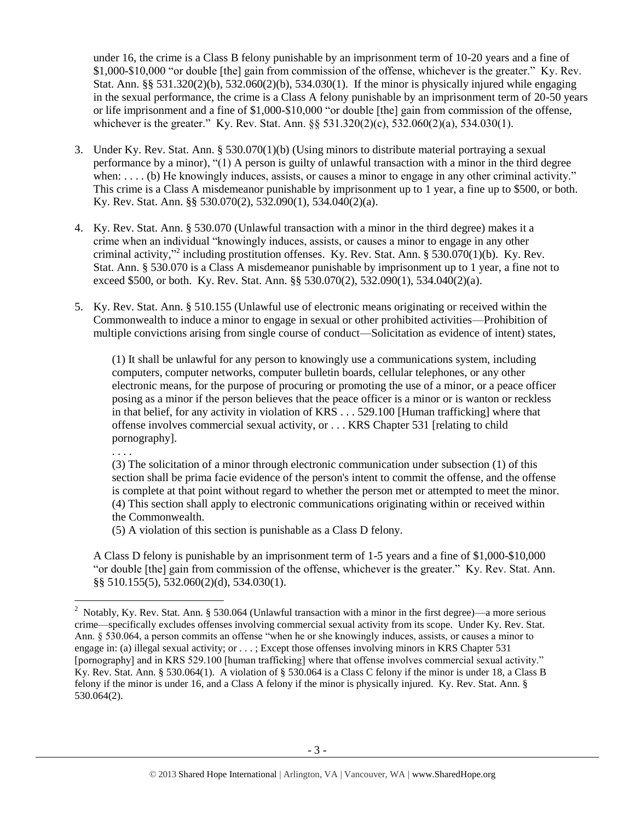under 16, the crime is a Class B felony punishable by an imprisonment term of 10-20 years and a fine of \$1,000-\$10,000 "or double [the] gain from commission of the offense, whichever is the greater." Ky. Rev. Stat. Ann. §§ 531.320(2)(b), 532.060(2)(b), 534.030(1). If the minor is physically injured while engaging in the sexual performance, the crime is a Class A felony punishable by an imprisonment term of 20-50 years or life imprisonment and a fine of \$1,000-\$10,000 "or double [the] gain from commission of the offense, whichever is the greater." Ky. Rev. Stat. Ann. §§ 531.320(2)(c), 532.060(2)(a), 534.030(1).

- 3. Under Ky. Rev. Stat. Ann. § 530.070(1)(b) (Using minors to distribute material portraying a sexual performance by a minor), "(1) A person is guilty of unlawful transaction with a minor in the third degree when: . . . . (b) He knowingly induces, assists, or causes a minor to engage in any other criminal activity." This crime is a Class A misdemeanor punishable by imprisonment up to 1 year, a fine up to \$500, or both. Ky. Rev. Stat. Ann. §§ 530.070(2), 532.090(1), 534.040(2)(a).
- 4. Ky. Rev. Stat. Ann. § 530.070 (Unlawful transaction with a minor in the third degree) makes it a crime when an individual "knowingly induces, assists, or causes a minor to engage in any other criminal activity," 2 including prostitution offenses. Ky. Rev. Stat. Ann. § 530.070(1)(b). Ky. Rev. Stat. Ann. § 530.070 is a Class A misdemeanor punishable by imprisonment up to 1 year, a fine not to exceed \$500, or both. Ky. Rev. Stat. Ann. §§ 530.070(2), 532.090(1), 534.040(2)(a).
- 5. Ky. Rev. Stat. Ann. § 510.155 (Unlawful use of electronic means originating or received within the Commonwealth to induce a minor to engage in sexual or other prohibited activities—Prohibition of multiple convictions arising from single course of conduct—Solicitation as evidence of intent) states,

(1) It shall be unlawful for any person to knowingly use a communications system, including computers, computer networks, computer bulletin boards, cellular telephones, or any other electronic means, for the purpose of procuring or promoting the use of a minor, or a peace officer posing as a minor if the person believes that the peace officer is a minor or is wanton or reckless in that belief, for any activity in violation of KRS . . . 529.100 [Human trafficking] where that offense involves commercial sexual activity, or . . . KRS Chapter 531 [relating to child pornography].

. . . .

 $\overline{a}$ 

(3) The solicitation of a minor through electronic communication under subsection (1) of this section shall be prima facie evidence of the person's intent to commit the offense, and the offense is complete at that point without regard to whether the person met or attempted to meet the minor. (4) This section shall apply to electronic communications originating within or received within the Commonwealth.

(5) A violation of this section is punishable as a Class D felony.

A Class D felony is punishable by an imprisonment term of 1-5 years and a fine of \$1,000-\$10,000 "or double [the] gain from commission of the offense, whichever is the greater." Ky. Rev. Stat. Ann. §§ 510.155(5), 532.060(2)(d), 534.030(1).

<sup>&</sup>lt;sup>2</sup> Notably, Ky. Rev. Stat. Ann. § 530.064 (Unlawful transaction with a minor in the first degree)—a more serious crime—specifically excludes offenses involving commercial sexual activity from its scope. Under Ky. Rev. Stat. Ann. § 530.064, a person commits an offense "when he or she knowingly induces, assists, or causes a minor to engage in: (a) illegal sexual activity; or . . . ; Except those offenses involving minors in KRS Chapter 531 [pornography] and in KRS 529.100 [human trafficking] where that offense involves commercial sexual activity." Ky. Rev. Stat. Ann. § 530.064(1). A violation of § 530.064 is a Class C felony if the minor is under 18, a Class B felony if the minor is under 16, and a Class A felony if the minor is physically injured. Ky. Rev. Stat. Ann. § 530.064(2).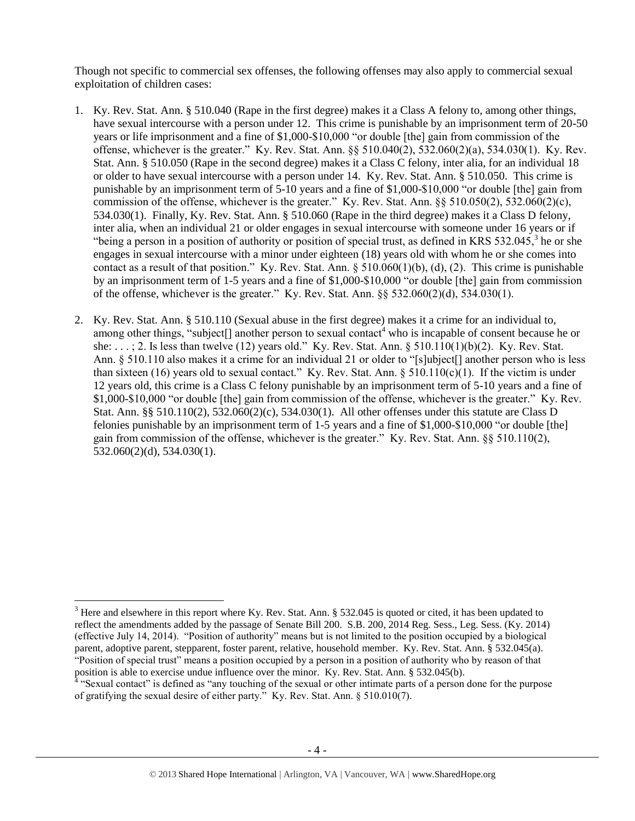Though not specific to commercial sex offenses, the following offenses may also apply to commercial sexual exploitation of children cases:

- 1. Ky. Rev. Stat. Ann. § 510.040 (Rape in the first degree) makes it a Class A felony to, among other things, have sexual intercourse with a person under 12. This crime is punishable by an imprisonment term of 20-50 years or life imprisonment and a fine of \$1,000-\$10,000 "or double [the] gain from commission of the offense, whichever is the greater." Ky. Rev. Stat. Ann. §§ 510.040(2), 532.060(2)(a), 534.030(1). Ky. Rev. Stat. Ann. § 510.050 (Rape in the second degree) makes it a Class C felony, inter alia, for an individual 18 or older to have sexual intercourse with a person under 14. Ky. Rev. Stat. Ann. § 510.050. This crime is punishable by an imprisonment term of 5-10 years and a fine of \$1,000-\$10,000 "or double [the] gain from commission of the offense, whichever is the greater." Ky. Rev. Stat. Ann. §§ 510.050(2), 532.060(2)(c), 534.030(1). Finally, Ky. Rev. Stat. Ann. § 510.060 (Rape in the third degree) makes it a Class D felony, inter alia, when an individual 21 or older engages in sexual intercourse with someone under 16 years or if "being a person in a position of authority or position of special trust, as defined in KRS 532.045, $3$  he or she engages in sexual intercourse with a minor under eighteen (18) years old with whom he or she comes into contact as a result of that position." Ky. Rev. Stat. Ann. § 510.060(1)(b), (d), (2). This crime is punishable by an imprisonment term of 1-5 years and a fine of \$1,000-\$10,000 "or double [the] gain from commission of the offense, whichever is the greater." Ky. Rev. Stat. Ann.  $\S$ § 532.060(2)(d), 534.030(1).
- <span id="page-3-0"></span>2. Ky. Rev. Stat. Ann. § 510.110 (Sexual abuse in the first degree) makes it a crime for an individual to, among other things, "subject<sup>[]</sup> another person to sexual contact<sup>4</sup> who is incapable of consent because he or she: . . . ; 2. Is less than twelve (12) years old." Ky. Rev. Stat. Ann. § 510.110(1)(b)(2). Ky. Rev. Stat. Ann. § 510.110 also makes it a crime for an individual 21 or older to "[s]ubject[] another person who is less than sixteen (16) years old to sexual contact." Ky. Rev. Stat. Ann.  $\S 510.110(c)(1)$ . If the victim is under 12 years old, this crime is a Class C felony punishable by an imprisonment term of 5-10 years and a fine of \$1,000-\$10,000 "or double [the] gain from commission of the offense, whichever is the greater." Ky. Rev. Stat. Ann. §§ 510.110(2), 532.060(2)(c), 534.030(1). All other offenses under this statute are Class D felonies punishable by an imprisonment term of 1-5 years and a fine of \$1,000-\$10,000 "or double [the] gain from commission of the offense, whichever is the greater." Ky. Rev. Stat. Ann. §§ 510.110(2), 532.060(2)(d), 534.030(1).

 $\overline{a}$ <sup>3</sup> Here and elsewhere in this report where Ky. Rev. Stat. Ann. § 532.045 is quoted or cited, it has been updated to reflect the amendments added by the passage of Senate Bill 200. S.B. 200, 2014 Reg. Sess., Leg. Sess. (Ky. 2014) (effective July 14, 2014). "Position of authority" means but is not limited to the position occupied by a biological parent, adoptive parent, stepparent, foster parent, relative, household member. Ky. Rev. Stat. Ann. § 532.045(a). "Position of special trust" means a position occupied by a person in a position of authority who by reason of that position is able to exercise undue influence over the minor. Ky. Rev. Stat. Ann. § 532.045(b).<br><sup>4</sup> "Sexual contact" is defined as "any touching of the sexual or other intimate parts of a person done for the purpose

of gratifying the sexual desire of either party." Ky. Rev. Stat. Ann. § 510.010(7).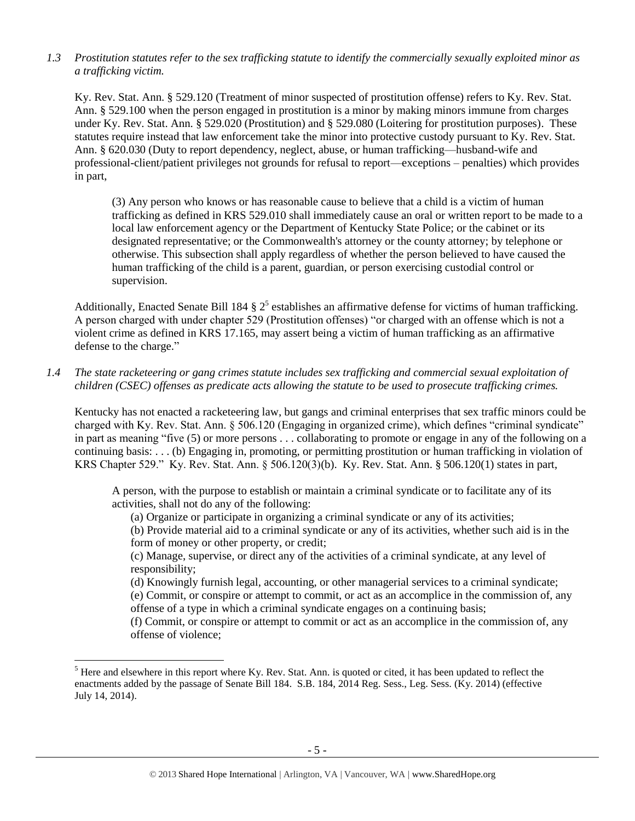*1.3 Prostitution statutes refer to the sex trafficking statute to identify the commercially sexually exploited minor as a trafficking victim.* 

Ky. Rev. Stat. Ann. § 529.120 (Treatment of minor suspected of prostitution offense) refers to Ky. Rev. Stat. Ann. § 529.100 when the person engaged in prostitution is a minor by making minors immune from charges under Ky. Rev. Stat. Ann. § 529.020 (Prostitution) and § 529.080 (Loitering for prostitution purposes). These statutes require instead that law enforcement take the minor into protective custody pursuant to Ky. Rev. Stat. Ann. § 620.030 (Duty to report dependency, neglect, abuse, or human trafficking—husband-wife and professional-client/patient privileges not grounds for refusal to report—exceptions – penalties) which provides in part,

(3) Any person who knows or has reasonable cause to believe that a child is a victim of human trafficking as defined in KRS 529.010 shall immediately cause an oral or written report to be made to a local law enforcement agency or the Department of Kentucky State Police; or the cabinet or its designated representative; or the Commonwealth's attorney or the county attorney; by telephone or otherwise. This subsection shall apply regardless of whether the person believed to have caused the human trafficking of the child is a parent, guardian, or person exercising custodial control or supervision.

Additionally, Enacted Senate Bill 184  $\S 2^5$  establishes an affirmative defense for victims of human trafficking. A person charged with under chapter 529 (Prostitution offenses) "or charged with an offense which is not a violent crime as defined in KRS 17.165, may assert being a victim of human trafficking as an affirmative defense to the charge."

*1.4 The state racketeering or gang crimes statute includes sex trafficking and commercial sexual exploitation of children (CSEC) offenses as predicate acts allowing the statute to be used to prosecute trafficking crimes.* 

Kentucky has not enacted a racketeering law, but gangs and criminal enterprises that sex traffic minors could be charged with Ky. Rev. Stat. Ann. § 506.120 (Engaging in organized crime), which defines "criminal syndicate" in part as meaning "five (5) or more persons . . . collaborating to promote or engage in any of the following on a continuing basis: . . . (b) Engaging in, promoting, or permitting prostitution or human trafficking in violation of KRS Chapter 529." Ky. Rev. Stat. Ann. § 506.120(3)(b). Ky. Rev. Stat. Ann. § 506.120(1) states in part,

A person, with the purpose to establish or maintain a criminal syndicate or to facilitate any of its activities, shall not do any of the following:

(a) Organize or participate in organizing a criminal syndicate or any of its activities;

(b) Provide material aid to a criminal syndicate or any of its activities, whether such aid is in the form of money or other property, or credit;

(c) Manage, supervise, or direct any of the activities of a criminal syndicate, at any level of responsibility;

(d) Knowingly furnish legal, accounting, or other managerial services to a criminal syndicate;

(e) Commit, or conspire or attempt to commit, or act as an accomplice in the commission of, any offense of a type in which a criminal syndicate engages on a continuing basis;

(f) Commit, or conspire or attempt to commit or act as an accomplice in the commission of, any offense of violence;

 $\overline{\phantom{a}}$ 

 $<sup>5</sup>$  Here and elsewhere in this report where Ky. Rev. Stat. Ann. is quoted or cited, it has been updated to reflect the</sup> enactments added by the passage of Senate Bill 184. S.B. 184, 2014 Reg. Sess., Leg. Sess. (Ky. 2014) (effective July 14, 2014).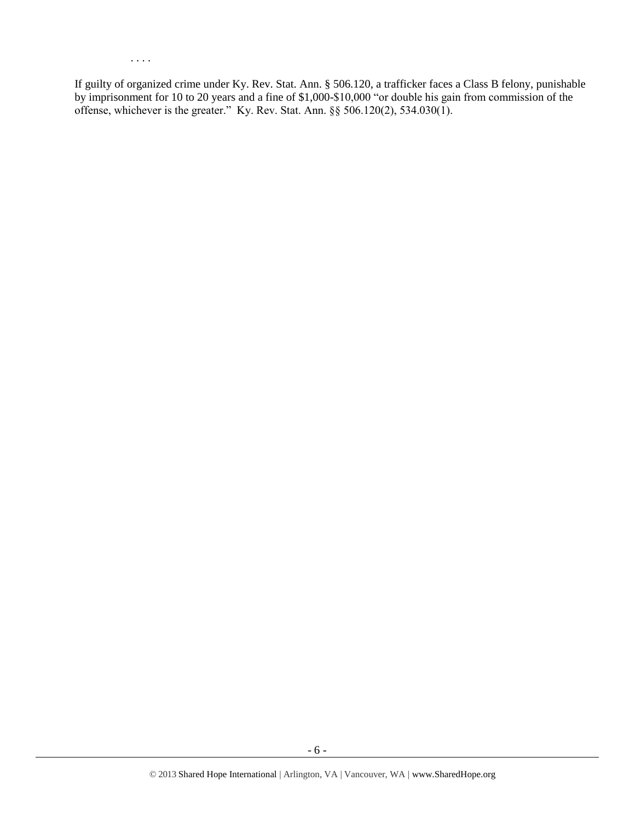. . . .

If guilty of organized crime under Ky. Rev. Stat. Ann. § 506.120, a trafficker faces a Class B felony, punishable by imprisonment for 10 to 20 years and a fine of \$1,000-\$10,000 "or double his gain from commission of the offense, whichever is the greater." Ky. Rev. Stat. Ann. §§ 506.120(2), 534.030(1).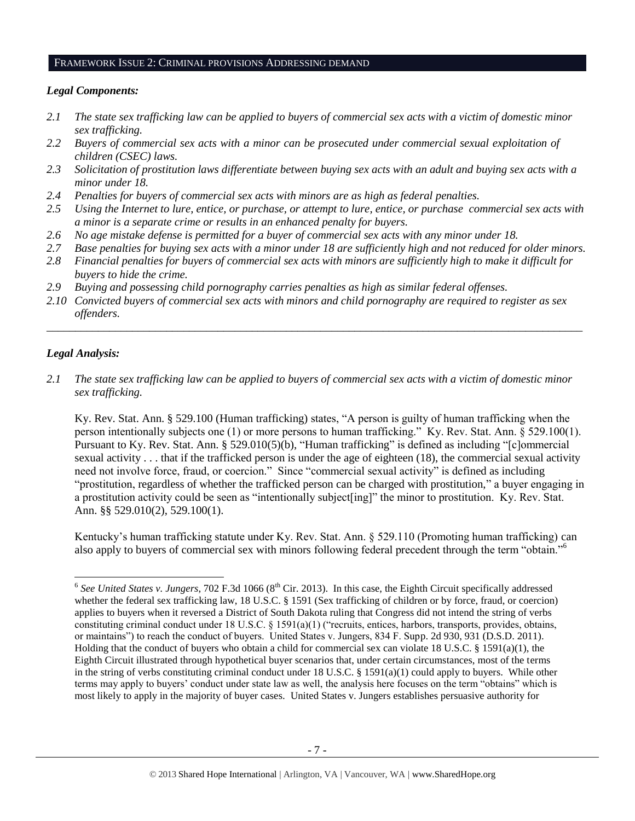#### FRAMEWORK ISSUE 2: CRIMINAL PROVISIONS ADDRESSING DEMAND

#### *Legal Components:*

- *2.1 The state sex trafficking law can be applied to buyers of commercial sex acts with a victim of domestic minor sex trafficking.*
- *2.2 Buyers of commercial sex acts with a minor can be prosecuted under commercial sexual exploitation of children (CSEC) laws.*
- *2.3 Solicitation of prostitution laws differentiate between buying sex acts with an adult and buying sex acts with a minor under 18.*
- *2.4 Penalties for buyers of commercial sex acts with minors are as high as federal penalties.*
- *2.5 Using the Internet to lure, entice, or purchase, or attempt to lure, entice, or purchase commercial sex acts with a minor is a separate crime or results in an enhanced penalty for buyers.*
- *2.6 No age mistake defense is permitted for a buyer of commercial sex acts with any minor under 18.*
- *2.7 Base penalties for buying sex acts with a minor under 18 are sufficiently high and not reduced for older minors.*
- *2.8 Financial penalties for buyers of commercial sex acts with minors are sufficiently high to make it difficult for buyers to hide the crime.*
- *2.9 Buying and possessing child pornography carries penalties as high as similar federal offenses.*
- *2.10 Convicted buyers of commercial sex acts with minors and child pornography are required to register as sex offenders.*

\_\_\_\_\_\_\_\_\_\_\_\_\_\_\_\_\_\_\_\_\_\_\_\_\_\_\_\_\_\_\_\_\_\_\_\_\_\_\_\_\_\_\_\_\_\_\_\_\_\_\_\_\_\_\_\_\_\_\_\_\_\_\_\_\_\_\_\_\_\_\_\_\_\_\_\_\_\_\_\_\_\_\_\_\_\_\_\_\_\_\_\_\_\_

#### *Legal Analysis:*

*2.1 The state sex trafficking law can be applied to buyers of commercial sex acts with a victim of domestic minor sex trafficking.* 

Ky. Rev. Stat. Ann. § 529.100 (Human trafficking) states, "A person is guilty of human trafficking when the person intentionally subjects one (1) or more persons to human trafficking." Ky. Rev. Stat. Ann. § 529.100(1). Pursuant to Ky. Rev. Stat. Ann. § 529.010(5)(b), "Human trafficking" is defined as including "[c]ommercial sexual activity . . . that if the trafficked person is under the age of eighteen (18), the commercial sexual activity need not involve force, fraud, or coercion." Since "commercial sexual activity" is defined as including "prostitution, regardless of whether the trafficked person can be charged with prostitution," a buyer engaging in a prostitution activity could be seen as "intentionally subject[ing]" the minor to prostitution. Ky. Rev. Stat. Ann. §§ 529.010(2), 529.100(1).

Kentucky's human trafficking statute under Ky. Rev. Stat. Ann. § 529.110 (Promoting human trafficking) can also apply to buyers of commercial sex with minors following federal precedent through the term "obtain."<sup>6</sup>

<sup>&</sup>lt;sup>6</sup> See *United States v. Jungers*, 702 F.3d 1066 (8<sup>th</sup> Cir. 2013). In this case, the Eighth Circuit specifically addressed whether the federal sex trafficking law, 18 U.S.C. § 1591 (Sex trafficking of children or by force, fraud, or coercion) applies to buyers when it reversed a District of South Dakota ruling that Congress did not intend the string of verbs constituting criminal conduct under 18 U.S.C. § 1591(a)(1) ("recruits, entices, harbors, transports, provides, obtains, or maintains") to reach the conduct of buyers. United States v. Jungers, 834 F. Supp. 2d 930, 931 (D.S.D. 2011). Holding that the conduct of buyers who obtain a child for commercial sex can violate 18 U.S.C. § 1591(a)(1), the Eighth Circuit illustrated through hypothetical buyer scenarios that, under certain circumstances, most of the terms in the string of verbs constituting criminal conduct under 18 U.S.C. § 1591(a)(1) could apply to buyers. While other terms may apply to buyers' conduct under state law as well, the analysis here focuses on the term "obtains" which is most likely to apply in the majority of buyer cases. United States v. Jungers establishes persuasive authority for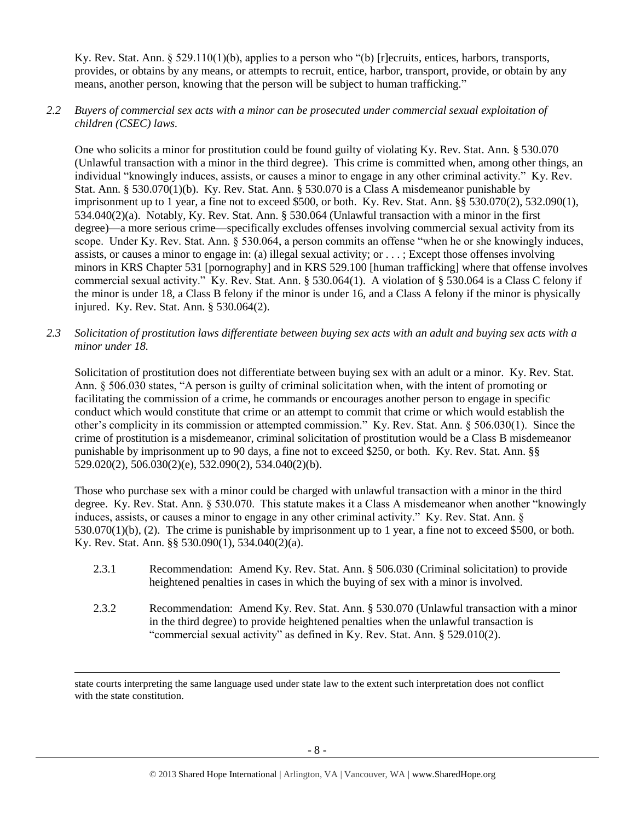Ky. Rev. Stat. Ann. § 529.110(1)(b), applies to a person who "(b) [r]ecruits, entices, harbors, transports, provides, or obtains by any means, or attempts to recruit, entice, harbor, transport, provide, or obtain by any means, another person, knowing that the person will be subject to human trafficking."

#### *2.2 Buyers of commercial sex acts with a minor can be prosecuted under commercial sexual exploitation of children (CSEC) laws.*

One who solicits a minor for prostitution could be found guilty of violating Ky. Rev. Stat. Ann. § 530.070 (Unlawful transaction with a minor in the third degree). This crime is committed when, among other things, an individual "knowingly induces, assists, or causes a minor to engage in any other criminal activity." Ky. Rev. Stat. Ann. § 530.070(1)(b). Ky. Rev. Stat. Ann. § 530.070 is a Class A misdemeanor punishable by imprisonment up to 1 year, a fine not to exceed \$500, or both. Ky. Rev. Stat. Ann. §§ 530.070(2), 532.090(1), 534.040(2)(a). Notably, Ky. Rev. Stat. Ann. § 530.064 (Unlawful transaction with a minor in the first degree)—a more serious crime—specifically excludes offenses involving commercial sexual activity from its scope. Under Ky. Rev. Stat. Ann. § 530.064, a person commits an offense "when he or she knowingly induces, assists, or causes a minor to engage in: (a) illegal sexual activity; or . . . ; Except those offenses involving minors in KRS Chapter 531 [pornography] and in KRS 529.100 [human trafficking] where that offense involves commercial sexual activity." Ky. Rev. Stat. Ann. § 530.064(1). A violation of § 530.064 is a Class C felony if the minor is under 18, a Class B felony if the minor is under 16, and a Class A felony if the minor is physically injured. Ky. Rev. Stat. Ann. § 530.064(2).

*2.3 Solicitation of prostitution laws differentiate between buying sex acts with an adult and buying sex acts with a minor under 18.*

Solicitation of prostitution does not differentiate between buying sex with an adult or a minor. Ky. Rev. Stat. Ann. § 506.030 states, "A person is guilty of criminal solicitation when, with the intent of promoting or facilitating the commission of a crime, he commands or encourages another person to engage in specific conduct which would constitute that crime or an attempt to commit that crime or which would establish the other's complicity in its commission or attempted commission." Ky. Rev. Stat. Ann. § 506.030(1). Since the crime of prostitution is a misdemeanor, criminal solicitation of prostitution would be a Class B misdemeanor punishable by imprisonment up to 90 days, a fine not to exceed \$250, or both. Ky. Rev. Stat. Ann. §§ 529.020(2), 506.030(2)(e), 532.090(2), 534.040(2)(b).

Those who purchase sex with a minor could be charged with unlawful transaction with a minor in the third degree. Ky. Rev. Stat. Ann. § 530.070. This statute makes it a Class A misdemeanor when another "knowingly induces, assists, or causes a minor to engage in any other criminal activity." Ky. Rev. Stat. Ann. § 530.070(1)(b), (2). The crime is punishable by imprisonment up to 1 year, a fine not to exceed \$500, or both. Ky. Rev. Stat. Ann. §§ 530.090(1), 534.040(2)(a).

- 2.3.1 Recommendation: Amend Ky. Rev. Stat. Ann. § 506.030 (Criminal solicitation) to provide heightened penalties in cases in which the buying of sex with a minor is involved.
- 2.3.2 Recommendation: Amend Ky. Rev. Stat. Ann. § 530.070 (Unlawful transaction with a minor in the third degree) to provide heightened penalties when the unlawful transaction is "commercial sexual activity" as defined in Ky. Rev. Stat. Ann. § 529.010(2).

l

state courts interpreting the same language used under state law to the extent such interpretation does not conflict with the state constitution.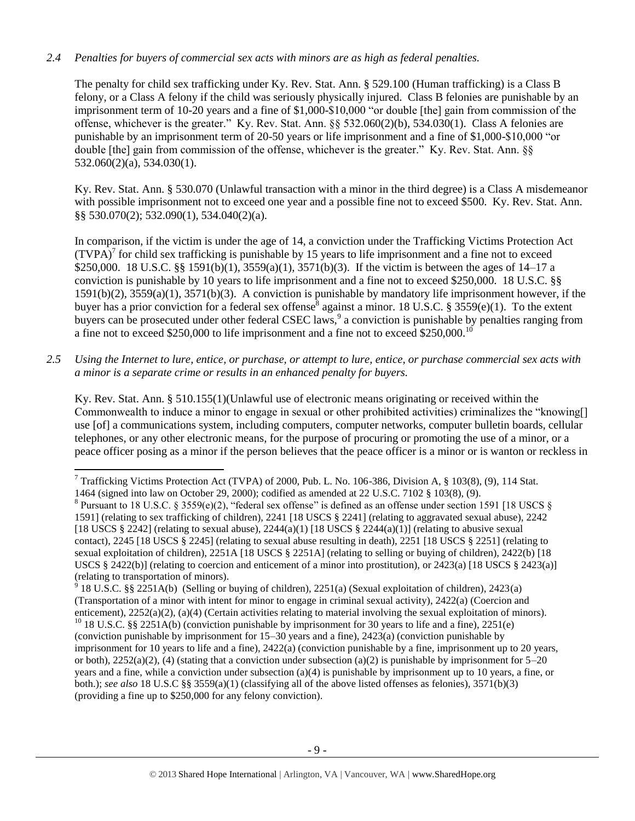# *2.4 Penalties for buyers of commercial sex acts with minors are as high as federal penalties.*

The penalty for child sex trafficking under Ky. Rev. Stat. Ann. § 529.100 (Human trafficking) is a Class B felony, or a Class A felony if the child was seriously physically injured. Class B felonies are punishable by an imprisonment term of 10-20 years and a fine of \$1,000-\$10,000 "or double [the] gain from commission of the offense, whichever is the greater." Ky. Rev. Stat. Ann. §§ 532.060(2)(b), 534.030(1). Class A felonies are punishable by an imprisonment term of 20-50 years or life imprisonment and a fine of \$1,000-\$10,000 "or double [the] gain from commission of the offense, whichever is the greater." Ky. Rev. Stat. Ann. §§ 532.060(2)(a), 534.030(1).

Ky. Rev. Stat. Ann. § 530.070 (Unlawful transaction with a minor in the third degree) is a Class A misdemeanor with possible imprisonment not to exceed one year and a possible fine not to exceed \$500. Ky. Rev. Stat. Ann. §§ 530.070(2); 532.090(1), 534.040(2)(a).

<span id="page-8-1"></span><span id="page-8-0"></span>In comparison, if the victim is under the age of 14, a conviction under the Trafficking Victims Protection Act  $(TVPA)^{7}$  for child sex trafficking is punishable by 15 years to life imprisonment and a fine not to exceed \$250,000. 18 U.S.C. §§ 1591(b)(1), 3559(a)(1), 3571(b)(3). If the victim is between the ages of 14–17 a conviction is punishable by 10 years to life imprisonment and a fine not to exceed \$250,000. 18 U.S.C. §§ 1591(b)(2), 3559(a)(1), 3571(b)(3). A conviction is punishable by mandatory life imprisonment however, if the buyer has a prior conviction for a federal sex offense<sup>8</sup> against a minor. 18 U.S.C. § 3559(e)(1). To the extent buyers can be prosecuted under other federal CSEC laws,<sup>9</sup> a conviction is punishable by penalties ranging from a fine not to exceed \$250,000 to life imprisonment and a fine not to exceed \$250,000.<sup>10</sup>

*2.5 Using the Internet to lure, entice, or purchase, or attempt to lure, entice, or purchase commercial sex acts with a minor is a separate crime or results in an enhanced penalty for buyers.*

Ky. Rev. Stat. Ann. § 510.155(1)(Unlawful use of electronic means originating or received within the Commonwealth to induce a minor to engage in sexual or other prohibited activities) criminalizes the "knowing[] use [of] a communications system, including computers, computer networks, computer bulletin boards, cellular telephones, or any other electronic means, for the purpose of procuring or promoting the use of a minor, or a peace officer posing as a minor if the person believes that the peace officer is a minor or is wanton or reckless in

 $\overline{\phantom{a}}$ <sup>7</sup> Trafficking Victims Protection Act (TVPA) of 2000, Pub. L. No. 106-386, Division A, § 103(8), (9), 114 Stat. 1464 (signed into law on October 29, 2000); codified as amended at 22 U.S.C. 7102 § 103(8), (9).

<sup>&</sup>lt;sup>8</sup> Pursuant to 18 U.S.C. § 3559(e)(2), "federal sex offense" is defined as an offense under section 1591 [18 USCS § 1591] (relating to sex trafficking of children), 2241 [18 USCS § 2241] (relating to aggravated sexual abuse), 2242 [18 USCS § 2242] (relating to sexual abuse),  $2244(a)(1)$  [18 USCS § 2244(a)(1)] (relating to abusive sexual contact), 2245 [18 USCS § 2245] (relating to sexual abuse resulting in death), 2251 [18 USCS § 2251] (relating to sexual exploitation of children), 2251A [18 USCS § 2251A] (relating to selling or buying of children), 2422(b) [18 USCS § 2422(b)] (relating to coercion and enticement of a minor into prostitution), or 2423(a) [18 USCS § 2423(a)] (relating to transportation of minors).<br><sup>9</sup> 18 U S G <sup>88</sup> 2251 A(b) (Selling or

<sup>18</sup> U.S.C. §§ 2251A(b) (Selling or buying of children), 2251(a) (Sexual exploitation of children), 2423(a) (Transportation of a minor with intent for minor to engage in criminal sexual activity), 2422(a) (Coercion and enticement), 2252(a)(2), (a)(4) (Certain activities relating to material involving the sexual exploitation of minors). <sup>10</sup> 18 U.S.C. §§ 2251A(b) (conviction punishable by imprisonment for 30 years to life and a fine), 2251(e)

<sup>(</sup>conviction punishable by imprisonment for 15–30 years and a fine), 2423(a) (conviction punishable by imprisonment for 10 years to life and a fine), 2422(a) (conviction punishable by a fine, imprisonment up to 20 years, or both),  $2252(a)(2)$ , (4) (stating that a conviction under subsection (a)(2) is punishable by imprisonment for  $5-20$ years and a fine, while a conviction under subsection (a)(4) is punishable by imprisonment up to 10 years, a fine, or both.); *see also* 18 U.S.C §§ 3559(a)(1) (classifying all of the above listed offenses as felonies), 3571(b)(3) (providing a fine up to \$250,000 for any felony conviction).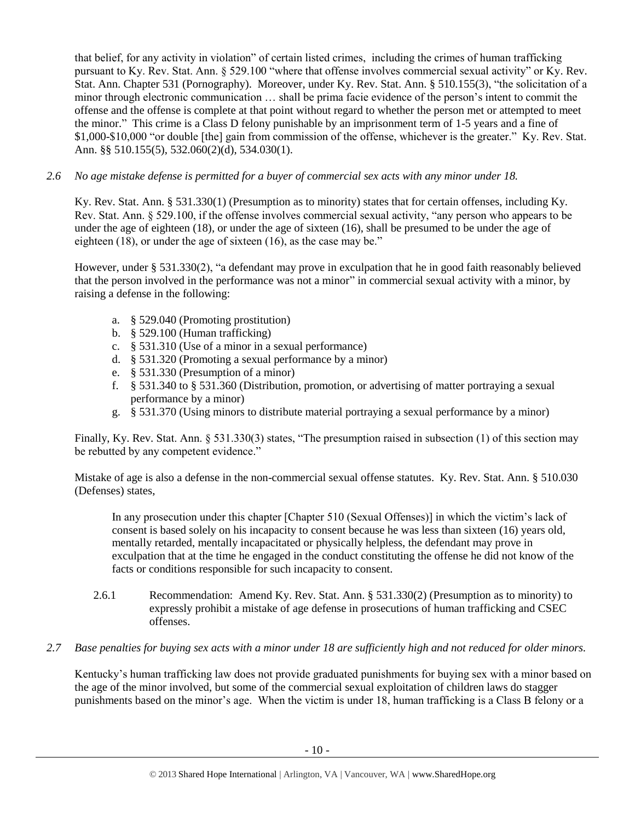that belief, for any activity in violation" of certain listed crimes, including the crimes of human trafficking pursuant to Ky. Rev. Stat. Ann. § 529.100 "where that offense involves commercial sexual activity" or Ky. Rev. Stat. Ann. Chapter 531 (Pornography). Moreover, under Ky. Rev. Stat. Ann. § 510.155(3), "the solicitation of a minor through electronic communication … shall be prima facie evidence of the person's intent to commit the offense and the offense is complete at that point without regard to whether the person met or attempted to meet the minor." This crime is a Class D felony punishable by an imprisonment term of 1-5 years and a fine of \$1,000-\$10,000 "or double [the] gain from commission of the offense, whichever is the greater." Ky. Rev. Stat. Ann. §§ 510.155(5), 532.060(2)(d), 534.030(1).

# *2.6 No age mistake defense is permitted for a buyer of commercial sex acts with any minor under 18.*

Ky. Rev. Stat. Ann. § 531.330(1) (Presumption as to minority) states that for certain offenses, including Ky. Rev. Stat. Ann. § 529.100, if the offense involves commercial sexual activity, "any person who appears to be under the age of eighteen (18), or under the age of sixteen (16), shall be presumed to be under the age of eighteen (18), or under the age of sixteen (16), as the case may be."

However, under § 531.330(2), "a defendant may prove in exculpation that he in good faith reasonably believed that the person involved in the performance was not a minor" in commercial sexual activity with a minor, by raising a defense in the following:

- a. § 529.040 (Promoting prostitution)
- b. § 529.100 (Human trafficking)
- c. § 531.310 (Use of a minor in a sexual performance)
- d. § 531.320 (Promoting a sexual performance by a minor)
- e. § 531.330 (Presumption of a minor)
- f. § 531.340 to § 531.360 (Distribution, promotion, or advertising of matter portraying a sexual performance by a minor)
- g. § 531.370 (Using minors to distribute material portraying a sexual performance by a minor)

Finally, Ky. Rev. Stat. Ann. § 531.330(3) states, "The presumption raised in subsection (1) of this section may be rebutted by any competent evidence."

Mistake of age is also a defense in the non-commercial sexual offense statutes. Ky. Rev. Stat. Ann. § 510.030 (Defenses) states,

In any prosecution under this chapter [Chapter 510 (Sexual Offenses)] in which the victim's lack of consent is based solely on his incapacity to consent because he was less than sixteen (16) years old, mentally retarded, mentally incapacitated or physically helpless, the defendant may prove in exculpation that at the time he engaged in the conduct constituting the offense he did not know of the facts or conditions responsible for such incapacity to consent.

- 2.6.1 Recommendation: Amend Ky. Rev. Stat. Ann. § 531.330(2) (Presumption as to minority) to expressly prohibit a mistake of age defense in prosecutions of human trafficking and CSEC offenses.
- *2.7 Base penalties for buying sex acts with a minor under 18 are sufficiently high and not reduced for older minors.*

Kentucky's human trafficking law does not provide graduated punishments for buying sex with a minor based on the age of the minor involved, but some of the commercial sexual exploitation of children laws do stagger punishments based on the minor's age. When the victim is under 18, human trafficking is a Class B felony or a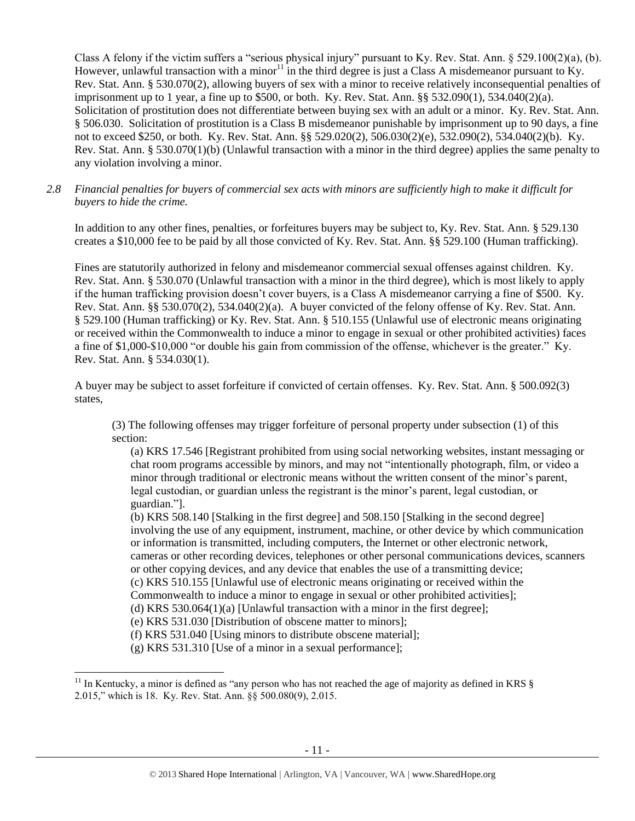Class A felony if the victim suffers a "serious physical injury" pursuant to Ky. Rev. Stat. Ann.  $\S 529.100(2)(a)$ , (b). However, unlawful transaction with a minor<sup>11</sup> in the third degree is just a Class A misdemeanor pursuant to Ky. Rev. Stat. Ann. § 530.070(2), allowing buyers of sex with a minor to receive relatively inconsequential penalties of imprisonment up to 1 year, a fine up to \$500, or both. Ky. Rev. Stat. Ann. §§ 532.090(1), 534.040(2)(a). Solicitation of prostitution does not differentiate between buying sex with an adult or a minor. Ky. Rev. Stat. Ann. § 506.030. Solicitation of prostitution is a Class B misdemeanor punishable by imprisonment up to 90 days, a fine not to exceed \$250, or both. Ky. Rev. Stat. Ann. §§ 529.020(2), 506.030(2)(e), 532.090(2), 534.040(2)(b). Ky. Rev. Stat. Ann. § 530.070(1)(b) (Unlawful transaction with a minor in the third degree) applies the same penalty to any violation involving a minor.

## *2.8 Financial penalties for buyers of commercial sex acts with minors are sufficiently high to make it difficult for buyers to hide the crime.*

In addition to any other fines, penalties, or forfeitures buyers may be subject to, Ky. Rev. Stat. Ann. § 529.130 creates a \$10,000 fee to be paid by all those convicted of Ky. Rev. Stat. Ann. §§ 529.100 (Human trafficking).

Fines are statutorily authorized in felony and misdemeanor commercial sexual offenses against children. Ky. Rev. Stat. Ann. § 530.070 (Unlawful transaction with a minor in the third degree), which is most likely to apply if the human trafficking provision doesn't cover buyers, is a Class A misdemeanor carrying a fine of \$500. Ky. Rev. Stat. Ann. §§ 530.070(2), 534.040(2)(a). A buyer convicted of the felony offense of Ky. Rev. Stat. Ann. § 529.100 (Human trafficking) or Ky. Rev. Stat. Ann. § 510.155 (Unlawful use of electronic means originating or received within the Commonwealth to induce a minor to engage in sexual or other prohibited activities) faces a fine of \$1,000-\$10,000 "or double his gain from commission of the offense, whichever is the greater." Ky. Rev. Stat. Ann. § 534.030(1).

A buyer may be subject to asset forfeiture if convicted of certain offenses. Ky. Rev. Stat. Ann. § 500.092(3) states,

(3) The following offenses may trigger forfeiture of personal property under subsection (1) of this section:

(a) KRS 17.546 [Registrant prohibited from using social networking websites, instant messaging or chat room programs accessible by minors, and may not "intentionally photograph, film, or video a minor through traditional or electronic means without the written consent of the minor's parent, legal custodian, or guardian unless the registrant is the minor's parent, legal custodian, or guardian."].

(b) KRS 508.140 [Stalking in the first degree] and 508.150 [Stalking in the second degree] involving the use of any equipment, instrument, machine, or other device by which communication or information is transmitted, including computers, the Internet or other electronic network, cameras or other recording devices, telephones or other personal communications devices, scanners or other copying devices, and any device that enables the use of a transmitting device; (c) KRS 510.155 [Unlawful use of electronic means originating or received within the Commonwealth to induce a minor to engage in sexual or other prohibited activities];

(d) KRS 530.064(1)(a) [Unlawful transaction with a minor in the first degree];

(e) KRS 531.030 [Distribution of obscene matter to minors];

(f) KRS 531.040 [Using minors to distribute obscene material];

(g) KRS 531.310 [Use of a minor in a sexual performance];

l

<sup>&</sup>lt;sup>11</sup> In Kentucky, a minor is defined as "any person who has not reached the age of majority as defined in KRS  $\S$ 2.015," which is 18. Ky. Rev. Stat. Ann. §§ 500.080(9), 2.015.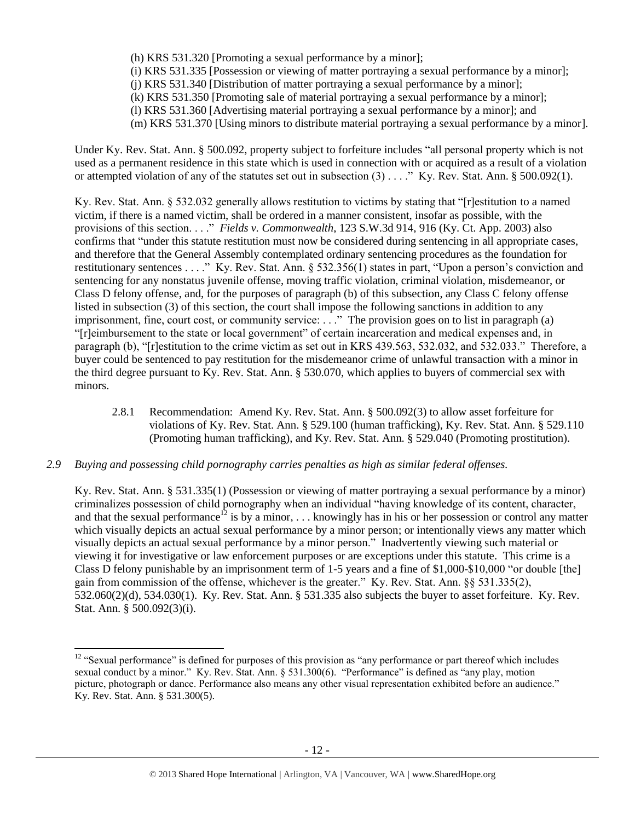- (h) KRS 531.320 [Promoting a sexual performance by a minor];
- (i) KRS 531.335 [Possession or viewing of matter portraying a sexual performance by a minor];
- (j) KRS 531.340 [Distribution of matter portraying a sexual performance by a minor];
- (k) KRS 531.350 [Promoting sale of material portraying a sexual performance by a minor];
- (l) KRS 531.360 [Advertising material portraying a sexual performance by a minor]; and
- (m) KRS 531.370 [Using minors to distribute material portraying a sexual performance by a minor].

Under Ky. Rev. Stat. Ann. § 500.092, property subject to forfeiture includes "all personal property which is not used as a permanent residence in this state which is used in connection with or acquired as a result of a violation or attempted violation of any of the statutes set out in subsection (3) . . . ." Ky. Rev. Stat. Ann. § 500.092(1).

Ky. Rev. Stat. Ann. § 532.032 generally allows restitution to victims by stating that "[r]estitution to a named victim, if there is a named victim, shall be ordered in a manner consistent, insofar as possible, with the provisions of this section. . . ." *Fields v. Commonwealth*, 123 S.W.3d 914, 916 (Ky. Ct. App. 2003) also confirms that "under this statute restitution must now be considered during sentencing in all appropriate cases, and therefore that the General Assembly contemplated ordinary sentencing procedures as the foundation for restitutionary sentences . . . ." Ky. Rev. Stat. Ann. § 532.356(1) states in part, "Upon a person's conviction and sentencing for any nonstatus juvenile offense, moving traffic violation, criminal violation, misdemeanor, or Class D felony offense, and, for the purposes of paragraph (b) of this subsection, any Class C felony offense listed in subsection (3) of this section, the court shall impose the following sanctions in addition to any imprisonment, fine, court cost, or community service: ..." The provision goes on to list in paragraph (a) "[r]eimbursement to the state or local government" of certain incarceration and medical expenses and, in paragraph (b), "[r]estitution to the crime victim as set out in KRS 439.563, 532.032, and 532.033." Therefore, a buyer could be sentenced to pay restitution for the misdemeanor crime of unlawful transaction with a minor in the third degree pursuant to Ky. Rev. Stat. Ann. § 530.070, which applies to buyers of commercial sex with minors.

2.8.1 Recommendation: Amend Ky. Rev. Stat. Ann. § 500.092(3) to allow asset forfeiture for violations of Ky. Rev. Stat. Ann. § 529.100 (human trafficking), Ky. Rev. Stat. Ann. § 529.110 (Promoting human trafficking), and Ky. Rev. Stat. Ann. § 529.040 (Promoting prostitution).

# *2.9 Buying and possessing child pornography carries penalties as high as similar federal offenses.*

 $\overline{a}$ 

Ky. Rev. Stat. Ann. § 531.335(1) (Possession or viewing of matter portraying a sexual performance by a minor) criminalizes possession of child pornography when an individual "having knowledge of its content, character, and that the sexual performance<sup>12</sup> is by a minor, ... knowingly has in his or her possession or control any matter which visually depicts an actual sexual performance by a minor person; or intentionally views any matter which visually depicts an actual sexual performance by a minor person." Inadvertently viewing such material or viewing it for investigative or law enforcement purposes or are exceptions under this statute. This crime is a Class D felony punishable by an imprisonment term of 1-5 years and a fine of \$1,000-\$10,000 "or double [the] gain from commission of the offense, whichever is the greater." Ky. Rev. Stat. Ann. §§ 531.335(2), 532.060(2)(d), 534.030(1). Ky. Rev. Stat. Ann. § 531.335 also subjects the buyer to asset forfeiture. Ky. Rev. Stat. Ann. § 500.092(3)(i).

 $12$  "Sexual performance" is defined for purposes of this provision as "any performance or part thereof which includes sexual conduct by a minor." Ky. Rev. Stat. Ann. § 531.300(6). "Performance" is defined as "any play, motion picture, photograph or dance. Performance also means any other visual representation exhibited before an audience." Ky. Rev. Stat. Ann. § 531.300(5).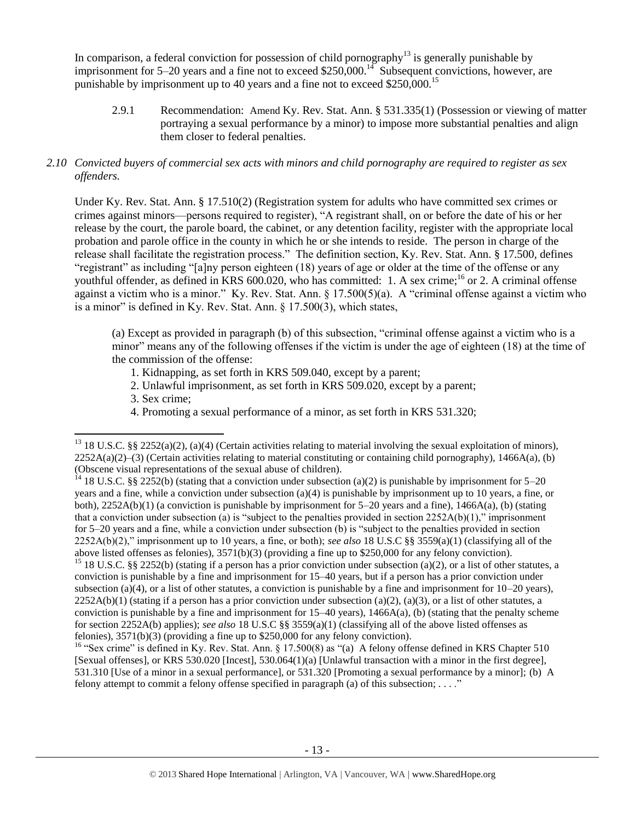In comparison, a federal conviction for possession of child pornography<sup>13</sup> is generally punishable by imprisonment for 5–20 years and a fine not to exceed \$250,000.<sup>14</sup> Subsequent convictions, however, are punishable by imprisonment up to 40 years and a fine not to exceed \$250,000.<sup>15</sup>

2.9.1 Recommendation: Amend Ky. Rev. Stat. Ann. § 531.335(1) (Possession or viewing of matter portraying a sexual performance by a minor) to impose more substantial penalties and align them closer to federal penalties.

#### *2.10 Convicted buyers of commercial sex acts with minors and child pornography are required to register as sex offenders.*

Under Ky. Rev. Stat. Ann. § 17.510(2) (Registration system for adults who have committed sex crimes or crimes against minors—persons required to register), "A registrant shall, on or before the date of his or her release by the court, the parole board, the cabinet, or any detention facility, register with the appropriate local probation and parole office in the county in which he or she intends to reside. The person in charge of the release shall facilitate the registration process." The definition section, Ky. Rev. Stat. Ann. § 17.500, defines "registrant" as including "[a]ny person eighteen (18) years of age or older at the time of the offense or any youthful offender, as defined in KRS 600.020, who has committed: 1. A sex crime;<sup>16</sup> or 2. A criminal offense against a victim who is a minor." Ky. Rev. Stat. Ann.  $\S$  17.500(5)(a). A "criminal offense against a victim who is a minor" is defined in Ky. Rev. Stat. Ann. § 17.500(3), which states,

(a) Except as provided in paragraph (b) of this subsection, "criminal offense against a victim who is a minor" means any of the following offenses if the victim is under the age of eighteen (18) at the time of the commission of the offense:

- 1. Kidnapping, as set forth in KRS 509.040, except by a parent;
- 2. Unlawful imprisonment, as set forth in KRS 509.020, except by a parent;
- 3. Sex crime;

 $\overline{a}$ 

4. Promoting a sexual performance of a minor, as set forth in KRS 531.320;

<sup>15</sup> 18 U.S.C. §§ 2252(b) (stating if a person has a prior conviction under subsection (a)(2), or a list of other statutes, a conviction is punishable by a fine and imprisonment for 15–40 years, but if a person has a prior conviction under subsection (a)(4), or a list of other statutes, a conviction is punishable by a fine and imprisonment for  $10-20$  years),  $2252A(b)(1)$  (stating if a person has a prior conviction under subsection (a)(2), (a)(3), or a list of other statutes, a conviction is punishable by a fine and imprisonment for  $15-40$  years),  $1466A(a)$ , (b) (stating that the penalty scheme for section 2252A(b) applies); *see also* 18 U.S.C §§ 3559(a)(1) (classifying all of the above listed offenses as felonies), 3571(b)(3) (providing a fine up to \$250,000 for any felony conviction).

<sup>&</sup>lt;sup>13</sup> 18 U.S.C. §§ 2252(a)(2), (a)(4) (Certain activities relating to material involving the sexual exploitation of minors),  $2252A(a)(2)$ –(3) (Certain activities relating to material constituting or containing child pornography), 1466A(a), (b) (Obscene visual representations of the sexual abuse of children).

<sup>&</sup>lt;sup>14</sup> 18 U.S.C. §§ 2252(b) (stating that a conviction under subsection (a)(2) is punishable by imprisonment for 5–20 years and a fine, while a conviction under subsection (a)(4) is punishable by imprisonment up to 10 years, a fine, or both),  $2252A(b)(1)$  (a conviction is punishable by imprisonment for  $5-20$  years and a fine),  $1466A(a)$ , (b) (stating that a conviction under subsection (a) is "subject to the penalties provided in section  $2252A(b)(1)$ ," imprisonment for 5–20 years and a fine, while a conviction under subsection (b) is "subject to the penalties provided in section 2252A(b)(2)," imprisonment up to 10 years, a fine, or both); *see also* 18 U.S.C §§ 3559(a)(1) (classifying all of the above listed offenses as felonies), 3571(b)(3) (providing a fine up to \$250,000 for any felony conviction).

<sup>&</sup>lt;sup>16</sup> "Sex crime" is defined in Ky. Rev. Stat. Ann. § 17.500(8) as "(a) A felony offense defined in KRS Chapter 510 [Sexual offenses], or KRS 530.020 [Incest], 530.064(1)(a) [Unlawful transaction with a minor in the first degree], 531.310 [Use of a minor in a sexual performance], or 531.320 [Promoting a sexual performance by a minor]; (b) A felony attempt to commit a felony offense specified in paragraph (a) of this subsection;  $\dots$ ."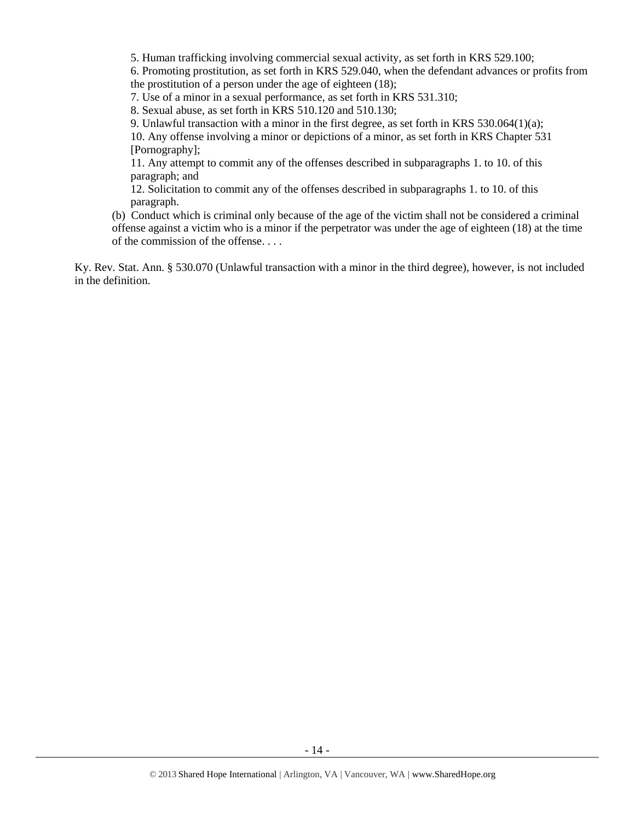5. Human trafficking involving commercial sexual activity, as set forth in KRS 529.100;

6. Promoting prostitution, as set forth in KRS 529.040, when the defendant advances or profits from the prostitution of a person under the age of eighteen (18);

7. Use of a minor in a sexual performance, as set forth in KRS 531.310;

8. Sexual abuse, as set forth in KRS 510.120 and 510.130;

9. Unlawful transaction with a minor in the first degree, as set forth in KRS  $530.064(1)(a)$ ;

10. Any offense involving a minor or depictions of a minor, as set forth in KRS Chapter 531 [Pornography];

11. Any attempt to commit any of the offenses described in subparagraphs 1. to 10. of this paragraph; and

12. Solicitation to commit any of the offenses described in subparagraphs 1. to 10. of this paragraph.

(b) Conduct which is criminal only because of the age of the victim shall not be considered a criminal offense against a victim who is a minor if the perpetrator was under the age of eighteen (18) at the time of the commission of the offense. . . .

Ky. Rev. Stat. Ann. § 530.070 (Unlawful transaction with a minor in the third degree), however, is not included in the definition.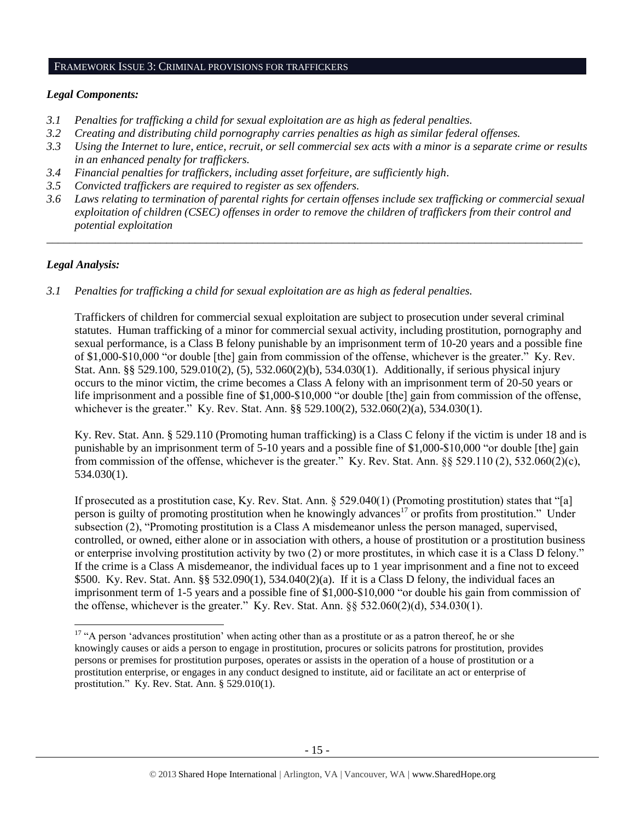#### FRAMEWORK ISSUE 3: CRIMINAL PROVISIONS FOR TRAFFICKERS

#### *Legal Components:*

- *3.1 Penalties for trafficking a child for sexual exploitation are as high as federal penalties.*
- *3.2 Creating and distributing child pornography carries penalties as high as similar federal offenses.*
- *3.3 Using the Internet to lure, entice, recruit, or sell commercial sex acts with a minor is a separate crime or results in an enhanced penalty for traffickers.*
- *3.4 Financial penalties for traffickers, including asset forfeiture, are sufficiently high*.
- *3.5 Convicted traffickers are required to register as sex offenders.*
- *3.6 Laws relating to termination of parental rights for certain offenses include sex trafficking or commercial sexual exploitation of children (CSEC) offenses in order to remove the children of traffickers from their control and potential exploitation*

*\_\_\_\_\_\_\_\_\_\_\_\_\_\_\_\_\_\_\_\_\_\_\_\_\_\_\_\_\_\_\_\_\_\_\_\_\_\_\_\_\_\_\_\_\_\_\_\_\_\_\_\_\_\_\_\_\_\_\_\_\_\_\_\_\_\_\_\_\_\_\_\_\_\_\_\_\_\_\_\_\_\_\_\_\_\_\_\_\_\_\_\_\_\_*

## *Legal Analysis:*

 $\overline{\phantom{a}}$ 

*3.1 Penalties for trafficking a child for sexual exploitation are as high as federal penalties.* 

Traffickers of children for commercial sexual exploitation are subject to prosecution under several criminal statutes. Human trafficking of a minor for commercial sexual activity, including prostitution, pornography and sexual performance, is a Class B felony punishable by an imprisonment term of 10-20 years and a possible fine of \$1,000-\$10,000 "or double [the] gain from commission of the offense, whichever is the greater." Ky. Rev. Stat. Ann. §§ 529.100, 529.010(2), (5), 532.060(2)(b), 534.030(1). Additionally, if serious physical injury occurs to the minor victim, the crime becomes a Class A felony with an imprisonment term of 20-50 years or life imprisonment and a possible fine of \$1,000-\$10,000 "or double [the] gain from commission of the offense, whichever is the greater." Ky. Rev. Stat. Ann. §§ 529.100(2), 532.060(2)(a), 534.030(1).

Ky. Rev. Stat. Ann. § 529.110 (Promoting human trafficking) is a Class C felony if the victim is under 18 and is punishable by an imprisonment term of 5-10 years and a possible fine of \$1,000-\$10,000 "or double [the] gain from commission of the offense, whichever is the greater." Ky. Rev. Stat. Ann. §§ 529.110 (2), 532.060(2)(c), 534.030(1).

<span id="page-14-0"></span>If prosecuted as a prostitution case, Ky. Rev. Stat. Ann. § 529.040(1) (Promoting prostitution) states that "[a] person is guilty of promoting prostitution when he knowingly advances<sup>17</sup> or profits from prostitution." Under subsection (2), "Promoting prostitution is a Class A misdemeanor unless the person managed, supervised, controlled, or owned, either alone or in association with others, a house of prostitution or a prostitution business or enterprise involving prostitution activity by two (2) or more prostitutes, in which case it is a Class D felony." If the crime is a Class A misdemeanor, the individual faces up to 1 year imprisonment and a fine not to exceed \$500. Ky. Rev. Stat. Ann. §§ 532.090(1), 534.040(2)(a). If it is a Class D felony, the individual faces an imprisonment term of 1-5 years and a possible fine of \$1,000-\$10,000 "or double his gain from commission of the offense, whichever is the greater." Ky. Rev. Stat. Ann.  $\S$ § 532.060(2)(d), 534.030(1).

<sup>&</sup>lt;sup>17</sup> "A person 'advances prostitution' when acting other than as a prostitute or as a patron thereof, he or she knowingly causes or aids a person to engage in prostitution, procures or solicits patrons for prostitution, provides persons or premises for prostitution purposes, operates or assists in the operation of a house of prostitution or a prostitution enterprise, or engages in any conduct designed to institute, aid or facilitate an act or enterprise of prostitution." Ky. Rev. Stat. Ann. § 529.010(1).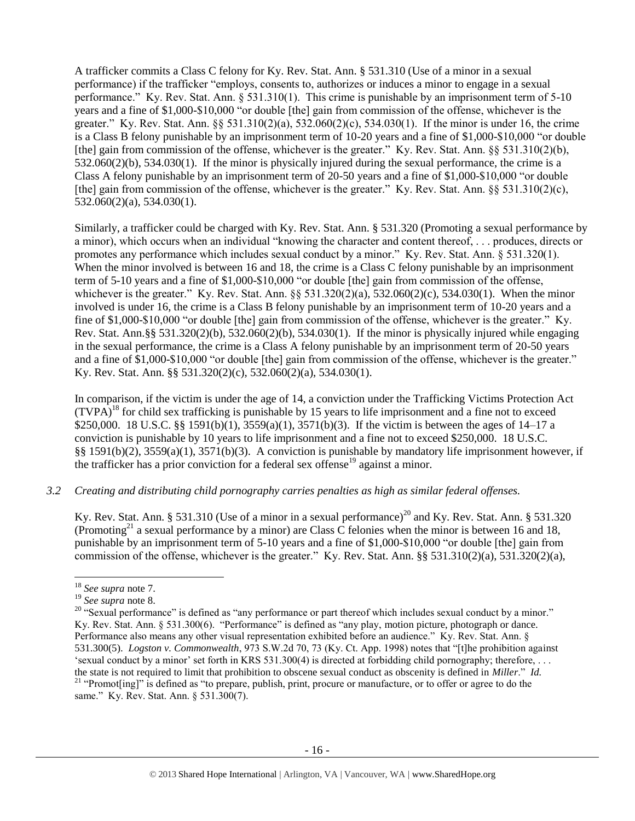A trafficker commits a Class C felony for Ky. Rev. Stat. Ann. § 531.310 (Use of a minor in a sexual performance) if the trafficker "employs, consents to, authorizes or induces a minor to engage in a sexual performance." Ky. Rev. Stat. Ann. § 531.310(1). This crime is punishable by an imprisonment term of 5-10 years and a fine of \$1,000-\$10,000 "or double [the] gain from commission of the offense, whichever is the greater." Ky. Rev. Stat. Ann. §§ 531.310(2)(a), 532.060(2)(c), 534.030(1). If the minor is under 16, the crime is a Class B felony punishable by an imprisonment term of 10-20 years and a fine of \$1,000-\$10,000 "or double [the] gain from commission of the offense, whichever is the greater." Ky. Rev. Stat. Ann. §§ 531.310(2)(b), 532.060(2)(b), 534.030(1). If the minor is physically injured during the sexual performance, the crime is a Class A felony punishable by an imprisonment term of 20-50 years and a fine of \$1,000-\$10,000 "or double [the] gain from commission of the offense, whichever is the greater." Ky. Rev. Stat. Ann. §§ 531.310(2)(c), 532.060(2)(a), 534.030(1).

Similarly, a trafficker could be charged with Ky. Rev. Stat. Ann. § 531.320 (Promoting a sexual performance by a minor), which occurs when an individual "knowing the character and content thereof, . . . produces, directs or promotes any performance which includes sexual conduct by a minor." Ky. Rev. Stat. Ann. § 531.320(1). When the minor involved is between 16 and 18, the crime is a Class C felony punishable by an imprisonment term of 5-10 years and a fine of \$1,000-\$10,000 "or double [the] gain from commission of the offense, whichever is the greater." Ky. Rev. Stat. Ann.  $\S$ § 531.320(2)(a), 532.060(2)(c), 534.030(1). When the minor involved is under 16, the crime is a Class B felony punishable by an imprisonment term of 10-20 years and a fine of \$1,000-\$10,000 "or double [the] gain from commission of the offense, whichever is the greater." Ky. Rev. Stat. Ann.§§ 531.320(2)(b), 532.060(2)(b), 534.030(1). If the minor is physically injured while engaging in the sexual performance, the crime is a Class A felony punishable by an imprisonment term of 20-50 years and a fine of \$1,000-\$10,000 "or double [the] gain from commission of the offense, whichever is the greater." Ky. Rev. Stat. Ann. §§ 531.320(2)(c), 532.060(2)(a), 534.030(1).

In comparison, if the victim is under the age of 14, a conviction under the Trafficking Victims Protection Act  $(TVPA)<sup>18</sup>$  for child sex trafficking is punishable by 15 years to life imprisonment and a fine not to exceed \$250,000. 18 U.S.C. §§ 1591(b)(1), 3559(a)(1), 3571(b)(3). If the victim is between the ages of 14–17 a conviction is punishable by 10 years to life imprisonment and a fine not to exceed \$250,000. 18 U.S.C. §§ 1591(b)(2), 3559(a)(1), 3571(b)(3). A conviction is punishable by mandatory life imprisonment however, if the trafficker has a prior conviction for a federal sex offense<sup>19</sup> against a minor.

#### *3.2 Creating and distributing child pornography carries penalties as high as similar federal offenses.*

Ky. Rev. Stat. Ann. § 531.310 (Use of a minor in a sexual performance)<sup>20</sup> and Ky. Rev. Stat. Ann. § 531.320 (Promoting<sup>21</sup> a sexual performance by a minor) are Class C felonies when the minor is between 16 and 18, punishable by an imprisonment term of 5-10 years and a fine of \$1,000-\$10,000 "or double [the] gain from commission of the offense, whichever is the greater." Ky. Rev. Stat. Ann. §§ 531.310(2)(a), 531.320(2)(a),

 $\overline{a}$ 

<sup>18</sup> *See supra* note [7.](#page-8-0)

<sup>19</sup> *See supra* note [8.](#page-8-1)

<sup>&</sup>lt;sup>20</sup> "Sexual performance" is defined as "any performance or part thereof which includes sexual conduct by a minor." Ky. Rev. Stat. Ann. § 531.300(6). "Performance" is defined as "any play, motion picture, photograph or dance. Performance also means any other visual representation exhibited before an audience." Ky. Rev. Stat. Ann. § 531.300(5). *Logston v. Commonwealth*, 973 S.W.2d 70, 73 (Ky. Ct. App. 1998) notes that "[t]he prohibition against 'sexual conduct by a minor' set forth in KRS 531.300(4) is directed at forbidding child pornography; therefore, . . . the state is not required to limit that prohibition to obscene sexual conduct as obscenity is defined in *Miller*." *Id.* <sup>21</sup> "Promot[ing]" is defined as "to prepare, publish, print, procure or manufacture, or to offer or agree to do the same." Ky. Rev. Stat. Ann. § 531.300(7).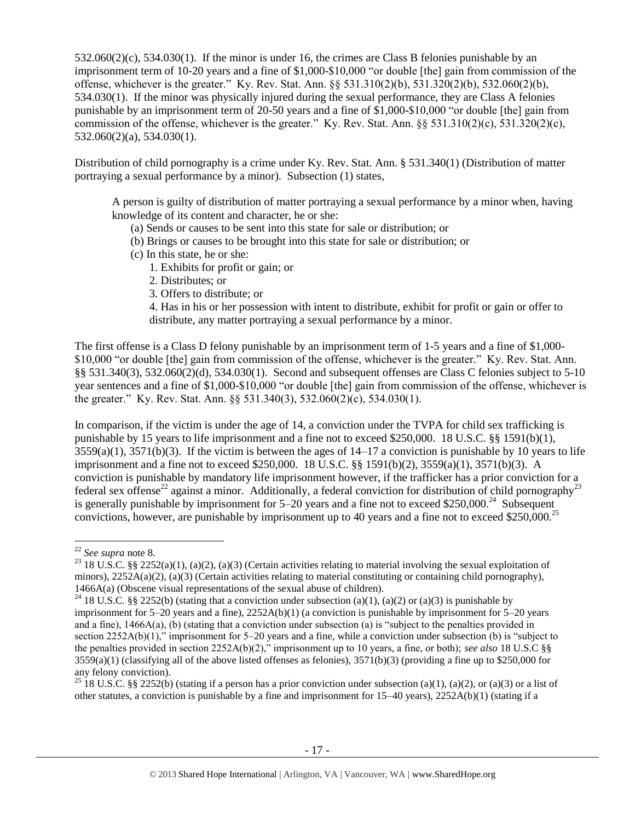532.060(2)(c), 534.030(1). If the minor is under 16, the crimes are Class B felonies punishable by an imprisonment term of 10-20 years and a fine of \$1,000-\$10,000 "or double [the] gain from commission of the offense, whichever is the greater." Ky. Rev. Stat. Ann. §§ 531.310(2)(b), 531.320(2)(b), 532.060(2)(b), 534.030(1). If the minor was physically injured during the sexual performance, they are Class A felonies punishable by an imprisonment term of 20-50 years and a fine of \$1,000-\$10,000 "or double [the] gain from commission of the offense, whichever is the greater." Ky. Rev. Stat. Ann.  $\S$ § 531.310(2)(c), 531.320(2)(c), 532.060(2)(a), 534.030(1).

Distribution of child pornography is a crime under Ky. Rev. Stat. Ann. § 531.340(1) (Distribution of matter portraying a sexual performance by a minor). Subsection (1) states,

A person is guilty of distribution of matter portraying a sexual performance by a minor when, having knowledge of its content and character, he or she:

- (a) Sends or causes to be sent into this state for sale or distribution; or
- (b) Brings or causes to be brought into this state for sale or distribution; or
- (c) In this state, he or she:
	- 1. Exhibits for profit or gain; or
	- 2. Distributes; or
	- 3. Offers to distribute; or

The first offense is a Class D felony punishable by an imprisonment term of 1-5 years and a fine of \$1,000- \$10,000 "or double [the] gain from commission of the offense, whichever is the greater." Ky. Rev. Stat. Ann. §§ 531.340(3), 532.060(2)(d), 534.030(1). Second and subsequent offenses are Class C felonies subject to 5-10 year sentences and a fine of \$1,000-\$10,000 "or double [the] gain from commission of the offense, whichever is the greater." Ky. Rev. Stat. Ann. §§ 531.340(3), 532.060(2)(c), 534.030(1).

In comparison, if the victim is under the age of 14, a conviction under the TVPA for child sex trafficking is punishable by 15 years to life imprisonment and a fine not to exceed \$250,000. 18 U.S.C. §§ 1591(b)(1),  $3559(a)(1)$ ,  $3571(b)(3)$ . If the victim is between the ages of  $14-17$  a conviction is punishable by 10 years to life imprisonment and a fine not to exceed \$250,000. 18 U.S.C. §§ 1591(b)(2), 3559(a)(1), 3571(b)(3). A conviction is punishable by mandatory life imprisonment however, if the trafficker has a prior conviction for a federal sex offense<sup>22</sup> against a minor. Additionally, a federal conviction for distribution of child pornography<sup>23</sup> is generally punishable by imprisonment for  $5-20$  years and a fine not to exceed \$250,000.<sup>24</sup> Subsequent convictions, however, are punishable by imprisonment up to 40 years and a fine not to exceed \$250,000.<sup>25</sup>

<sup>4.</sup> Has in his or her possession with intent to distribute, exhibit for profit or gain or offer to distribute, any matter portraying a sexual performance by a minor.

 $\overline{\phantom{a}}$ <sup>22</sup> *See supra* note [8.](#page-8-1)

<sup>&</sup>lt;sup>23</sup> 18 U.S.C. §§ 2252(a)(1), (a)(2), (a)(3) (Certain activities relating to material involving the sexual exploitation of minors),  $2252A(a)(2)$ , (a)(3) (Certain activities relating to material constituting or containing child pornography), 1466A(a) (Obscene visual representations of the sexual abuse of children).

<sup>&</sup>lt;sup>24</sup> 18 U.S.C. §§ 2252(b) (stating that a conviction under subsection (a)(1), (a)(2) or (a)(3) is punishable by imprisonment for 5–20 years and a fine), 2252A(b)(1) (a conviction is punishable by imprisonment for 5–20 years and a fine), 1466A(a), (b) (stating that a conviction under subsection (a) is "subject to the penalties provided in section 2252A(b)(1)," imprisonment for 5–20 years and a fine, while a conviction under subsection (b) is "subject to the penalties provided in section 2252A(b)(2)," imprisonment up to 10 years, a fine, or both); *see also* 18 U.S.C §§  $3559(a)(1)$  (classifying all of the above listed offenses as felonies),  $3571(b)(3)$  (providing a fine up to \$250,000 for any felony conviction).

<sup>&</sup>lt;sup>25</sup> 18 U.S.C. §§ 2252(b) (stating if a person has a prior conviction under subsection (a)(1), (a)(2), or (a)(3) or a list of other statutes, a conviction is punishable by a fine and imprisonment for  $15-40$  years),  $2252A(b)(1)$  (stating if a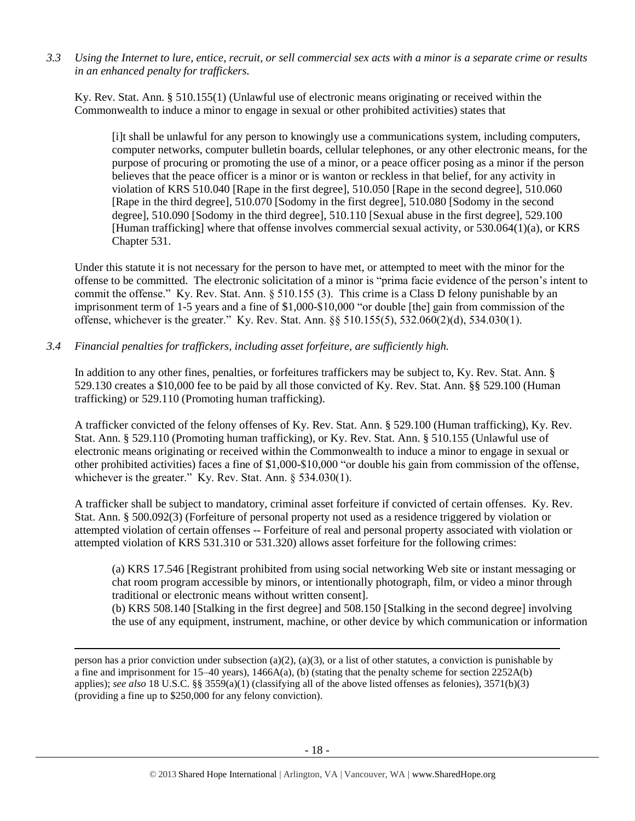*3.3 Using the Internet to lure, entice, recruit, or sell commercial sex acts with a minor is a separate crime or results in an enhanced penalty for traffickers.*

Ky. Rev. Stat. Ann. § 510.155(1) (Unlawful use of electronic means originating or received within the Commonwealth to induce a minor to engage in sexual or other prohibited activities) states that

[i]t shall be unlawful for any person to knowingly use a communications system, including computers, computer networks, computer bulletin boards, cellular telephones, or any other electronic means, for the purpose of procuring or promoting the use of a minor, or a peace officer posing as a minor if the person believes that the peace officer is a minor or is wanton or reckless in that belief, for any activity in violation of KRS 510.040 [Rape in the first degree], 510.050 [Rape in the second degree], 510.060 [Rape in the third degree], 510.070 [Sodomy in the first degree], 510.080 [Sodomy in the second degree], 510.090 [Sodomy in the third degree], 510.110 [Sexual abuse in the first degree], 529.100 [Human trafficking] where that offense involves commercial sexual activity, or 530.064(1)(a), or KRS Chapter 531.

Under this statute it is not necessary for the person to have met, or attempted to meet with the minor for the offense to be committed. The electronic solicitation of a minor is "prima facie evidence of the person's intent to commit the offense." Ky. Rev. Stat. Ann. § 510.155 (3). This crime is a Class D felony punishable by an imprisonment term of 1-5 years and a fine of \$1,000-\$10,000 "or double [the] gain from commission of the offense, whichever is the greater." Ky. Rev. Stat. Ann. §§ 510.155(5), 532.060(2)(d), 534.030(1).

*3.4 Financial penalties for traffickers, including asset forfeiture, are sufficiently high.*

 $\overline{a}$ 

In addition to any other fines, penalties, or forfeitures traffickers may be subject to, Ky. Rev. Stat. Ann. § 529.130 creates a \$10,000 fee to be paid by all those convicted of Ky. Rev. Stat. Ann. §§ 529.100 (Human trafficking) or 529.110 (Promoting human trafficking).

A trafficker convicted of the felony offenses of Ky. Rev. Stat. Ann. § 529.100 (Human trafficking), Ky. Rev. Stat. Ann. § 529.110 (Promoting human trafficking), or Ky. Rev. Stat. Ann. § 510.155 (Unlawful use of electronic means originating or received within the Commonwealth to induce a minor to engage in sexual or other prohibited activities) faces a fine of \$1,000-\$10,000 "or double his gain from commission of the offense, whichever is the greater." Ky. Rev. Stat. Ann. § 534.030(1).

A trafficker shall be subject to mandatory, criminal asset forfeiture if convicted of certain offenses. Ky. Rev. Stat. Ann. § 500.092(3) (Forfeiture of personal property not used as a residence triggered by violation or attempted violation of certain offenses -- Forfeiture of real and personal property associated with violation or attempted violation of KRS 531.310 or 531.320) allows asset forfeiture for the following crimes:

(a) KRS 17.546 [Registrant prohibited from using social networking Web site or instant messaging or chat room program accessible by minors, or intentionally photograph, film, or video a minor through traditional or electronic means without written consent].

(b) KRS 508.140 [Stalking in the first degree] and 508.150 [Stalking in the second degree] involving the use of any equipment, instrument, machine, or other device by which communication or information

person has a prior conviction under subsection (a)(2), (a)(3), or a list of other statutes, a conviction is punishable by a fine and imprisonment for 15–40 years), 1466A(a), (b) (stating that the penalty scheme for section 2252A(b) applies); *see also* 18 U.S.C. §§ 3559(a)(1) (classifying all of the above listed offenses as felonies), 3571(b)(3) (providing a fine up to \$250,000 for any felony conviction).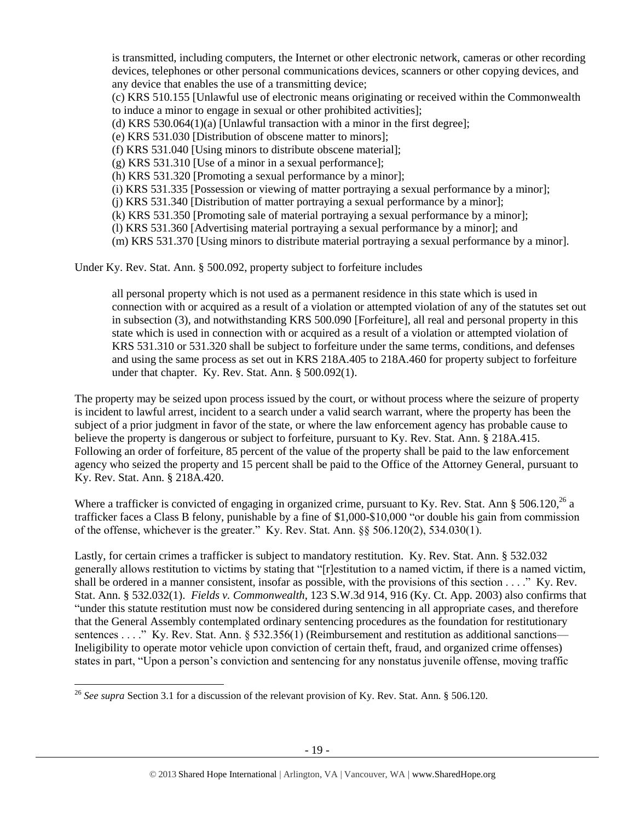is transmitted, including computers, the Internet or other electronic network, cameras or other recording devices, telephones or other personal communications devices, scanners or other copying devices, and any device that enables the use of a transmitting device;

(c) KRS 510.155 [Unlawful use of electronic means originating or received within the Commonwealth to induce a minor to engage in sexual or other prohibited activities];

(d) KRS 530.064(1)(a) [Unlawful transaction with a minor in the first degree];

(e) KRS 531.030 [Distribution of obscene matter to minors];

(f) KRS 531.040 [Using minors to distribute obscene material];

(g) KRS 531.310 [Use of a minor in a sexual performance];

(h) KRS 531.320 [Promoting a sexual performance by a minor];

(i) KRS 531.335 [Possession or viewing of matter portraying a sexual performance by a minor];

(j) KRS 531.340 [Distribution of matter portraying a sexual performance by a minor];

(k) KRS 531.350 [Promoting sale of material portraying a sexual performance by a minor];

(l) KRS 531.360 [Advertising material portraying a sexual performance by a minor]; and

(m) KRS 531.370 [Using minors to distribute material portraying a sexual performance by a minor].

Under Ky. Rev. Stat. Ann. § 500.092, property subject to forfeiture includes

all personal property which is not used as a permanent residence in this state which is used in connection with or acquired as a result of a violation or attempted violation of any of the statutes set out in subsection (3), and notwithstanding KRS 500.090 [Forfeiture], all real and personal property in this state which is used in connection with or acquired as a result of a violation or attempted violation of KRS 531.310 or 531.320 shall be subject to forfeiture under the same terms, conditions, and defenses and using the same process as set out in KRS 218A.405 to 218A.460 for property subject to forfeiture under that chapter. Ky. Rev. Stat. Ann. § 500.092(1).

The property may be seized upon process issued by the court, or without process where the seizure of property is incident to lawful arrest, incident to a search under a valid search warrant, where the property has been the subject of a prior judgment in favor of the state, or where the law enforcement agency has probable cause to believe the property is dangerous or subject to forfeiture, pursuant to Ky. Rev. Stat. Ann. § 218A.415. Following an order of forfeiture, 85 percent of the value of the property shall be paid to the law enforcement agency who seized the property and 15 percent shall be paid to the Office of the Attorney General, pursuant to Ky. Rev. Stat. Ann. § 218A.420.

Where a trafficker is convicted of engaging in organized crime, pursuant to Ky. Rev. Stat. Ann § 506.120,<sup>26</sup> a trafficker faces a Class B felony, punishable by a fine of \$1,000-\$10,000 "or double his gain from commission of the offense, whichever is the greater." Ky. Rev. Stat. Ann. §§ 506.120(2), 534.030(1).

Lastly, for certain crimes a trafficker is subject to mandatory restitution. Ky. Rev. Stat. Ann. § 532.032 generally allows restitution to victims by stating that "[r]estitution to a named victim, if there is a named victim, shall be ordered in a manner consistent, insofar as possible, with the provisions of this section . . . ." Ky. Rev. Stat. Ann. § 532.032(1). *Fields v. Commonwealth*, 123 S.W.3d 914, 916 (Ky. Ct. App. 2003) also confirms that "under this statute restitution must now be considered during sentencing in all appropriate cases, and therefore that the General Assembly contemplated ordinary sentencing procedures as the foundation for restitutionary sentences . . . ." Ky. Rev. Stat. Ann. § 532.356(1) (Reimbursement and restitution as additional sanctions— Ineligibility to operate motor vehicle upon conviction of certain theft, fraud, and organized crime offenses) states in part, "Upon a person's conviction and sentencing for any nonstatus juvenile offense, moving traffic

 $\overline{a}$ <sup>26</sup> *See supra* Section 3.1 for a discussion of the relevant provision of Ky. Rev. Stat. Ann. § 506.120.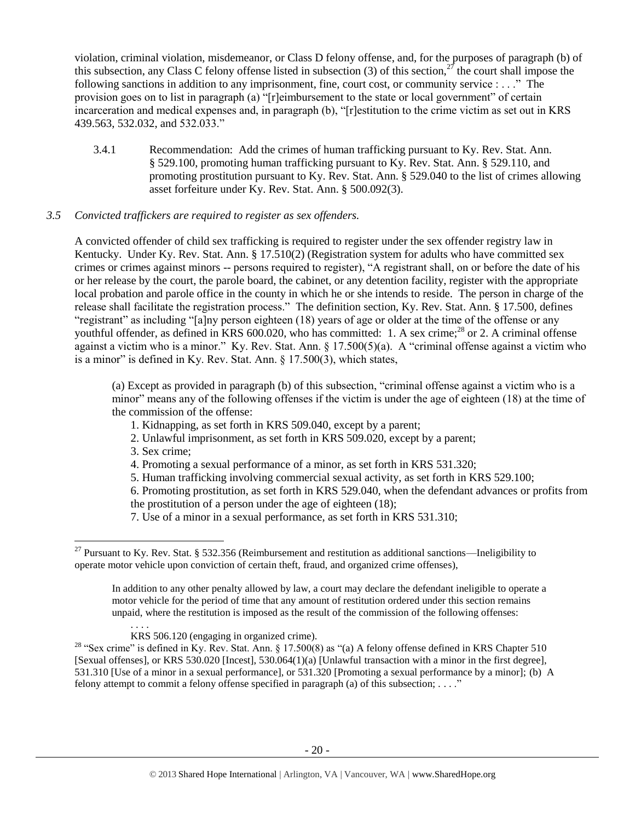violation, criminal violation, misdemeanor, or Class D felony offense, and, for the purposes of paragraph (b) of this subsection, any Class C felony offense listed in subsection (3) of this section,  $2^7$  the court shall impose the following sanctions in addition to any imprisonment, fine, court cost, or community service : . . ." The provision goes on to list in paragraph (a) "[r]eimbursement to the state or local government" of certain incarceration and medical expenses and, in paragraph (b), "[r]estitution to the crime victim as set out in KRS 439.563, 532.032, and 532.033."

3.4.1 Recommendation: Add the crimes of human trafficking pursuant to Ky. Rev. Stat. Ann. § 529.100, promoting human trafficking pursuant to Ky. Rev. Stat. Ann. § 529.110, and promoting prostitution pursuant to Ky. Rev. Stat. Ann. § 529.040 to the list of crimes allowing asset forfeiture under Ky. Rev. Stat. Ann. § 500.092(3).

#### *3.5 Convicted traffickers are required to register as sex offenders.*

A convicted offender of child sex trafficking is required to register under the sex offender registry law in Kentucky. Under Ky. Rev. Stat. Ann. § 17.510(2) (Registration system for adults who have committed sex crimes or crimes against minors -- persons required to register), "A registrant shall, on or before the date of his or her release by the court, the parole board, the cabinet, or any detention facility, register with the appropriate local probation and parole office in the county in which he or she intends to reside. The person in charge of the release shall facilitate the registration process." The definition section, Ky. Rev. Stat. Ann. § 17.500, defines "registrant" as including "[a]ny person eighteen (18) years of age or older at the time of the offense or any youthful offender, as defined in KRS 600.020, who has committed: 1. A sex crime; $^{28}$  or 2. A criminal offense against a victim who is a minor." Ky. Rev. Stat. Ann. § 17.500(5)(a). A "criminal offense against a victim who is a minor" is defined in Ky. Rev. Stat. Ann. § 17.500(3), which states,

(a) Except as provided in paragraph (b) of this subsection, "criminal offense against a victim who is a minor" means any of the following offenses if the victim is under the age of eighteen (18) at the time of the commission of the offense:

- 1. Kidnapping, as set forth in KRS 509.040, except by a parent;
- 2. Unlawful imprisonment, as set forth in KRS 509.020, except by a parent;
- 3. Sex crime;

 $\overline{\phantom{a}}$ 

- 4. Promoting a sexual performance of a minor, as set forth in KRS 531.320;
- 5. Human trafficking involving commercial sexual activity, as set forth in KRS 529.100;

6. Promoting prostitution, as set forth in KRS 529.040, when the defendant advances or profits from the prostitution of a person under the age of eighteen (18);

7. Use of a minor in a sexual performance, as set forth in KRS 531.310;

<sup>&</sup>lt;sup>27</sup> Pursuant to Ky. Rev. Stat. § 532.356 (Reimbursement and restitution as additional sanctions—Ineligibility to operate motor vehicle upon conviction of certain theft, fraud, and organized crime offenses),

In addition to any other penalty allowed by law, a court may declare the defendant ineligible to operate a motor vehicle for the period of time that any amount of restitution ordered under this section remains unpaid, where the restitution is imposed as the result of the commission of the following offenses:

KRS 506.120 (engaging in organized crime).

<sup>&</sup>lt;sup>28</sup> "Sex crime" is defined in Ky. Rev. Stat. Ann. § 17.500(8) as "(a) A felony offense defined in KRS Chapter 510 [Sexual offenses], or KRS 530.020 [Incest], 530.064(1)(a) [Unlawful transaction with a minor in the first degree], 531.310 [Use of a minor in a sexual performance], or 531.320 [Promoting a sexual performance by a minor]; (b) A felony attempt to commit a felony offense specified in paragraph (a) of this subsection; . . . ."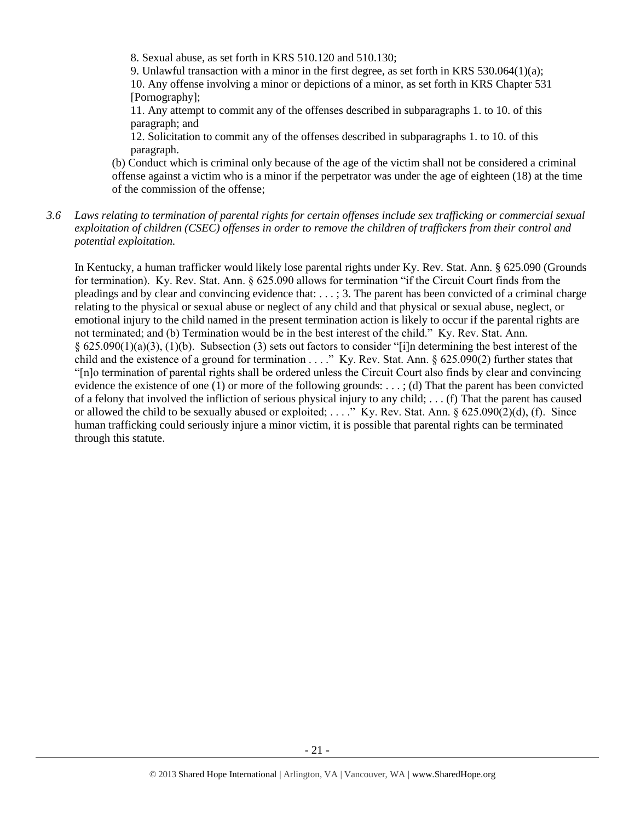8. Sexual abuse, as set forth in KRS 510.120 and 510.130;

9. Unlawful transaction with a minor in the first degree, as set forth in KRS 530.064(1)(a); 10. Any offense involving a minor or depictions of a minor, as set forth in KRS Chapter 531 [Pornography];

11. Any attempt to commit any of the offenses described in subparagraphs 1. to 10. of this paragraph; and

12. Solicitation to commit any of the offenses described in subparagraphs 1. to 10. of this paragraph.

(b) Conduct which is criminal only because of the age of the victim shall not be considered a criminal offense against a victim who is a minor if the perpetrator was under the age of eighteen (18) at the time of the commission of the offense;

*3.6 Laws relating to termination of parental rights for certain offenses include sex trafficking or commercial sexual exploitation of children (CSEC) offenses in order to remove the children of traffickers from their control and potential exploitation.* 

In Kentucky, a human trafficker would likely lose parental rights under Ky. Rev. Stat. Ann. § 625.090 (Grounds for termination). Ky. Rev. Stat. Ann. § 625.090 allows for termination "if the Circuit Court finds from the pleadings and by clear and convincing evidence that: . . . ; 3. The parent has been convicted of a criminal charge relating to the physical or sexual abuse or neglect of any child and that physical or sexual abuse, neglect, or emotional injury to the child named in the present termination action is likely to occur if the parental rights are not terminated; and (b) Termination would be in the best interest of the child." Ky. Rev. Stat. Ann. § 625.090(1)(a)(3), (1)(b). Subsection (3) sets out factors to consider "[i]n determining the best interest of the child and the existence of a ground for termination . . . ." Ky. Rev. Stat. Ann. § 625.090(2) further states that "[n]o termination of parental rights shall be ordered unless the Circuit Court also finds by clear and convincing evidence the existence of one (1) or more of the following grounds: . . . ; (d) That the parent has been convicted of a felony that involved the infliction of serious physical injury to any child; . . . (f) That the parent has caused or allowed the child to be sexually abused or exploited; . . . ." Ky. Rev. Stat. Ann. § 625.090(2)(d), (f). Since human trafficking could seriously injure a minor victim, it is possible that parental rights can be terminated through this statute.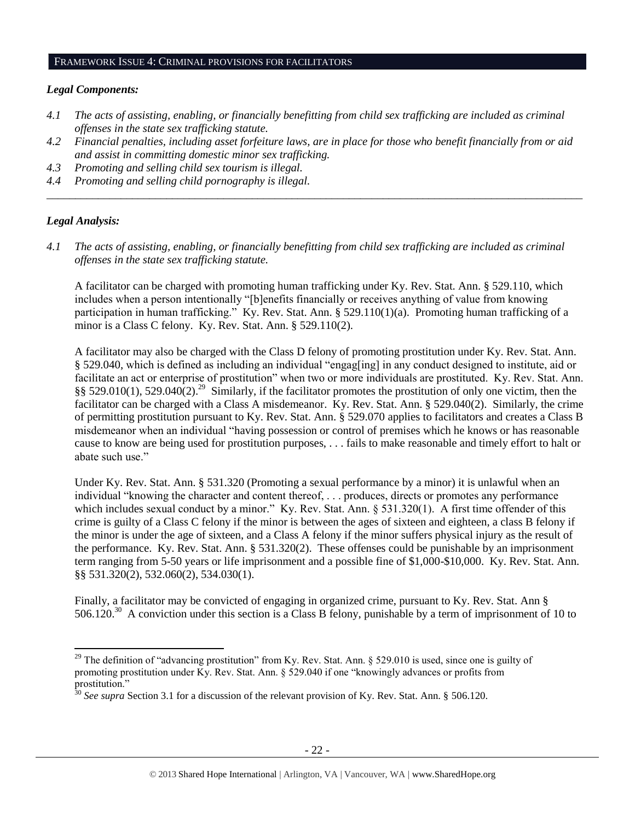#### FRAMEWORK ISSUE 4: CRIMINAL PROVISIONS FOR FACILITATORS

#### *Legal Components:*

- *4.1 The acts of assisting, enabling, or financially benefitting from child sex trafficking are included as criminal offenses in the state sex trafficking statute.*
- *4.2 Financial penalties, including asset forfeiture laws, are in place for those who benefit financially from or aid and assist in committing domestic minor sex trafficking.*

*\_\_\_\_\_\_\_\_\_\_\_\_\_\_\_\_\_\_\_\_\_\_\_\_\_\_\_\_\_\_\_\_\_\_\_\_\_\_\_\_\_\_\_\_\_\_\_\_\_\_\_\_\_\_\_\_\_\_\_\_\_\_\_\_\_\_\_\_\_\_\_\_\_\_\_\_\_\_\_\_\_\_\_\_\_\_\_\_\_\_\_\_\_\_*

- *4.3 Promoting and selling child sex tourism is illegal.*
- *4.4 Promoting and selling child pornography is illegal.*

#### *Legal Analysis:*

 $\overline{a}$ 

*4.1 The acts of assisting, enabling, or financially benefitting from child sex trafficking are included as criminal offenses in the state sex trafficking statute.*

A facilitator can be charged with promoting human trafficking under Ky. Rev. Stat. Ann. § 529.110, which includes when a person intentionally "[b]enefits financially or receives anything of value from knowing participation in human trafficking." Ky. Rev. Stat. Ann. § 529.110(1)(a). Promoting human trafficking of a minor is a Class C felony. Ky. Rev. Stat. Ann. § 529.110(2).

A facilitator may also be charged with the Class D felony of promoting prostitution under Ky. Rev. Stat. Ann. § 529.040, which is defined as including an individual "engag[ing] in any conduct designed to institute, aid or facilitate an act or enterprise of prostitution" when two or more individuals are prostituted. Ky. Rev. Stat. Ann. §§ 529.010(1), 529.040(2).<sup>29</sup> Similarly, if the facilitator promotes the prostitution of only one victim, then the facilitator can be charged with a Class A misdemeanor. Ky. Rev. Stat. Ann. § 529.040(2). Similarly, the crime of permitting prostitution pursuant to Ky. Rev. Stat. Ann. § 529.070 applies to facilitators and creates a Class B misdemeanor when an individual "having possession or control of premises which he knows or has reasonable cause to know are being used for prostitution purposes, . . . fails to make reasonable and timely effort to halt or abate such use."

Under Ky. Rev. Stat. Ann. § 531.320 (Promoting a sexual performance by a minor) it is unlawful when an individual "knowing the character and content thereof, . . . produces, directs or promotes any performance which includes sexual conduct by a minor." Ky. Rev. Stat. Ann. § 531.320(1). A first time offender of this crime is guilty of a Class C felony if the minor is between the ages of sixteen and eighteen, a class B felony if the minor is under the age of sixteen, and a Class A felony if the minor suffers physical injury as the result of the performance. Ky. Rev. Stat. Ann. § 531.320(2). These offenses could be punishable by an imprisonment term ranging from 5-50 years or life imprisonment and a possible fine of \$1,000-\$10,000. Ky. Rev. Stat. Ann. §§ 531.320(2), 532.060(2), 534.030(1).

Finally, a facilitator may be convicted of engaging in organized crime, pursuant to Ky. Rev. Stat. Ann § 506.120.<sup>30</sup> A conviction under this section is a Class B felony, punishable by a term of imprisonment of 10 to

<sup>&</sup>lt;sup>29</sup> The definition of "advancing prostitution" from Ky. Rev. Stat. Ann. § 529.010 is used, since one is guilty of promoting prostitution under Ky. Rev. Stat. Ann. § 529.040 if one "knowingly advances or profits from prostitution."

<sup>30</sup> *See supra* Section 3.1 for a discussion of the relevant provision of Ky. Rev. Stat. Ann. § 506.120.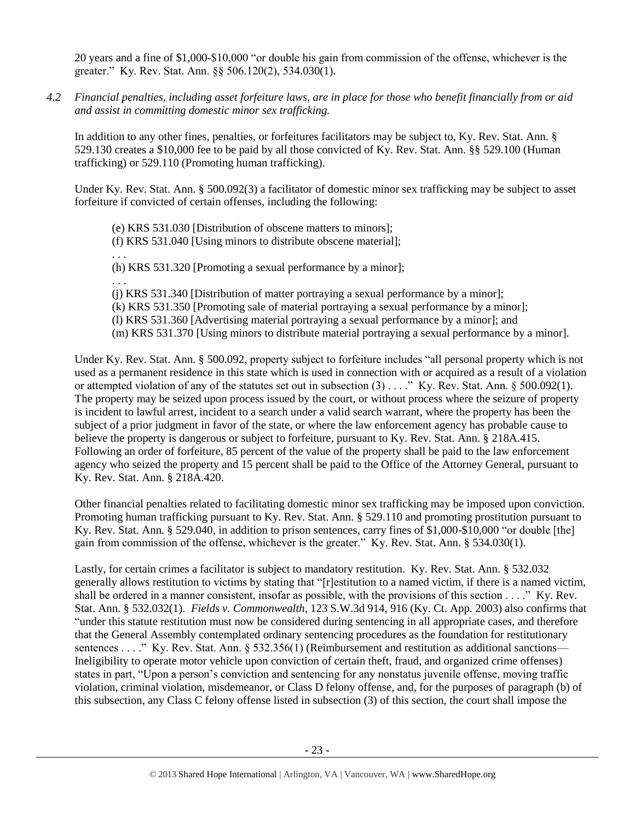20 years and a fine of \$1,000-\$10,000 "or double his gain from commission of the offense, whichever is the greater." Ky. Rev. Stat. Ann. §§ 506.120(2), 534.030(1).

*4.2 Financial penalties, including asset forfeiture laws, are in place for those who benefit financially from or aid and assist in committing domestic minor sex trafficking.*

In addition to any other fines, penalties, or forfeitures facilitators may be subject to, Ky. Rev. Stat. Ann. § 529.130 creates a \$10,000 fee to be paid by all those convicted of Ky. Rev. Stat. Ann. §§ 529.100 (Human trafficking) or 529.110 (Promoting human trafficking).

Under Ky. Rev. Stat. Ann. § 500.092(3) a facilitator of domestic minor sex trafficking may be subject to asset forfeiture if convicted of certain offenses, including the following:

(e) KRS 531.030 [Distribution of obscene matters to minors]; (f) KRS 531.040 [Using minors to distribute obscene material]; . . . (h) KRS 531.320 [Promoting a sexual performance by a minor]; . . . (j) KRS 531.340 [Distribution of matter portraying a sexual performance by a minor]; (k) KRS 531.350 [Promoting sale of material portraying a sexual performance by a minor]; (l) KRS 531.360 [Advertising material portraying a sexual performance by a minor]; and (m) KRS 531.370 [Using minors to distribute material portraying a sexual performance by a minor].

Under Ky. Rev. Stat. Ann. § 500.092, property subject to forfeiture includes "all personal property which is not used as a permanent residence in this state which is used in connection with or acquired as a result of a violation or attempted violation of any of the statutes set out in subsection (3) . . . ." Ky. Rev. Stat. Ann. § 500.092(1). The property may be seized upon process issued by the court, or without process where the seizure of property is incident to lawful arrest, incident to a search under a valid search warrant, where the property has been the subject of a prior judgment in favor of the state, or where the law enforcement agency has probable cause to believe the property is dangerous or subject to forfeiture, pursuant to Ky. Rev. Stat. Ann. § 218A.415. Following an order of forfeiture, 85 percent of the value of the property shall be paid to the law enforcement agency who seized the property and 15 percent shall be paid to the Office of the Attorney General, pursuant to Ky. Rev. Stat. Ann. § 218A.420.

Other financial penalties related to facilitating domestic minor sex trafficking may be imposed upon conviction. Promoting human trafficking pursuant to Ky. Rev. Stat. Ann. § 529.110 and promoting prostitution pursuant to Ky. Rev. Stat. Ann. § 529.040, in addition to prison sentences, carry fines of \$1,000-\$10,000 "or double [the] gain from commission of the offense, whichever is the greater." Ky. Rev. Stat. Ann. § 534.030(1).

Lastly, for certain crimes a facilitator is subject to mandatory restitution. Ky. Rev. Stat. Ann. § 532.032 generally allows restitution to victims by stating that "[r]estitution to a named victim, if there is a named victim, shall be ordered in a manner consistent, insofar as possible, with the provisions of this section . . . ." Ky. Rev. Stat. Ann. § 532.032(1). *Fields v. Commonwealth*, 123 S.W.3d 914, 916 (Ky. Ct. App. 2003) also confirms that "under this statute restitution must now be considered during sentencing in all appropriate cases, and therefore that the General Assembly contemplated ordinary sentencing procedures as the foundation for restitutionary sentences . . . ." Ky. Rev. Stat. Ann. § 532.356(1) (Reimbursement and restitution as additional sanctions— Ineligibility to operate motor vehicle upon conviction of certain theft, fraud, and organized crime offenses) states in part, "Upon a person's conviction and sentencing for any nonstatus juvenile offense, moving traffic violation, criminal violation, misdemeanor, or Class D felony offense, and, for the purposes of paragraph (b) of this subsection, any Class C felony offense listed in subsection (3) of this section, the court shall impose the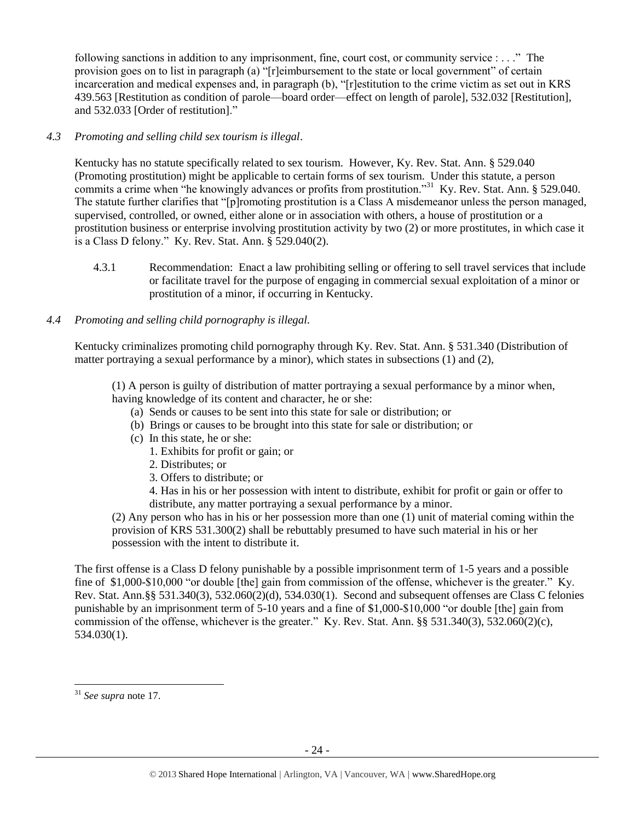following sanctions in addition to any imprisonment, fine, court cost, or community service : . . ." The provision goes on to list in paragraph (a) "[r]eimbursement to the state or local government" of certain incarceration and medical expenses and, in paragraph (b), "[r]estitution to the crime victim as set out in KRS 439.563 [Restitution as condition of parole—board order—effect on length of parole], 532.032 [Restitution], and 532.033 [Order of restitution]."

# *4.3 Promoting and selling child sex tourism is illegal*.

Kentucky has no statute specifically related to sex tourism. However, Ky. Rev. Stat. Ann. § 529.040 (Promoting prostitution) might be applicable to certain forms of sex tourism. Under this statute, a person commits a crime when "he knowingly advances or profits from prostitution."<sup>31</sup> Ky. Rev. Stat. Ann. § 529.040. The statute further clarifies that "[p]romoting prostitution is a Class A misdemeanor unless the person managed, supervised, controlled, or owned, either alone or in association with others, a house of prostitution or a prostitution business or enterprise involving prostitution activity by two (2) or more prostitutes, in which case it is a Class D felony." Ky. Rev. Stat. Ann. § 529.040(2).

4.3.1 Recommendation: Enact a law prohibiting selling or offering to sell travel services that include or facilitate travel for the purpose of engaging in commercial sexual exploitation of a minor or prostitution of a minor, if occurring in Kentucky.

# *4.4 Promoting and selling child pornography is illegal.*

Kentucky criminalizes promoting child pornography through Ky. Rev. Stat. Ann. § 531.340 (Distribution of matter portraying a sexual performance by a minor), which states in subsections (1) and (2),

(1) A person is guilty of distribution of matter portraying a sexual performance by a minor when, having knowledge of its content and character, he or she:

- (a) Sends or causes to be sent into this state for sale or distribution; or
- (b) Brings or causes to be brought into this state for sale or distribution; or
- (c) In this state, he or she:
	- 1. Exhibits for profit or gain; or
	- 2. Distributes; or
	- 3. Offers to distribute; or
	- 4. Has in his or her possession with intent to distribute, exhibit for profit or gain or offer to distribute, any matter portraying a sexual performance by a minor.

(2) Any person who has in his or her possession more than one (1) unit of material coming within the provision of KRS 531.300(2) shall be rebuttably presumed to have such material in his or her possession with the intent to distribute it.

The first offense is a Class D felony punishable by a possible imprisonment term of 1-5 years and a possible fine of \$1,000-\$10,000 "or double [the] gain from commission of the offense, whichever is the greater." Ky. Rev. Stat. Ann.§§ 531.340(3), 532.060(2)(d), 534.030(1). Second and subsequent offenses are Class C felonies punishable by an imprisonment term of 5-10 years and a fine of \$1,000-\$10,000 "or double [the] gain from commission of the offense, whichever is the greater." Ky. Rev. Stat. Ann. §§ 531.340(3), 532.060(2)(c), 534.030(1).

 $\overline{a}$ 

<sup>31</sup> *See supra* note [17.](#page-14-0)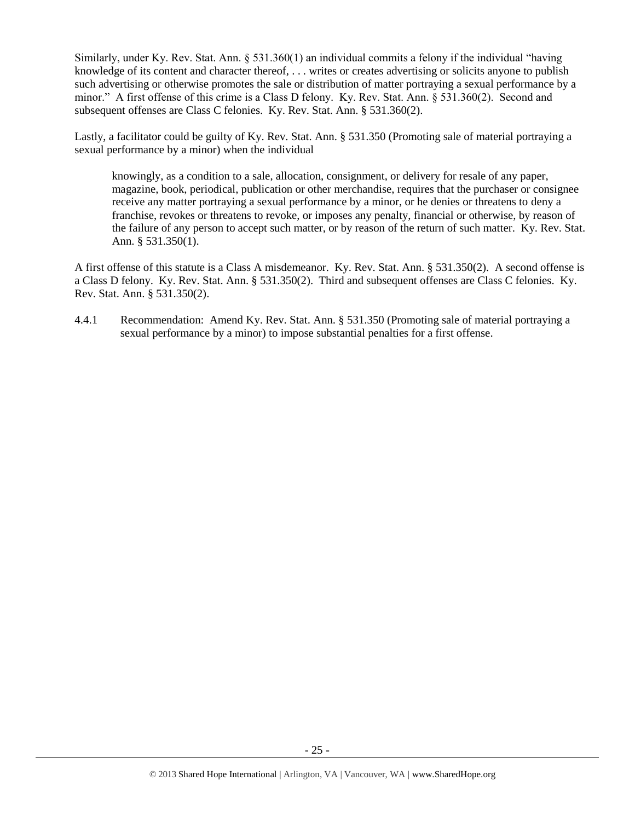Similarly, under Ky. Rev. Stat. Ann. § 531.360(1) an individual commits a felony if the individual "having knowledge of its content and character thereof, . . . writes or creates advertising or solicits anyone to publish such advertising or otherwise promotes the sale or distribution of matter portraying a sexual performance by a minor." A first offense of this crime is a Class D felony. Ky. Rev. Stat. Ann. § 531.360(2). Second and subsequent offenses are Class C felonies. Ky. Rev. Stat. Ann. § 531.360(2).

Lastly, a facilitator could be guilty of Ky. Rev. Stat. Ann. § 531.350 (Promoting sale of material portraying a sexual performance by a minor) when the individual

knowingly, as a condition to a sale, allocation, consignment, or delivery for resale of any paper, magazine, book, periodical, publication or other merchandise, requires that the purchaser or consignee receive any matter portraying a sexual performance by a minor, or he denies or threatens to deny a franchise, revokes or threatens to revoke, or imposes any penalty, financial or otherwise, by reason of the failure of any person to accept such matter, or by reason of the return of such matter. Ky. Rev. Stat. Ann. § 531.350(1).

A first offense of this statute is a Class A misdemeanor. Ky. Rev. Stat. Ann. § 531.350(2). A second offense is a Class D felony. Ky. Rev. Stat. Ann. § 531.350(2). Third and subsequent offenses are Class C felonies. Ky. Rev. Stat. Ann. § 531.350(2).

4.4.1 Recommendation: Amend Ky. Rev. Stat. Ann. § 531.350 (Promoting sale of material portraying a sexual performance by a minor) to impose substantial penalties for a first offense.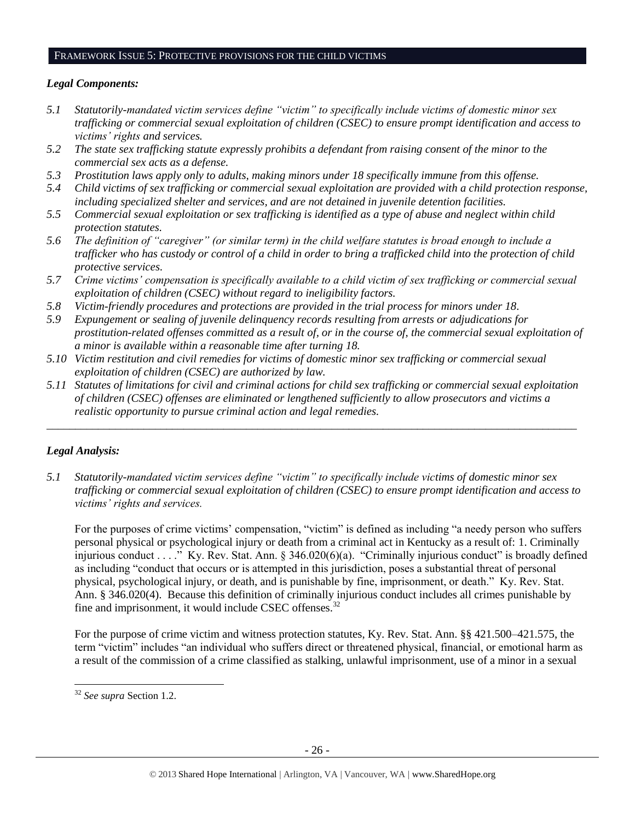#### FRAMEWORK ISSUE 5: PROTECTIVE PROVISIONS FOR THE CHILD VICTIMS

# *Legal Components:*

- *5.1 Statutorily-mandated victim services define "victim" to specifically include victims of domestic minor sex trafficking or commercial sexual exploitation of children (CSEC) to ensure prompt identification and access to victims' rights and services.*
- *5.2 The state sex trafficking statute expressly prohibits a defendant from raising consent of the minor to the commercial sex acts as a defense.*
- *5.3 Prostitution laws apply only to adults, making minors under 18 specifically immune from this offense.*
- *5.4 Child victims of sex trafficking or commercial sexual exploitation are provided with a child protection response, including specialized shelter and services, and are not detained in juvenile detention facilities.*
- *5.5 Commercial sexual exploitation or sex trafficking is identified as a type of abuse and neglect within child protection statutes.*
- *5.6 The definition of "caregiver" (or similar term) in the child welfare statutes is broad enough to include a trafficker who has custody or control of a child in order to bring a trafficked child into the protection of child protective services.*
- *5.7 Crime victims' compensation is specifically available to a child victim of sex trafficking or commercial sexual exploitation of children (CSEC) without regard to ineligibility factors.*
- *5.8 Victim-friendly procedures and protections are provided in the trial process for minors under 18.*
- *5.9 Expungement or sealing of juvenile delinquency records resulting from arrests or adjudications for prostitution-related offenses committed as a result of, or in the course of, the commercial sexual exploitation of a minor is available within a reasonable time after turning 18.*
- *5.10 Victim restitution and civil remedies for victims of domestic minor sex trafficking or commercial sexual exploitation of children (CSEC) are authorized by law.*
- *5.11 Statutes of limitations for civil and criminal actions for child sex trafficking or commercial sexual exploitation of children (CSEC) offenses are eliminated or lengthened sufficiently to allow prosecutors and victims a realistic opportunity to pursue criminal action and legal remedies.*

*\_\_\_\_\_\_\_\_\_\_\_\_\_\_\_\_\_\_\_\_\_\_\_\_\_\_\_\_\_\_\_\_\_\_\_\_\_\_\_\_\_\_\_\_\_\_\_\_\_\_\_\_\_\_\_\_\_\_\_\_\_\_\_\_\_\_\_\_\_\_\_\_\_\_\_\_\_\_\_\_\_\_\_\_\_\_\_\_\_\_\_\_\_*

# *Legal Analysis:*

*5.1 Statutorily-mandated victim services define "victim" to specifically include victims of domestic minor sex trafficking or commercial sexual exploitation of children (CSEC) to ensure prompt identification and access to victims' rights and services.*

For the purposes of crime victims' compensation, "victim" is defined as including "a needy person who suffers personal physical or psychological injury or death from a criminal act in Kentucky as a result of: 1. Criminally  $\overline{\text{injurious}}$  conduct  $\dots$ ." Ky. Rev. Stat. Ann. § 346.020(6)(a). "Criminally injurious conduct" is broadly defined as including "conduct that occurs or is attempted in this jurisdiction, poses a substantial threat of personal physical, psychological injury, or death, and is punishable by fine, imprisonment, or death." Ky. Rev. Stat. Ann. § 346.020(4). Because this definition of criminally injurious conduct includes all crimes punishable by fine and imprisonment, it would include CSEC offenses.<sup>32</sup>

For the purpose of crime victim and witness protection statutes, Ky. Rev. Stat. Ann. §§ 421.500–421.575, the term "victim" includes "an individual who suffers direct or threatened physical, financial, or emotional harm as a result of the commission of a crime classified as stalking, unlawful imprisonment, use of a minor in a sexual

 $\overline{a}$ 

<sup>32</sup> *See supra* Section 1.2.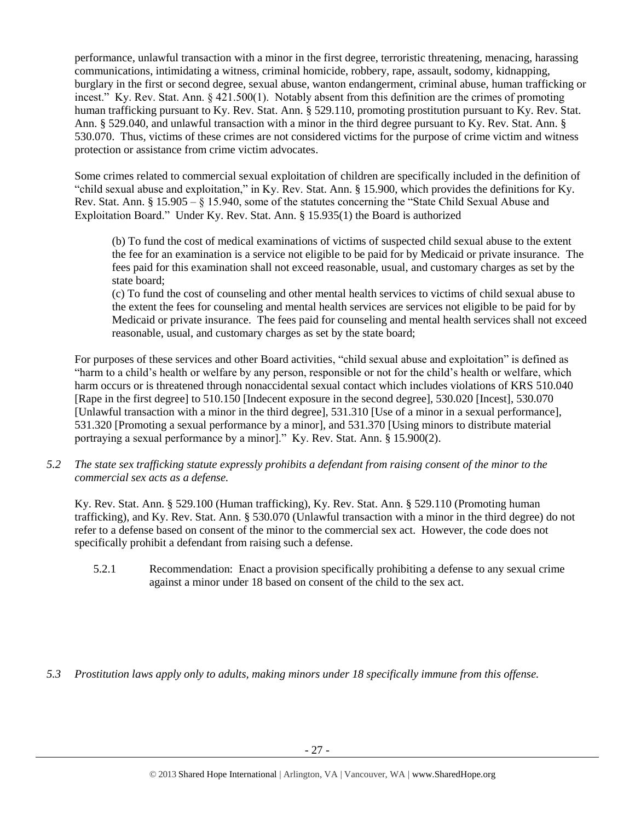performance, unlawful transaction with a minor in the first degree, terroristic threatening, menacing, harassing communications, intimidating a witness, criminal homicide, robbery, rape, assault, sodomy, kidnapping, burglary in the first or second degree, sexual abuse, wanton endangerment, criminal abuse, human trafficking or incest." Ky. Rev. Stat. Ann. § 421.500(1). Notably absent from this definition are the crimes of promoting human trafficking pursuant to Ky. Rev. Stat. Ann. § 529.110, promoting prostitution pursuant to Ky. Rev. Stat. Ann. § 529.040, and unlawful transaction with a minor in the third degree pursuant to Ky. Rev. Stat. Ann. § 530.070. Thus, victims of these crimes are not considered victims for the purpose of crime victim and witness protection or assistance from crime victim advocates.

Some crimes related to commercial sexual exploitation of children are specifically included in the definition of "child sexual abuse and exploitation," in Ky. Rev. Stat. Ann. § 15.900, which provides the definitions for Ky. Rev. Stat. Ann. § 15.905 – § 15.940, some of the statutes concerning the "State Child Sexual Abuse and Exploitation Board." Under Ky. Rev. Stat. Ann. § 15.935(1) the Board is authorized

(b) To fund the cost of medical examinations of victims of suspected child sexual abuse to the extent the fee for an examination is a service not eligible to be paid for by Medicaid or private insurance. The fees paid for this examination shall not exceed reasonable, usual, and customary charges as set by the state board;

(c) To fund the cost of counseling and other mental health services to victims of child sexual abuse to the extent the fees for counseling and mental health services are services not eligible to be paid for by Medicaid or private insurance. The fees paid for counseling and mental health services shall not exceed reasonable, usual, and customary charges as set by the state board;

For purposes of these services and other Board activities, "child sexual abuse and exploitation" is defined as "harm to a child's health or welfare by any person, responsible or not for the child's health or welfare, which harm occurs or is threatened through nonaccidental sexual contact which includes violations of KRS 510.040 [Rape in the first degree] to 510.150 [Indecent exposure in the second degree], 530.020 [Incest], 530.070 [Unlawful transaction with a minor in the third degree], 531.310 [Use of a minor in a sexual performance], 531.320 [Promoting a sexual performance by a minor], and 531.370 [Using minors to distribute material portraying a sexual performance by a minor]." Ky. Rev. Stat. Ann. § 15.900(2).

*5.2 The state sex trafficking statute expressly prohibits a defendant from raising consent of the minor to the commercial sex acts as a defense.*

Ky. Rev. Stat. Ann. § 529.100 (Human trafficking), Ky. Rev. Stat. Ann. § 529.110 (Promoting human trafficking), and Ky. Rev. Stat. Ann. § 530.070 (Unlawful transaction with a minor in the third degree) do not refer to a defense based on consent of the minor to the commercial sex act. However, the code does not specifically prohibit a defendant from raising such a defense.

5.2.1 Recommendation: Enact a provision specifically prohibiting a defense to any sexual crime against a minor under 18 based on consent of the child to the sex act.

*5.3 Prostitution laws apply only to adults, making minors under 18 specifically immune from this offense.*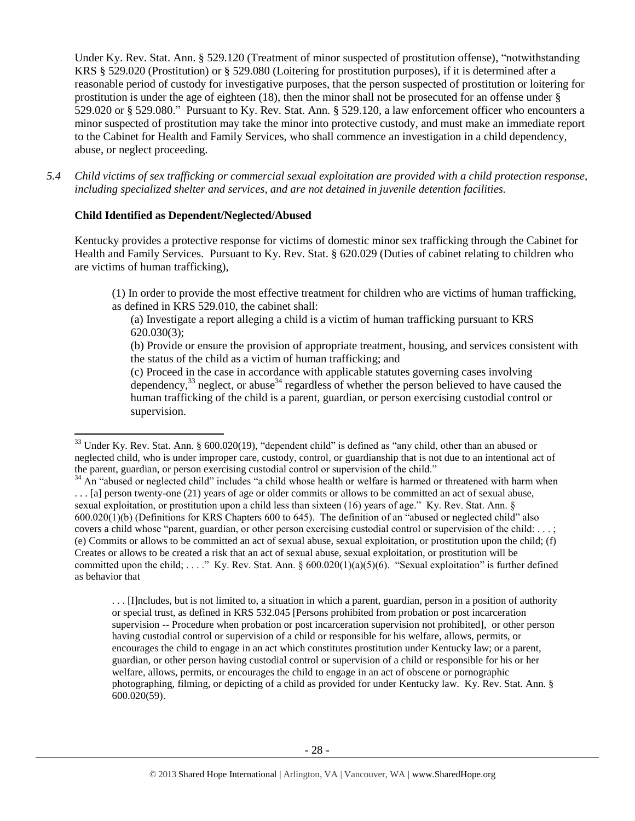Under Ky. Rev. Stat. Ann. § 529.120 (Treatment of minor suspected of prostitution offense), "notwithstanding KRS § 529.020 (Prostitution) or § 529.080 (Loitering for prostitution purposes), if it is determined after a reasonable period of custody for investigative purposes, that the person suspected of prostitution or loitering for prostitution is under the age of eighteen (18), then the minor shall not be prosecuted for an offense under § 529.020 or § 529.080." Pursuant to Ky. Rev. Stat. Ann. § 529.120, a law enforcement officer who encounters a minor suspected of prostitution may take the minor into protective custody, and must make an immediate report to the Cabinet for Health and Family Services, who shall commence an investigation in a child dependency, abuse, or neglect proceeding.

*5.4 Child victims of sex trafficking or commercial sexual exploitation are provided with a child protection response, including specialized shelter and services, and are not detained in juvenile detention facilities.*

## **Child Identified as Dependent/Neglected/Abused**

 $\overline{a}$ 

Kentucky provides a protective response for victims of domestic minor sex trafficking through the Cabinet for Health and Family Services. Pursuant to Ky. Rev. Stat. § 620.029 (Duties of cabinet relating to children who are victims of human trafficking),

(1) In order to provide the most effective treatment for children who are victims of human trafficking, as defined in KRS 529.010, the cabinet shall:

(a) Investigate a report alleging a child is a victim of human trafficking pursuant to KRS 620.030(3);

(b) Provide or ensure the provision of appropriate treatment, housing, and services consistent with the status of the child as a victim of human trafficking; and

(c) Proceed in the case in accordance with applicable statutes governing cases involving dependency,  $33$  neglect, or abuse  $34$  regardless of whether the person believed to have caused the human trafficking of the child is a parent, guardian, or person exercising custodial control or supervision.

. . . [I]ncludes, but is not limited to, a situation in which a parent, guardian, person in a position of authority or special trust, as defined in KRS 532.045 [Persons prohibited from probation or post incarceration supervision -- Procedure when probation or post incarceration supervision not prohibited], or other person having custodial control or supervision of a child or responsible for his welfare, allows, permits, or encourages the child to engage in an act which constitutes prostitution under Kentucky law; or a parent, guardian, or other person having custodial control or supervision of a child or responsible for his or her welfare, allows, permits, or encourages the child to engage in an act of obscene or pornographic photographing, filming, or depicting of a child as provided for under Kentucky law. Ky. Rev. Stat. Ann. § 600.020(59).

 $33$  Under Ky. Rev. Stat. Ann. § 600.020(19), "dependent child" is defined as "any child, other than an abused or neglected child, who is under improper care, custody, control, or guardianship that is not due to an intentional act of the parent, guardian, or person exercising custodial control or supervision of the child."

 $34$  An "abused or neglected child" includes "a child whose health or welfare is harmed or threatened with harm when . . . [a] person twenty-one (21) years of age or older commits or allows to be committed an act of sexual abuse, sexual exploitation, or prostitution upon a child less than sixteen (16) years of age." Ky. Rev. Stat. Ann. § 600.020(1)(b) (Definitions for KRS Chapters 600 to 645). The definition of an "abused or neglected child" also covers a child whose "parent, guardian, or other person exercising custodial control or supervision of the child: . . . ; (e) Commits or allows to be committed an act of sexual abuse, sexual exploitation, or prostitution upon the child; (f) Creates or allows to be created a risk that an act of sexual abuse, sexual exploitation, or prostitution will be committed upon the child; ...." Ky. Rev. Stat. Ann. §  $600.020(1)(a)(5)(6)$ . "Sexual exploitation" is further defined as behavior that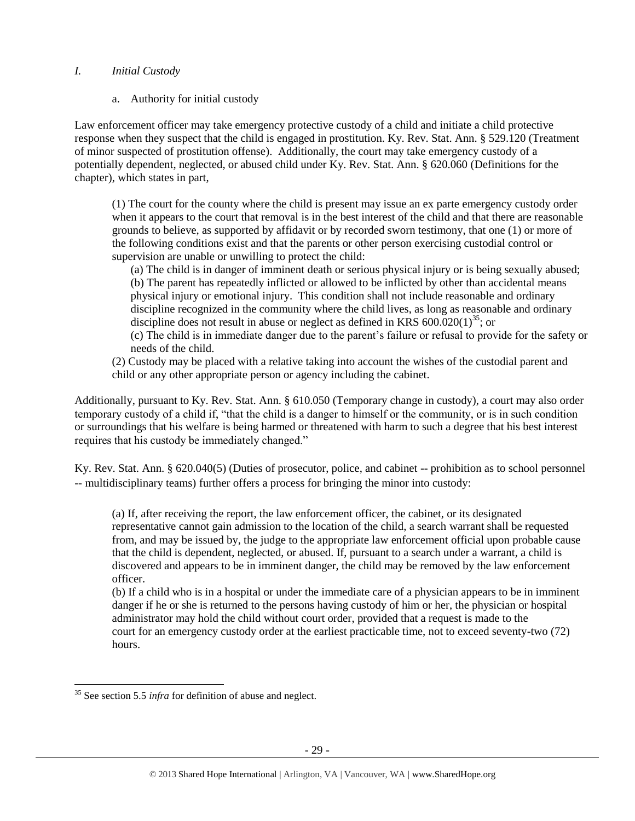#### *I. Initial Custody*

a. Authority for initial custody

Law enforcement officer may take emergency protective custody of a child and initiate a child protective response when they suspect that the child is engaged in prostitution. Ky. Rev. Stat. Ann. § 529.120 (Treatment of minor suspected of prostitution offense). Additionally, the court may take emergency custody of a potentially dependent, neglected, or abused child under Ky. Rev. Stat. Ann. § 620.060 (Definitions for the chapter), which states in part,

(1) The court for the county where the child is present may issue an ex parte emergency custody order when it appears to the court that removal is in the best interest of the child and that there are reasonable grounds to believe, as supported by affidavit or by recorded sworn testimony, that one (1) or more of the following conditions exist and that the parents or other person exercising custodial control or supervision are unable or unwilling to protect the child:

(a) The child is in danger of imminent death or serious physical injury or is being sexually abused; (b) The parent has repeatedly inflicted or allowed to be inflicted by other than accidental means physical injury or emotional injury. This condition shall not include reasonable and ordinary discipline recognized in the community where the child lives, as long as reasonable and ordinary discipline does not result in abuse or neglect as defined in KRS  $600.020(1)^{35}$ ; or

(c) The child is in immediate danger due to the parent's failure or refusal to provide for the safety or needs of the child.

(2) Custody may be placed with a relative taking into account the wishes of the custodial parent and child or any other appropriate person or agency including the cabinet.

Additionally, pursuant to Ky. Rev. Stat. Ann. § 610.050 (Temporary change in custody), a court may also order temporary custody of a child if, "that the child is a danger to himself or the community, or is in such condition or surroundings that his welfare is being harmed or threatened with harm to such a degree that his best interest requires that his custody be immediately changed."

Ky. Rev. Stat. Ann. § 620.040(5) (Duties of prosecutor, police, and cabinet -- prohibition as to school personnel -- multidisciplinary teams) further offers a process for bringing the minor into custody:

(a) If, after receiving the report, the law enforcement officer, the cabinet, or its designated representative cannot gain admission to the location of the child, a search warrant shall be requested from, and may be issued by, the judge to the appropriate law enforcement official upon probable cause that the child is dependent, neglected, or abused. If, pursuant to a search under a warrant, a child is discovered and appears to be in imminent danger, the child may be removed by the law enforcement officer.

(b) If a child who is in a hospital or under the immediate care of a physician appears to be in imminent danger if he or she is returned to the persons having custody of him or her, the physician or hospital administrator may hold the child without court order, provided that a request is made to the court for an emergency custody order at the earliest practicable time, not to exceed seventy-two (72) hours.

 $\overline{a}$ <sup>35</sup> See section 5.5 *infra* for definition of abuse and neglect.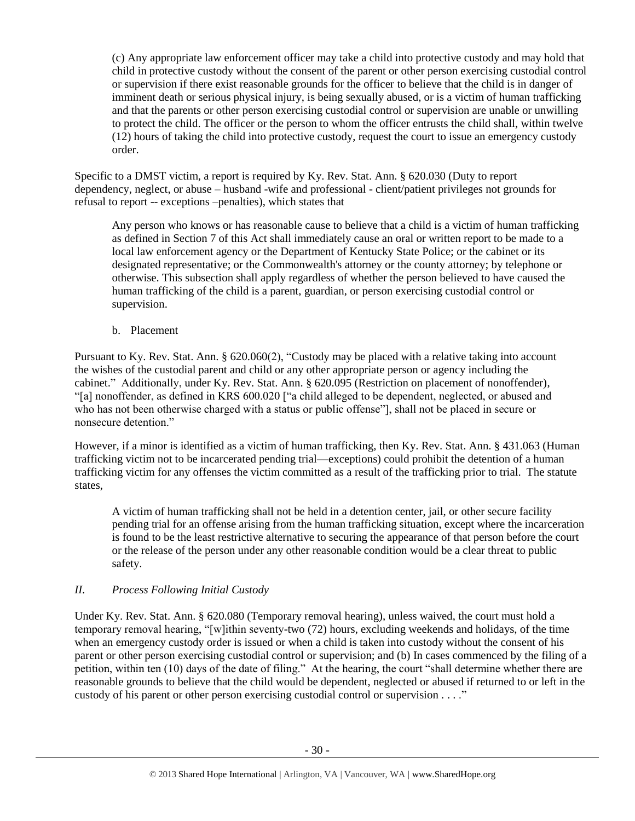(c) Any appropriate law enforcement officer may take a child into protective custody and may hold that child in protective custody without the consent of the parent or other person exercising custodial control or supervision if there exist reasonable grounds for the officer to believe that the child is in danger of imminent death or serious physical injury, is being sexually abused, or is a victim of human trafficking and that the parents or other person exercising custodial control or supervision are unable or unwilling to protect the child. The officer or the person to whom the officer entrusts the child shall, within twelve (12) hours of taking the child into protective custody, request the court to issue an emergency custody order.

Specific to a DMST victim, a report is required by Ky. Rev. Stat. Ann. § 620.030 (Duty to report dependency, neglect, or abuse – husband -wife and professional - client/patient privileges not grounds for refusal to report -- exceptions –penalties), which states that

Any person who knows or has reasonable cause to believe that a child is a victim of human trafficking as defined in Section 7 of this Act shall immediately cause an oral or written report to be made to a local law enforcement agency or the Department of Kentucky State Police; or the cabinet or its designated representative; or the Commonwealth's attorney or the county attorney; by telephone or otherwise. This subsection shall apply regardless of whether the person believed to have caused the human trafficking of the child is a parent, guardian, or person exercising custodial control or supervision.

b. Placement

Pursuant to Ky. Rev. Stat. Ann. § 620.060(2), "Custody may be placed with a relative taking into account the wishes of the custodial parent and child or any other appropriate person or agency including the cabinet." Additionally, under Ky. Rev. Stat. Ann. § 620.095 (Restriction on placement of nonoffender), "[a] nonoffender, as defined in KRS 600.020 ["a child alleged to be dependent, neglected, or abused and who has not been otherwise charged with a status or public offense"], shall not be placed in secure or nonsecure detention."

However, if a minor is identified as a victim of human trafficking, then Ky. Rev. Stat. Ann. § 431.063 (Human trafficking victim not to be incarcerated pending trial—exceptions) could prohibit the detention of a human trafficking victim for any offenses the victim committed as a result of the trafficking prior to trial. The statute states,

A victim of human trafficking shall not be held in a detention center, jail, or other secure facility pending trial for an offense arising from the human trafficking situation, except where the incarceration is found to be the least restrictive alternative to securing the appearance of that person before the court or the release of the person under any other reasonable condition would be a clear threat to public safety.

# *II. Process Following Initial Custody*

Under Ky. Rev. Stat. Ann. § 620.080 (Temporary removal hearing), unless waived, the court must hold a temporary removal hearing, "[w]ithin seventy-two (72) hours, excluding weekends and holidays, of the time when an emergency custody order is issued or when a child is taken into custody without the consent of his parent or other person exercising custodial control or supervision; and (b) In cases commenced by the filing of a petition, within ten (10) days of the date of filing." At the hearing, the court "shall determine whether there are reasonable grounds to believe that the child would be dependent, neglected or abused if returned to or left in the custody of his parent or other person exercising custodial control or supervision . . . ."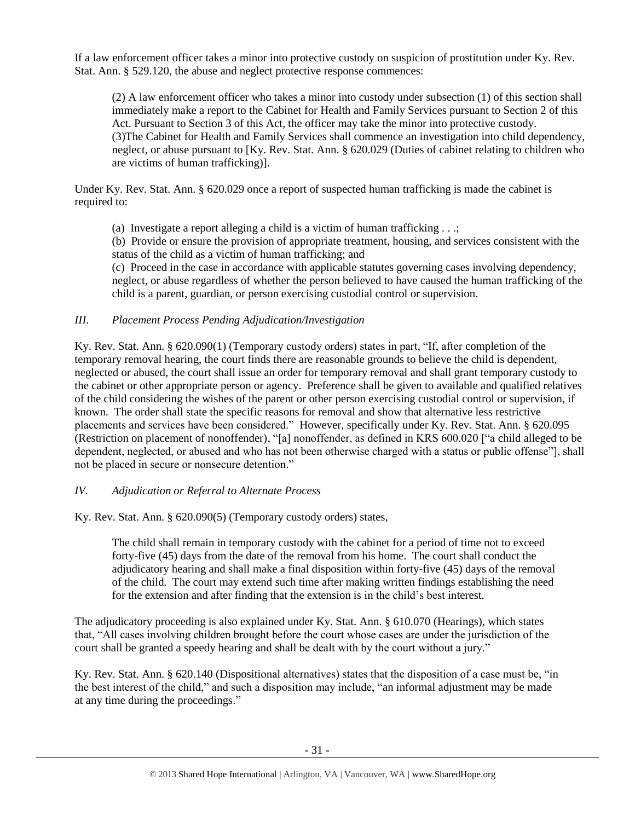If a law enforcement officer takes a minor into protective custody on suspicion of prostitution under Ky. Rev. Stat. Ann. § 529.120, the abuse and neglect protective response commences:

(2) A law enforcement officer who takes a minor into custody under subsection (1) of this section shall immediately make a report to the Cabinet for Health and Family Services pursuant to Section 2 of this Act. Pursuant to Section 3 of this Act, the officer may take the minor into protective custody. (3)The Cabinet for Health and Family Services shall commence an investigation into child dependency, neglect, or abuse pursuant to [Ky. Rev. Stat. Ann. § 620.029 (Duties of cabinet relating to children who are victims of human trafficking)].

Under Ky. Rev. Stat. Ann. § 620.029 once a report of suspected human trafficking is made the cabinet is required to:

(a) Investigate a report alleging a child is a victim of human trafficking . . .;

(b) Provide or ensure the provision of appropriate treatment, housing, and services consistent with the status of the child as a victim of human trafficking; and

(c) Proceed in the case in accordance with applicable statutes governing cases involving dependency, neglect, or abuse regardless of whether the person believed to have caused the human trafficking of the child is a parent, guardian, or person exercising custodial control or supervision.

## *III. Placement Process Pending Adjudication/Investigation*

Ky. Rev. Stat. Ann. § 620.090(1) (Temporary custody orders) states in part, "If, after completion of the temporary removal hearing, the court finds there are reasonable grounds to believe the child is dependent, neglected or abused, the court shall issue an order for temporary removal and shall grant temporary custody to the cabinet or other appropriate person or agency. Preference shall be given to available and qualified relatives of the child considering the wishes of the parent or other person exercising custodial control or supervision, if known. The order shall state the specific reasons for removal and show that alternative less restrictive placements and services have been considered." However, specifically under Ky. Rev. Stat. Ann. § 620.095 (Restriction on placement of nonoffender), "[a] nonoffender, as defined in KRS 600.020 ["a child alleged to be dependent, neglected, or abused and who has not been otherwise charged with a status or public offense"], shall not be placed in secure or nonsecure detention."

# *IV. Adjudication or Referral to Alternate Process*

Ky. Rev. Stat. Ann. § 620.090(5) (Temporary custody orders) states,

The child shall remain in temporary custody with the cabinet for a period of time not to exceed forty-five (45) days from the date of the removal from his home. The court shall conduct the adjudicatory hearing and shall make a final disposition within forty-five (45) days of the removal of the child. The court may extend such time after making written findings establishing the need for the extension and after finding that the extension is in the child's best interest.

The adjudicatory proceeding is also explained under Ky. Stat. Ann. § 610.070 (Hearings), which states that, "All cases involving children brought before the court whose cases are under the jurisdiction of the court shall be granted a speedy hearing and shall be dealt with by the court without a jury."

Ky. Rev. Stat. Ann. § 620.140 (Dispositional alternatives) states that the disposition of a case must be, "in the best interest of the child," and such a disposition may include, "an informal adjustment may be made at any time during the proceedings."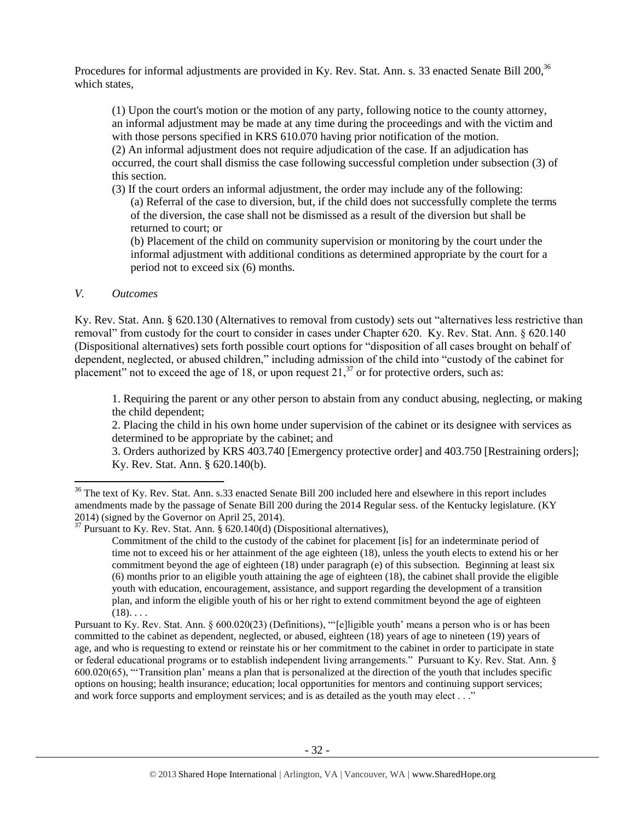Procedures for informal adjustments are provided in Ky. Rev. Stat. Ann. s. 33 enacted Senate Bill 200,<sup>36</sup> which states,

(1) Upon the court's motion or the motion of any party, following notice to the county attorney, an informal adjustment may be made at any time during the proceedings and with the victim and with those persons specified in KRS 610.070 having prior notification of the motion. (2) An informal adjustment does not require adjudication of the case. If an adjudication has occurred, the court shall dismiss the case following successful completion under subsection (3) of this section.

(3) If the court orders an informal adjustment, the order may include any of the following: (a) Referral of the case to diversion, but, if the child does not successfully complete the terms of the diversion, the case shall not be dismissed as a result of the diversion but shall be returned to court; or

(b) Placement of the child on community supervision or monitoring by the court under the informal adjustment with additional conditions as determined appropriate by the court for a period not to exceed six (6) months.

#### *V. Outcomes*

 $\overline{\phantom{a}}$ 

Ky. Rev. Stat. Ann. § 620.130 (Alternatives to removal from custody) sets out "alternatives less restrictive than removal" from custody for the court to consider in cases under Chapter 620. Ky. Rev. Stat. Ann. § 620.140 (Dispositional alternatives) sets forth possible court options for "disposition of all cases brought on behalf of dependent, neglected, or abused children," including admission of the child into "custody of the cabinet for placement" not to exceed the age of 18, or upon request  $21$ ,  $37$  or for protective orders, such as:

1. Requiring the parent or any other person to abstain from any conduct abusing, neglecting, or making the child dependent;

2. Placing the child in his own home under supervision of the cabinet or its designee with services as determined to be appropriate by the cabinet; and

3. Orders authorized by KRS 403.740 [Emergency protective order] and 403.750 [Restraining orders]; Ky. Rev. Stat. Ann. § 620.140(b).

<sup>&</sup>lt;sup>36</sup> The text of Ky. Rev. Stat. Ann. s.33 enacted Senate Bill 200 included here and elsewhere in this report includes amendments made by the passage of Senate Bill 200 during the 2014 Regular sess. of the Kentucky legislature. (KY 2014) (signed by the Governor on April 25, 2014).

 $37$  Pursuant to Ky. Rev. Stat. Ann. § 620.140(d) (Dispositional alternatives),

Commitment of the child to the custody of the cabinet for placement [is] for an indeterminate period of time not to exceed his or her attainment of the age eighteen (18), unless the youth elects to extend his or her commitment beyond the age of eighteen (18) under paragraph (e) of this subsection. Beginning at least six (6) months prior to an eligible youth attaining the age of eighteen (18), the cabinet shall provide the eligible youth with education, encouragement, assistance, and support regarding the development of a transition plan, and inform the eligible youth of his or her right to extend commitment beyond the age of eighteen  $(18)$ ...

Pursuant to Ky. Rev. Stat. Ann. § 600.020(23) (Definitions), "'[e]ligible youth' means a person who is or has been committed to the cabinet as dependent, neglected, or abused, eighteen (18) years of age to nineteen (19) years of age, and who is requesting to extend or reinstate his or her commitment to the cabinet in order to participate in state or federal educational programs or to establish independent living arrangements." Pursuant to Ky. Rev. Stat. Ann. § 600.020(65), "'Transition plan' means a plan that is personalized at the direction of the youth that includes specific options on housing; health insurance; education; local opportunities for mentors and continuing support services; and work force supports and employment services; and is as detailed as the youth may elect . . ."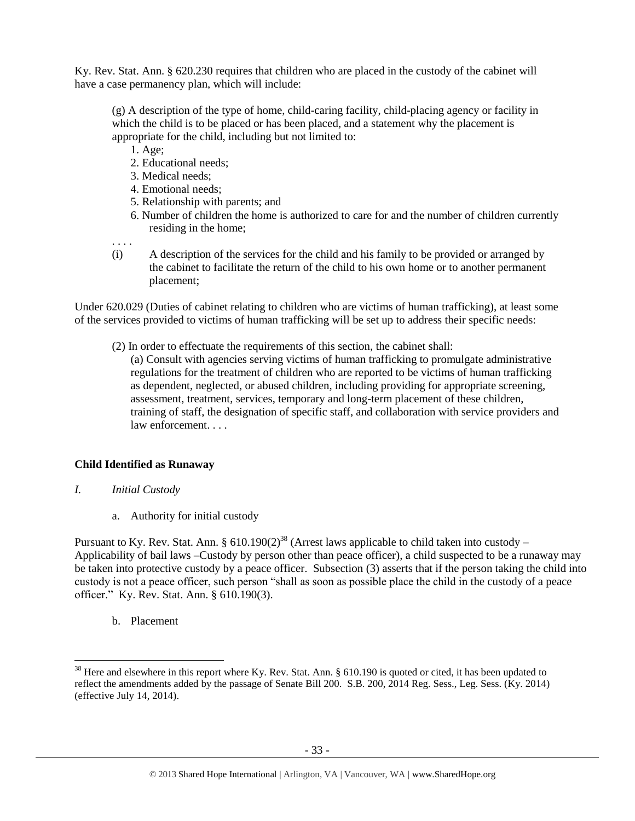Ky. Rev. Stat. Ann. § 620.230 requires that children who are placed in the custody of the cabinet will have a case permanency plan, which will include:

(g) A description of the type of home, child-caring facility, child-placing agency or facility in which the child is to be placed or has been placed, and a statement why the placement is appropriate for the child, including but not limited to:

- 1. Age;
- 2. Educational needs;
- 3. Medical needs;
- 4. Emotional needs;
- 5. Relationship with parents; and
- 6. Number of children the home is authorized to care for and the number of children currently residing in the home;

. . . .

(i) A description of the services for the child and his family to be provided or arranged by the cabinet to facilitate the return of the child to his own home or to another permanent placement;

Under 620.029 (Duties of cabinet relating to children who are victims of human trafficking), at least some of the services provided to victims of human trafficking will be set up to address their specific needs:

(2) In order to effectuate the requirements of this section, the cabinet shall:

(a) Consult with agencies serving victims of human trafficking to promulgate administrative regulations for the treatment of children who are reported to be victims of human trafficking as dependent, neglected, or abused children, including providing for appropriate screening, assessment, treatment, services, temporary and long-term placement of these children, training of staff, the designation of specific staff, and collaboration with service providers and law enforcement.

# **Child Identified as Runaway**

- *I. Initial Custody*
	- a. Authority for initial custody

Pursuant to Ky. Rev. Stat. Ann. §  $610.190(2)^{38}$  (Arrest laws applicable to child taken into custody – Applicability of bail laws –Custody by person other than peace officer), a child suspected to be a runaway may be taken into protective custody by a peace officer. Subsection (3) asserts that if the person taking the child into custody is not a peace officer, such person "shall as soon as possible place the child in the custody of a peace officer." Ky. Rev. Stat. Ann. § 610.190(3).

b. Placement

 $\overline{\phantom{a}}$ 

<sup>&</sup>lt;sup>38</sup> Here and elsewhere in this report where Ky. Rev. Stat. Ann. § 610.190 is quoted or cited, it has been updated to reflect the amendments added by the passage of Senate Bill 200. S.B. 200, 2014 Reg. Sess., Leg. Sess. (Ky. 2014) (effective July 14, 2014).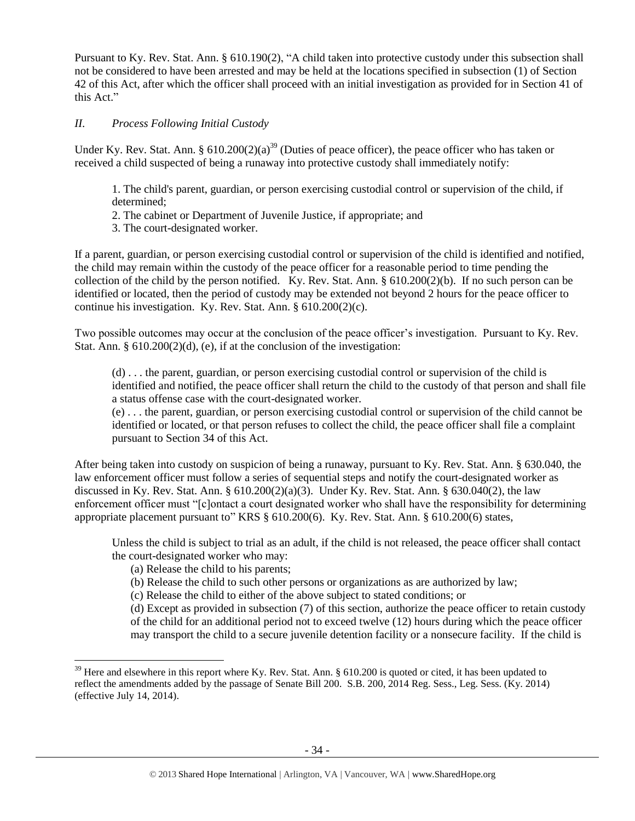Pursuant to Ky. Rev. Stat. Ann. § 610.190(2), "A child taken into protective custody under this subsection shall not be considered to have been arrested and may be held at the locations specified in subsection (1) of Section 42 of this Act, after which the officer shall proceed with an initial investigation as provided for in Section 41 of this Act."

# *II. Process Following Initial Custody*

Under Ky. Rev. Stat. Ann. §  $610.200(2)(a)^{39}$  (Duties of peace officer), the peace officer who has taken or received a child suspected of being a runaway into protective custody shall immediately notify:

<span id="page-33-0"></span>1. The child's parent, guardian, or person exercising custodial control or supervision of the child, if determined;

- 2. The cabinet or Department of Juvenile Justice, if appropriate; and
- 3. The court-designated worker.

If a parent, guardian, or person exercising custodial control or supervision of the child is identified and notified, the child may remain within the custody of the peace officer for a reasonable period to time pending the collection of the child by the person notified. Ky. Rev. Stat. Ann. § 610.200(2)(b). If no such person can be identified or located, then the period of custody may be extended not beyond 2 hours for the peace officer to continue his investigation. Ky. Rev. Stat. Ann. § 610.200(2)(c).

Two possible outcomes may occur at the conclusion of the peace officer's investigation. Pursuant to Ky. Rev. Stat. Ann. § 610.200(2)(d), (e), if at the conclusion of the investigation:

(d) . . . the parent, guardian, or person exercising custodial control or supervision of the child is identified and notified, the peace officer shall return the child to the custody of that person and shall file a status offense case with the court-designated worker.

(e) . . . the parent, guardian, or person exercising custodial control or supervision of the child cannot be identified or located, or that person refuses to collect the child, the peace officer shall file a complaint pursuant to Section 34 of this Act.

After being taken into custody on suspicion of being a runaway, pursuant to Ky. Rev. Stat. Ann. § 630.040, the law enforcement officer must follow a series of sequential steps and notify the court-designated worker as discussed in Ky. Rev. Stat. Ann. § 610.200(2)(a)(3). Under Ky. Rev. Stat. Ann. § 630.040(2), the law enforcement officer must "[c]ontact a court designated worker who shall have the responsibility for determining appropriate placement pursuant to" KRS § 610.200(6). Ky. Rev. Stat. Ann. § 610.200(6) states,

Unless the child is subject to trial as an adult, if the child is not released, the peace officer shall contact the court-designated worker who may:

(a) Release the child to his parents;

 $\overline{\phantom{a}}$ 

(b) Release the child to such other persons or organizations as are authorized by law;

(c) Release the child to either of the above subject to stated conditions; or

(d) Except as provided in subsection (7) of this section, authorize the peace officer to retain custody of the child for an additional period not to exceed twelve (12) hours during which the peace officer may transport the child to a secure juvenile detention facility or a nonsecure facility. If the child is

 $39$  Here and elsewhere in this report where Ky. Rev. Stat. Ann. § 610.200 is quoted or cited, it has been updated to reflect the amendments added by the passage of Senate Bill 200. S.B. 200, 2014 Reg. Sess., Leg. Sess. (Ky. 2014) (effective July 14, 2014).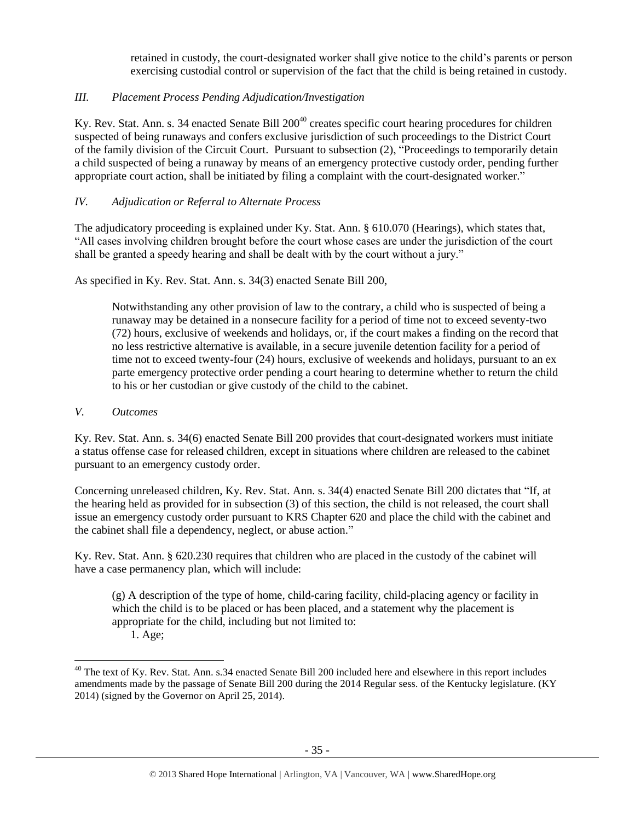retained in custody, the court-designated worker shall give notice to the child's parents or person exercising custodial control or supervision of the fact that the child is being retained in custody.

# *III. Placement Process Pending Adjudication/Investigation*

Ky. Rev. Stat. Ann. s. 34 enacted Senate Bill 200<sup>40</sup> creates specific court hearing procedures for children suspected of being runaways and confers exclusive jurisdiction of such proceedings to the District Court of the family division of the Circuit Court. Pursuant to subsection (2), "Proceedings to temporarily detain a child suspected of being a runaway by means of an emergency protective custody order, pending further appropriate court action, shall be initiated by filing a complaint with the court-designated worker."

# *IV. Adjudication or Referral to Alternate Process*

The adjudicatory proceeding is explained under Ky. Stat. Ann. § 610.070 (Hearings), which states that, "All cases involving children brought before the court whose cases are under the jurisdiction of the court shall be granted a speedy hearing and shall be dealt with by the court without a jury."

As specified in Ky. Rev. Stat. Ann. s. 34(3) enacted Senate Bill 200,

Notwithstanding any other provision of law to the contrary, a child who is suspected of being a runaway may be detained in a nonsecure facility for a period of time not to exceed seventy-two (72) hours, exclusive of weekends and holidays, or, if the court makes a finding on the record that no less restrictive alternative is available, in a secure juvenile detention facility for a period of time not to exceed twenty-four (24) hours, exclusive of weekends and holidays, pursuant to an ex parte emergency protective order pending a court hearing to determine whether to return the child to his or her custodian or give custody of the child to the cabinet.

#### *V. Outcomes*

 $\overline{\phantom{a}}$ 

Ky. Rev. Stat. Ann. s. 34(6) enacted Senate Bill 200 provides that court-designated workers must initiate a status offense case for released children, except in situations where children are released to the cabinet pursuant to an emergency custody order.

Concerning unreleased children, Ky. Rev. Stat. Ann. s. 34(4) enacted Senate Bill 200 dictates that "If, at the hearing held as provided for in subsection (3) of this section, the child is not released, the court shall issue an emergency custody order pursuant to KRS Chapter 620 and place the child with the cabinet and the cabinet shall file a dependency, neglect, or abuse action."

Ky. Rev. Stat. Ann. § 620.230 requires that children who are placed in the custody of the cabinet will have a case permanency plan, which will include:

(g) A description of the type of home, child-caring facility, child-placing agency or facility in which the child is to be placed or has been placed, and a statement why the placement is appropriate for the child, including but not limited to: 1. Age;

 $^{40}$  The text of Ky. Rev. Stat. Ann. s.34 enacted Senate Bill 200 included here and elsewhere in this report includes amendments made by the passage of Senate Bill 200 during the 2014 Regular sess. of the Kentucky legislature. (KY 2014) (signed by the Governor on April 25, 2014).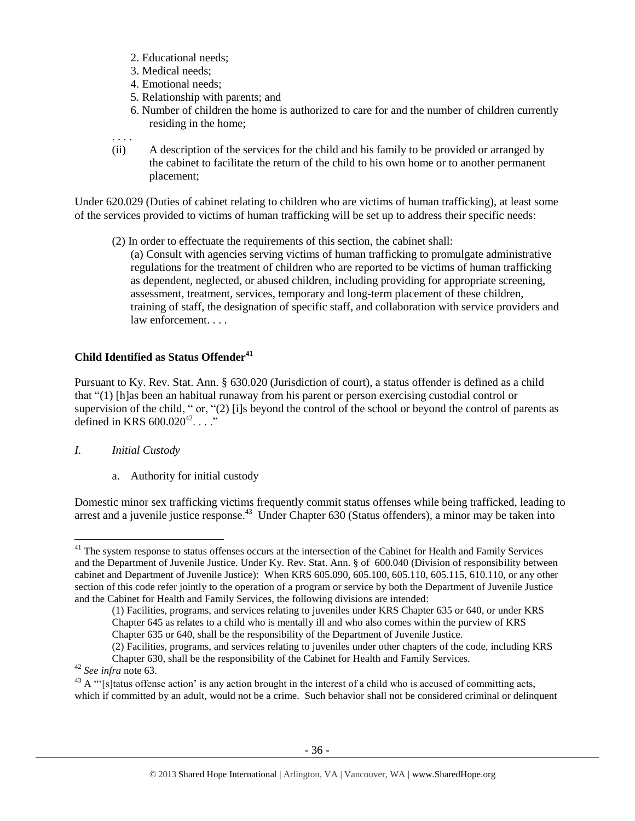- 2. Educational needs;
- 3. Medical needs;
- 4. Emotional needs;
- 5. Relationship with parents; and
- 6. Number of children the home is authorized to care for and the number of children currently residing in the home;
- . . . .
- (ii) A description of the services for the child and his family to be provided or arranged by the cabinet to facilitate the return of the child to his own home or to another permanent placement;

Under 620.029 (Duties of cabinet relating to children who are victims of human trafficking), at least some of the services provided to victims of human trafficking will be set up to address their specific needs:

(2) In order to effectuate the requirements of this section, the cabinet shall:

(a) Consult with agencies serving victims of human trafficking to promulgate administrative regulations for the treatment of children who are reported to be victims of human trafficking as dependent, neglected, or abused children, including providing for appropriate screening, assessment, treatment, services, temporary and long-term placement of these children, training of staff, the designation of specific staff, and collaboration with service providers and law enforcement. . . .

# **Child Identified as Status Offender<sup>41</sup>**

Pursuant to Ky. Rev. Stat. Ann. § 630.020 (Jurisdiction of court), a status offender is defined as a child that "(1) [h]as been an habitual runaway from his parent or person exercising custodial control or supervision of the child, " or, "(2) [i]s beyond the control of the school or beyond the control of parents as defined in KRS  $600.020^{42}$ ...."

# *I. Initial Custody*

a. Authority for initial custody

Domestic minor sex trafficking victims frequently commit status offenses while being trafficked, leading to arrest and a juvenile justice response.<sup>43</sup> Under Chapter 630 (Status offenders), a minor may be taken into

 $\overline{\phantom{a}}$ <sup>41</sup> The system response to status offenses occurs at the intersection of the Cabinet for Health and Family Services and the Department of Juvenile Justice. Under Ky. Rev. Stat. Ann. § of 600.040 (Division of responsibility between cabinet and Department of Juvenile Justice): When KRS 605.090, 605.100, 605.110, 605.115, 610.110, or any other section of this code refer jointly to the operation of a program or service by both the Department of Juvenile Justice and the Cabinet for Health and Family Services, the following divisions are intended:

<sup>(1)</sup> Facilities, programs, and services relating to juveniles under KRS Chapter 635 or 640, or under KRS Chapter 645 as relates to a child who is mentally ill and who also comes within the purview of KRS Chapter 635 or 640, shall be the responsibility of the Department of Juvenile Justice.

<sup>(2)</sup> Facilities, programs, and services relating to juveniles under other chapters of the code, including KRS

Chapter 630, shall be the responsibility of the Cabinet for Health and Family Services.

<sup>42</sup> *See infra* note 63.

 $^{43}$  A "'[s]tatus offense action' is any action brought in the interest of a child who is accused of committing acts, which if committed by an adult, would not be a crime. Such behavior shall not be considered criminal or delinquent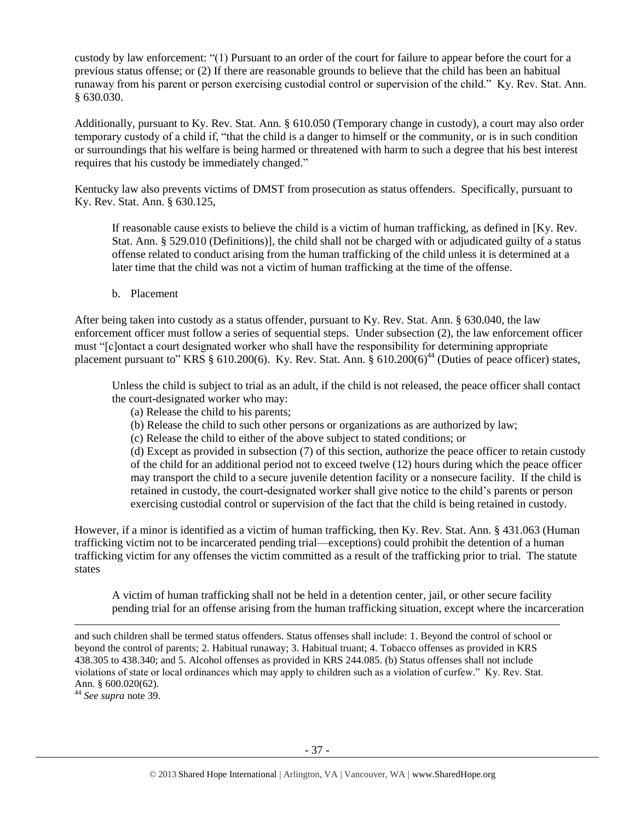custody by law enforcement: "(1) Pursuant to an order of the court for failure to appear before the court for a previous status offense; or (2) If there are reasonable grounds to believe that the child has been an habitual runaway from his parent or person exercising custodial control or supervision of the child." Ky. Rev. Stat. Ann. § 630.030.

Additionally, pursuant to Ky. Rev. Stat. Ann. § 610.050 (Temporary change in custody), a court may also order temporary custody of a child if, "that the child is a danger to himself or the community, or is in such condition or surroundings that his welfare is being harmed or threatened with harm to such a degree that his best interest requires that his custody be immediately changed."

Kentucky law also prevents victims of DMST from prosecution as status offenders. Specifically, pursuant to Ky. Rev. Stat. Ann. § 630.125,

If reasonable cause exists to believe the child is a victim of human trafficking, as defined in [Ky. Rev. Stat. Ann. § 529.010 (Definitions)], the child shall not be charged with or adjudicated guilty of a status offense related to conduct arising from the human trafficking of the child unless it is determined at a later time that the child was not a victim of human trafficking at the time of the offense.

b. Placement

After being taken into custody as a status offender, pursuant to Ky. Rev. Stat. Ann. § 630.040, the law enforcement officer must follow a series of sequential steps. Under subsection (2), the law enforcement officer must "[c]ontact a court designated worker who shall have the responsibility for determining appropriate placement pursuant to" KRS § 610.200(6). Ky. Rev. Stat. Ann. § 610.200(6)<sup>44</sup> (Duties of peace officer) states,

Unless the child is subject to trial as an adult, if the child is not released, the peace officer shall contact the court-designated worker who may:

- (a) Release the child to his parents;
- (b) Release the child to such other persons or organizations as are authorized by law;
- (c) Release the child to either of the above subject to stated conditions; or

(d) Except as provided in subsection (7) of this section, authorize the peace officer to retain custody of the child for an additional period not to exceed twelve (12) hours during which the peace officer may transport the child to a secure juvenile detention facility or a nonsecure facility. If the child is retained in custody, the court-designated worker shall give notice to the child's parents or person exercising custodial control or supervision of the fact that the child is being retained in custody.

However, if a minor is identified as a victim of human trafficking, then Ky. Rev. Stat. Ann. § 431.063 (Human trafficking victim not to be incarcerated pending trial—exceptions) could prohibit the detention of a human trafficking victim for any offenses the victim committed as a result of the trafficking prior to trial. The statute states

A victim of human trafficking shall not be held in a detention center, jail, or other secure facility pending trial for an offense arising from the human trafficking situation, except where the incarceration

<sup>44</sup> *See supra* note [39.](#page-33-0)

 $\overline{\phantom{a}}$ 

and such children shall be termed status offenders. Status offenses shall include: 1. Beyond the control of school or beyond the control of parents; 2. Habitual runaway; 3. Habitual truant; 4. Tobacco offenses as provided in KRS 438.305 to 438.340; and 5. Alcohol offenses as provided in KRS 244.085. (b) Status offenses shall not include violations of state or local ordinances which may apply to children such as a violation of curfew." Ky. Rev. Stat. Ann. § 600.020(62).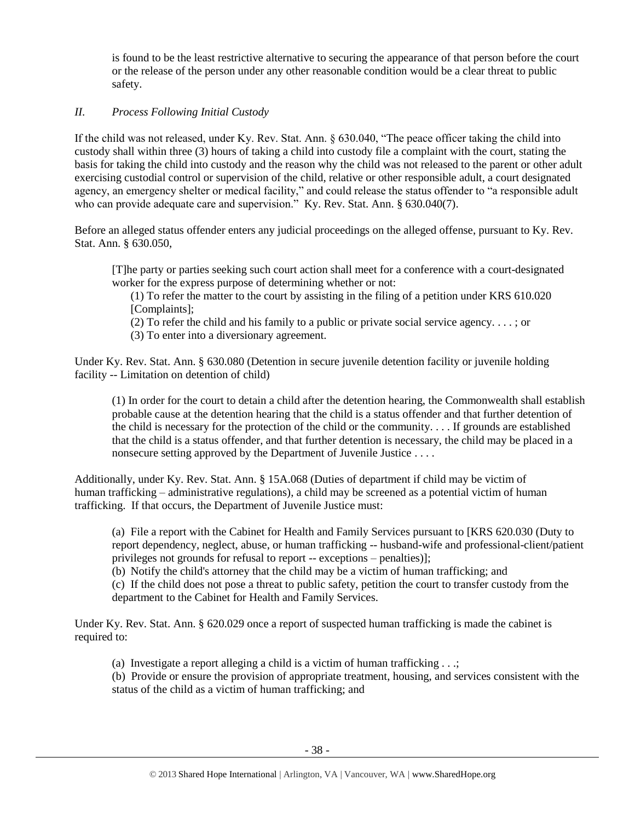is found to be the least restrictive alternative to securing the appearance of that person before the court or the release of the person under any other reasonable condition would be a clear threat to public safety.

# *II. Process Following Initial Custody*

If the child was not released, under Ky. Rev. Stat. Ann. § 630.040, "The peace officer taking the child into custody shall within three (3) hours of taking a child into custody file a complaint with the court, stating the basis for taking the child into custody and the reason why the child was not released to the parent or other adult exercising custodial control or supervision of the child, relative or other responsible adult, a court designated agency, an emergency shelter or medical facility," and could release the status offender to "a responsible adult who can provide adequate care and supervision." Ky. Rev. Stat. Ann. § 630.040(7).

Before an alleged status offender enters any judicial proceedings on the alleged offense, pursuant to Ky. Rev. Stat. Ann. § 630.050,

[T]he party or parties seeking such court action shall meet for a conference with a court-designated worker for the express purpose of determining whether or not:

(1) To refer the matter to the court by assisting in the filing of a petition under KRS 610.020 [Complaints];

(2) To refer the child and his family to a public or private social service agency. . . . ; or

(3) To enter into a diversionary agreement.

Under Ky. Rev. Stat. Ann. § 630.080 (Detention in secure juvenile detention facility or juvenile holding facility -- Limitation on detention of child)

(1) In order for the court to detain a child after the detention hearing, the Commonwealth shall establish probable cause at the detention hearing that the child is a status offender and that further detention of the child is necessary for the protection of the child or the community. . . . If grounds are established that the child is a status offender, and that further detention is necessary, the child may be placed in a nonsecure setting approved by the Department of Juvenile Justice . . . .

Additionally, under Ky. Rev. Stat. Ann. § 15A.068 (Duties of department if child may be victim of human trafficking – administrative regulations), a child may be screened as a potential victim of human trafficking. If that occurs, the Department of Juvenile Justice must:

(a) File a report with the Cabinet for Health and Family Services pursuant to [KRS 620.030 (Duty to report dependency, neglect, abuse, or human trafficking -- husband-wife and professional-client/patient privileges not grounds for refusal to report -- exceptions – penalties)];

(b) Notify the child's attorney that the child may be a victim of human trafficking; and

(c) If the child does not pose a threat to public safety, petition the court to transfer custody from the department to the Cabinet for Health and Family Services.

Under Ky. Rev. Stat. Ann. § 620.029 once a report of suspected human trafficking is made the cabinet is required to:

(a) Investigate a report alleging a child is a victim of human trafficking . . .;

(b) Provide or ensure the provision of appropriate treatment, housing, and services consistent with the status of the child as a victim of human trafficking; and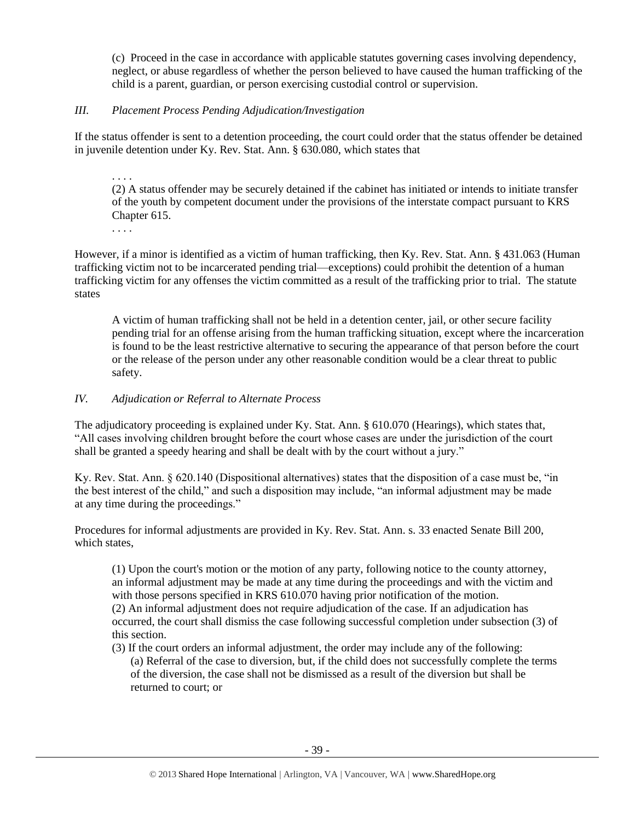(c) Proceed in the case in accordance with applicable statutes governing cases involving dependency, neglect, or abuse regardless of whether the person believed to have caused the human trafficking of the child is a parent, guardian, or person exercising custodial control or supervision.

## *III. Placement Process Pending Adjudication/Investigation*

If the status offender is sent to a detention proceeding, the court could order that the status offender be detained in juvenile detention under Ky. Rev. Stat. Ann. § 630.080, which states that

. . . . (2) A status offender may be securely detained if the cabinet has initiated or intends to initiate transfer of the youth by competent document under the provisions of the interstate compact pursuant to KRS Chapter 615.

. . . .

However, if a minor is identified as a victim of human trafficking, then Ky. Rev. Stat. Ann. § 431.063 (Human trafficking victim not to be incarcerated pending trial—exceptions) could prohibit the detention of a human trafficking victim for any offenses the victim committed as a result of the trafficking prior to trial. The statute states

A victim of human trafficking shall not be held in a detention center, jail, or other secure facility pending trial for an offense arising from the human trafficking situation, except where the incarceration is found to be the least restrictive alternative to securing the appearance of that person before the court or the release of the person under any other reasonable condition would be a clear threat to public safety.

## *IV. Adjudication or Referral to Alternate Process*

The adjudicatory proceeding is explained under Ky. Stat. Ann. § 610.070 (Hearings), which states that, "All cases involving children brought before the court whose cases are under the jurisdiction of the court shall be granted a speedy hearing and shall be dealt with by the court without a jury."

Ky. Rev. Stat. Ann. § 620.140 (Dispositional alternatives) states that the disposition of a case must be, "in the best interest of the child," and such a disposition may include, "an informal adjustment may be made at any time during the proceedings."

Procedures for informal adjustments are provided in Ky. Rev. Stat. Ann. s. 33 enacted Senate Bill 200, which states,

(1) Upon the court's motion or the motion of any party, following notice to the county attorney, an informal adjustment may be made at any time during the proceedings and with the victim and with those persons specified in KRS 610.070 having prior notification of the motion. (2) An informal adjustment does not require adjudication of the case. If an adjudication has occurred, the court shall dismiss the case following successful completion under subsection (3) of this section.

(3) If the court orders an informal adjustment, the order may include any of the following: (a) Referral of the case to diversion, but, if the child does not successfully complete the terms of the diversion, the case shall not be dismissed as a result of the diversion but shall be returned to court; or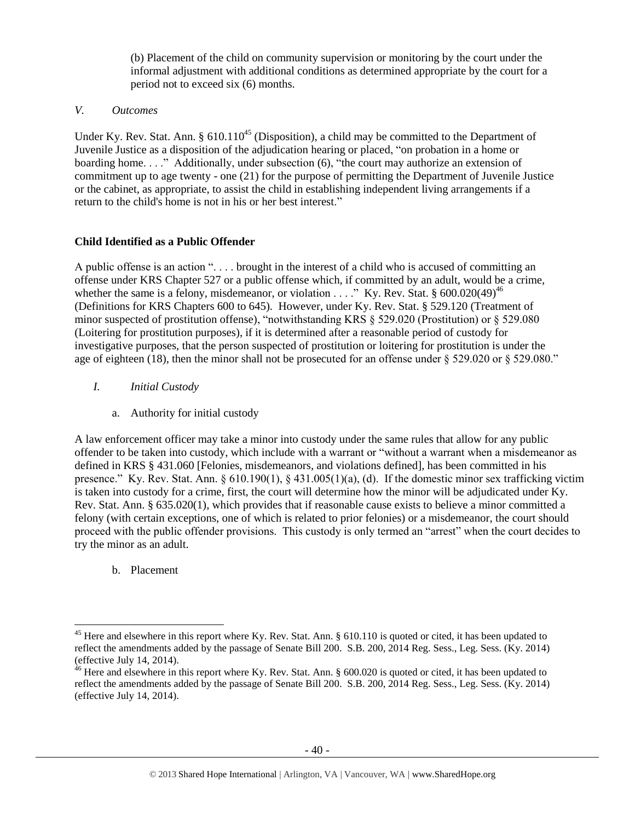(b) Placement of the child on community supervision or monitoring by the court under the informal adjustment with additional conditions as determined appropriate by the court for a period not to exceed six (6) months.

#### *V. Outcomes*

Under Ky. Rev. Stat. Ann.  $\S 610.110^{45}$  (Disposition), a child may be committed to the Department of Juvenile Justice as a disposition of the adjudication hearing or placed, "on probation in a home or boarding home. . . ." Additionally, under subsection (6), "the court may authorize an extension of commitment up to age twenty - one (21) for the purpose of permitting the Department of Juvenile Justice or the cabinet, as appropriate, to assist the child in establishing independent living arrangements if a return to the child's home is not in his or her best interest."

# **Child Identified as a Public Offender**

A public offense is an action ". . . . brought in the interest of a child who is accused of committing an offense under KRS Chapter 527 or a public offense which, if committed by an adult, would be a crime, whether the same is a felony, misdemeanor, or violation . . . ." Ky. Rev. Stat. § 600.020(49)<sup>46</sup> (Definitions for KRS Chapters 600 to 645). However, under Ky. Rev. Stat. § 529.120 (Treatment of minor suspected of prostitution offense), "notwithstanding KRS § 529.020 (Prostitution) or § 529.080 (Loitering for prostitution purposes), if it is determined after a reasonable period of custody for investigative purposes, that the person suspected of prostitution or loitering for prostitution is under the age of eighteen (18), then the minor shall not be prosecuted for an offense under § 529.020 or § 529.080."

- <span id="page-39-0"></span>*I. Initial Custody*
	- a. Authority for initial custody

A law enforcement officer may take a minor into custody under the same rules that allow for any public offender to be taken into custody, which include with a warrant or "without a warrant when a misdemeanor as defined in KRS § 431.060 [Felonies, misdemeanors, and violations defined], has been committed in his presence." Ky. Rev. Stat. Ann. § 610.190(1), § 431.005(1)(a), (d). If the domestic minor sex trafficking victim is taken into custody for a crime, first, the court will determine how the minor will be adjudicated under Ky. Rev. Stat. Ann. § 635.020(1), which provides that if reasonable cause exists to believe a minor committed a felony (with certain exceptions, one of which is related to prior felonies) or a misdemeanor, the court should proceed with the public offender provisions. This custody is only termed an "arrest" when the court decides to try the minor as an adult.

b. Placement

 $\overline{\phantom{a}}$ 

<sup>&</sup>lt;sup>45</sup> Here and elsewhere in this report where Ky. Rev. Stat. Ann. § 610.110 is quoted or cited, it has been updated to reflect the amendments added by the passage of Senate Bill 200. S.B. 200, 2014 Reg. Sess., Leg. Sess. (Ky. 2014) (effective July 14, 2014).

 $^{46}$  Here and elsewhere in this report where Ky. Rev. Stat. Ann. § 600.020 is quoted or cited, it has been updated to reflect the amendments added by the passage of Senate Bill 200. S.B. 200, 2014 Reg. Sess., Leg. Sess. (Ky. 2014) (effective July 14, 2014).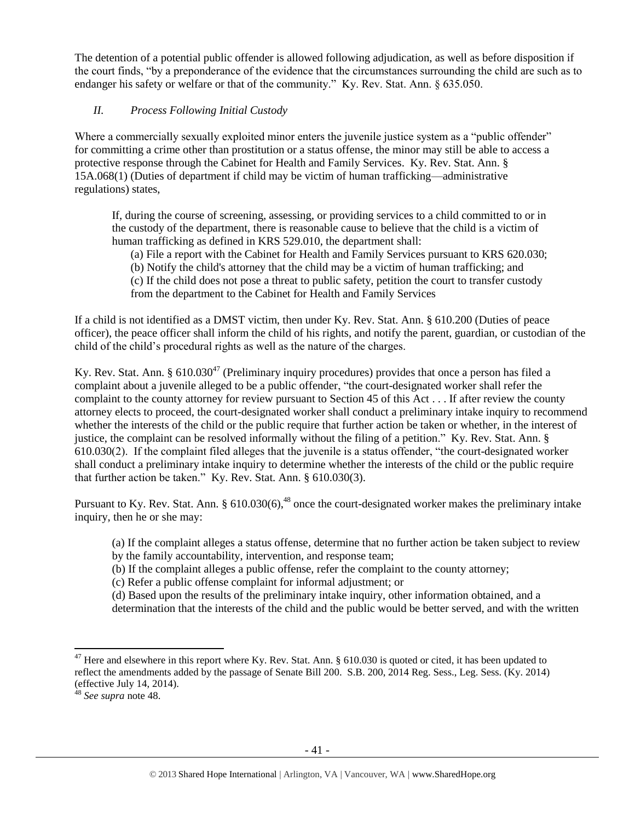The detention of a potential public offender is allowed following adjudication, as well as before disposition if the court finds, "by a preponderance of the evidence that the circumstances surrounding the child are such as to endanger his safety or welfare or that of the community." Ky. Rev. Stat. Ann. § 635.050.

# *II. Process Following Initial Custody*

Where a commercially sexually exploited minor enters the juvenile justice system as a "public offender" for committing a crime other than prostitution or a status offense, the minor may still be able to access a protective response through the Cabinet for Health and Family Services. Ky. Rev. Stat. Ann. § 15A.068(1) (Duties of department if child may be victim of human trafficking—administrative regulations) states,

If, during the course of screening, assessing, or providing services to a child committed to or in the custody of the department, there is reasonable cause to believe that the child is a victim of human trafficking as defined in KRS 529.010, the department shall:

(a) File a report with the Cabinet for Health and Family Services pursuant to KRS 620.030;

(b) Notify the child's attorney that the child may be a victim of human trafficking; and

(c) If the child does not pose a threat to public safety, petition the court to transfer custody from the department to the Cabinet for Health and Family Services

If a child is not identified as a DMST victim, then under Ky. Rev. Stat. Ann. § 610.200 (Duties of peace officer), the peace officer shall inform the child of his rights, and notify the parent, guardian, or custodian of the child of the child's procedural rights as well as the nature of the charges.

Ky. Rev. Stat. Ann. §  $610.030^{47}$  (Preliminary inquiry procedures) provides that once a person has filed a complaint about a juvenile alleged to be a public offender, "the court-designated worker shall refer the complaint to the county attorney for review pursuant to Section 45 of this Act . . . If after review the county attorney elects to proceed, the court-designated worker shall conduct a preliminary intake inquiry to recommend whether the interests of the child or the public require that further action be taken or whether, in the interest of justice, the complaint can be resolved informally without the filing of a petition." Ky. Rev. Stat. Ann. § 610.030(2). If the complaint filed alleges that the juvenile is a status offender, "the court-designated worker shall conduct a preliminary intake inquiry to determine whether the interests of the child or the public require that further action be taken." Ky. Rev. Stat. Ann. § 610.030(3).

Pursuant to Ky. Rev. Stat. Ann.  $\S 610.030(6)$ <sup>48</sup> once the court-designated worker makes the preliminary intake inquiry, then he or she may:

<span id="page-40-0"></span>(a) If the complaint alleges a status offense, determine that no further action be taken subject to review by the family accountability, intervention, and response team;

(b) If the complaint alleges a public offense, refer the complaint to the county attorney;

(c) Refer a public offense complaint for informal adjustment; or

(d) Based upon the results of the preliminary intake inquiry, other information obtained, and a determination that the interests of the child and the public would be better served, and with the written

 $\overline{a}$ 

 $47$  Here and elsewhere in this report where Ky. Rev. Stat. Ann. § 610.030 is quoted or cited, it has been updated to reflect the amendments added by the passage of Senate Bill 200. S.B. 200, 2014 Reg. Sess., Leg. Sess. (Ky. 2014) (effective July 14, 2014).

<sup>48</sup> *See supra* note [48.](#page-40-0)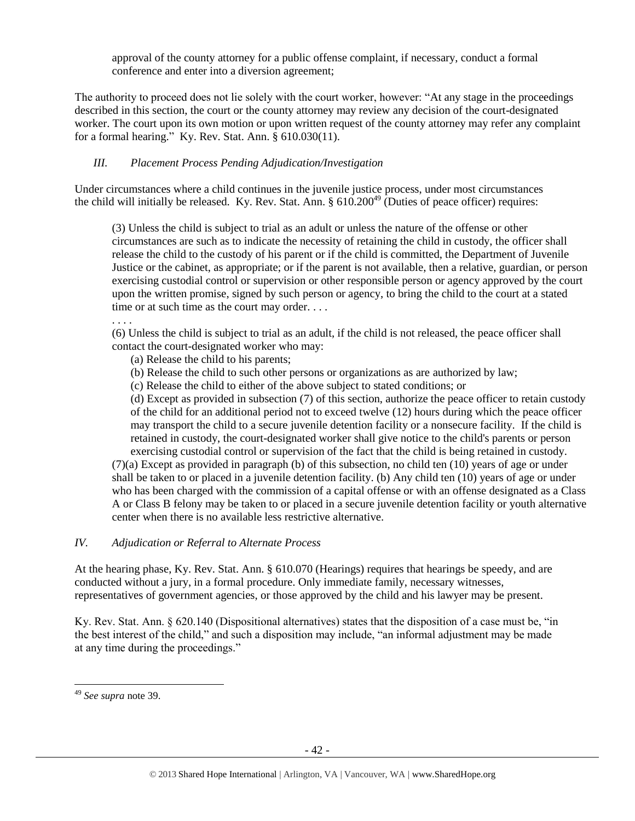approval of the county attorney for a public offense complaint, if necessary, conduct a formal conference and enter into a diversion agreement;

The authority to proceed does not lie solely with the court worker, however: "At any stage in the proceedings described in this section, the court or the county attorney may review any decision of the court-designated worker. The court upon its own motion or upon written request of the county attorney may refer any complaint for a formal hearing." Ky. Rev. Stat. Ann. § 610.030(11).

# *III. Placement Process Pending Adjudication/Investigation*

Under circumstances where a child continues in the juvenile justice process, under most circumstances the child will initially be released. Ky. Rev. Stat. Ann.  $\S 610.200^{49}$  (Duties of peace officer) requires:

(3) Unless the child is subject to trial as an adult or unless the nature of the offense or other circumstances are such as to indicate the necessity of retaining the child in custody, the officer shall release the child to the custody of his parent or if the child is committed, the Department of Juvenile Justice or the cabinet, as appropriate; or if the parent is not available, then a relative, guardian, or person exercising custodial control or supervision or other responsible person or agency approved by the court upon the written promise, signed by such person or agency, to bring the child to the court at a stated time or at such time as the court may order. . . .

(6) Unless the child is subject to trial as an adult, if the child is not released, the peace officer shall contact the court-designated worker who may:

- (a) Release the child to his parents;
- (b) Release the child to such other persons or organizations as are authorized by law;
- (c) Release the child to either of the above subject to stated conditions; or

(d) Except as provided in subsection (7) of this section, authorize the peace officer to retain custody of the child for an additional period not to exceed twelve (12) hours during which the peace officer may transport the child to a secure juvenile detention facility or a nonsecure facility. If the child is retained in custody, the court-designated worker shall give notice to the child's parents or person exercising custodial control or supervision of the fact that the child is being retained in custody.

(7)(a) Except as provided in paragraph (b) of this subsection, no child ten (10) years of age or under shall be taken to or placed in a juvenile detention facility. (b) Any child ten (10) years of age or under who has been charged with the commission of a capital offense or with an offense designated as a Class A or Class B felony may be taken to or placed in a secure juvenile detention facility or youth alternative center when there is no available less restrictive alternative.

## *IV. Adjudication or Referral to Alternate Process*

At the hearing phase, Ky. Rev. Stat. Ann. § 610.070 (Hearings) requires that hearings be speedy, and are conducted without a jury, in a formal procedure. Only immediate family, necessary witnesses, representatives of government agencies, or those approved by the child and his lawyer may be present.

Ky. Rev. Stat. Ann. § 620.140 (Dispositional alternatives) states that the disposition of a case must be, "in the best interest of the child," and such a disposition may include, "an informal adjustment may be made at any time during the proceedings."

 $\overline{a}$ 

. . . .

<sup>49</sup> *See supra* note [39.](#page-33-0)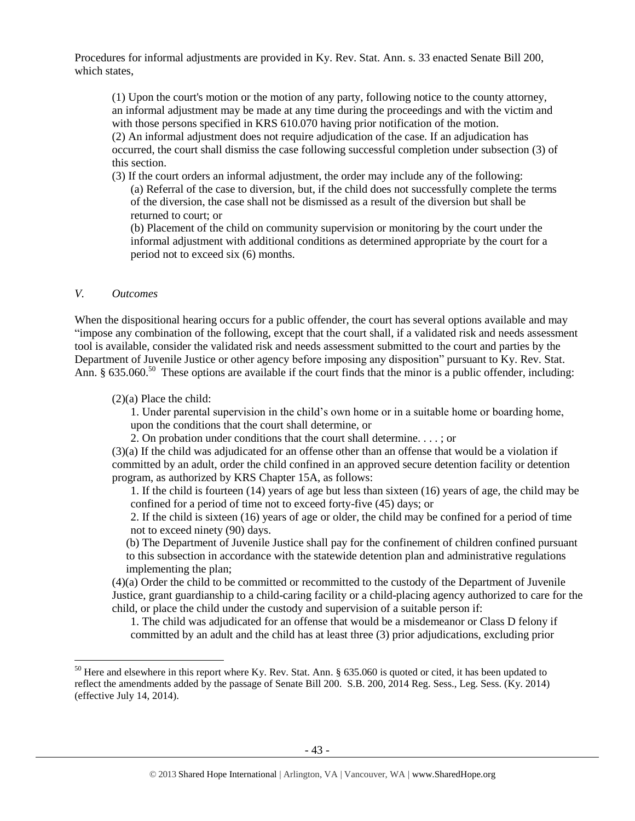Procedures for informal adjustments are provided in Ky. Rev. Stat. Ann. s. 33 enacted Senate Bill 200, which states,

(1) Upon the court's motion or the motion of any party, following notice to the county attorney, an informal adjustment may be made at any time during the proceedings and with the victim and with those persons specified in KRS 610.070 having prior notification of the motion. (2) An informal adjustment does not require adjudication of the case. If an adjudication has occurred, the court shall dismiss the case following successful completion under subsection (3) of this section.

(3) If the court orders an informal adjustment, the order may include any of the following: (a) Referral of the case to diversion, but, if the child does not successfully complete the terms of the diversion, the case shall not be dismissed as a result of the diversion but shall be returned to court; or

(b) Placement of the child on community supervision or monitoring by the court under the informal adjustment with additional conditions as determined appropriate by the court for a period not to exceed six (6) months.

#### *V. Outcomes*

 $\overline{\phantom{a}}$ 

When the dispositional hearing occurs for a public offender, the court has several options available and may "impose any combination of the following, except that the court shall, if a validated risk and needs assessment tool is available, consider the validated risk and needs assessment submitted to the court and parties by the Department of Juvenile Justice or other agency before imposing any disposition" pursuant to Ky. Rev. Stat. Ann. § 635.060.<sup>50</sup> These options are available if the court finds that the minor is a public offender, including:

(2)(a) Place the child:

1. Under parental supervision in the child's own home or in a suitable home or boarding home, upon the conditions that the court shall determine, or

2. On probation under conditions that the court shall determine. . . . ; or

(3)(a) If the child was adjudicated for an offense other than an offense that would be a violation if committed by an adult, order the child confined in an approved secure detention facility or detention program, as authorized by KRS Chapter 15A, as follows:

1. If the child is fourteen (14) years of age but less than sixteen (16) years of age, the child may be confined for a period of time not to exceed forty-five (45) days; or

2. If the child is sixteen (16) years of age or older, the child may be confined for a period of time not to exceed ninety (90) days.

(b) The Department of Juvenile Justice shall pay for the confinement of children confined pursuant to this subsection in accordance with the statewide detention plan and administrative regulations implementing the plan;

(4)(a) Order the child to be committed or recommitted to the custody of the Department of Juvenile Justice, grant guardianship to a child-caring facility or a child-placing agency authorized to care for the child, or place the child under the custody and supervision of a suitable person if:

1. The child was adjudicated for an offense that would be a misdemeanor or Class D felony if committed by an adult and the child has at least three (3) prior adjudications, excluding prior

<sup>&</sup>lt;sup>50</sup> Here and elsewhere in this report where Ky. Rev. Stat. Ann. § 635.060 is quoted or cited, it has been updated to reflect the amendments added by the passage of Senate Bill 200. S.B. 200, 2014 Reg. Sess., Leg. Sess. (Ky. 2014) (effective July 14, 2014).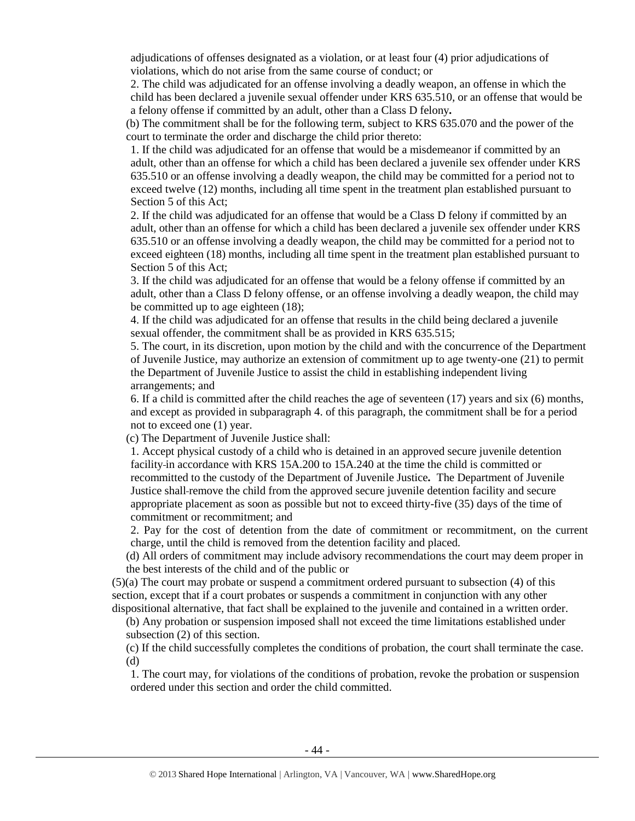adjudications of offenses designated as a violation, or at least four (4) prior adjudications of violations, which do not arise from the same course of conduct; or

2. The child was adjudicated for an offense involving a deadly weapon, an offense in which the child has been declared a juvenile sexual offender under KRS 635.510, or an offense that would be a felony offense if committed by an adult, other than a Class D felony*.*

(b) The commitment shall be for the following term, subject to KRS 635.070 and the power of the court to terminate the order and discharge the child prior thereto:

1. If the child was adjudicated for an offense that would be a misdemeanor if committed by an adult, other than an offense for which a child has been declared a juvenile sex offender under KRS 635.510 or an offense involving a deadly weapon, the child may be committed for a period not to exceed twelve (12) months, including all time spent in the treatment plan established pursuant to Section 5 of this Act;

2. If the child was adjudicated for an offense that would be a Class D felony if committed by an adult, other than an offense for which a child has been declared a juvenile sex offender under KRS 635.510 or an offense involving a deadly weapon, the child may be committed for a period not to exceed eighteen (18) months, including all time spent in the treatment plan established pursuant to Section 5 of this Act;

3. If the child was adjudicated for an offense that would be a felony offense if committed by an adult, other than a Class D felony offense, or an offense involving a deadly weapon, the child may be committed up to age eighteen (18);

4. If the child was adjudicated for an offense that results in the child being declared a juvenile sexual offender, the commitment shall be as provided in KRS 635.515;

5. The court, in its discretion, upon motion by the child and with the concurrence of the Department of Juvenile Justice, may authorize an extension of commitment up to age twenty-one (21) to permit the Department of Juvenile Justice to assist the child in establishing independent living arrangements; and

6. If a child is committed after the child reaches the age of seventeen (17) years and six (6) months, and except as provided in subparagraph 4. of this paragraph, the commitment shall be for a period not to exceed one (1) year.

(c) The Department of Juvenile Justice shall:

1. Accept physical custody of a child who is detained in an approved secure juvenile detention facility in accordance with KRS 15A.200 to 15A.240 at the time the child is committed or recommitted to the custody of the Department of Juvenile Justice*.* The Department of Juvenile Justice shall remove the child from the approved secure juvenile detention facility and secure appropriate placement as soon as possible but not to exceed thirty-five (35) days of the time of commitment or recommitment; and

2. Pay for the cost of detention from the date of commitment or recommitment, on the current charge, until the child is removed from the detention facility and placed.

(d) All orders of commitment may include advisory recommendations the court may deem proper in the best interests of the child and of the public or

(5)(a) The court may probate or suspend a commitment ordered pursuant to subsection (4) of this section, except that if a court probates or suspends a commitment in conjunction with any other dispositional alternative, that fact shall be explained to the juvenile and contained in a written order.

(b) Any probation or suspension imposed shall not exceed the time limitations established under subsection (2) of this section.

(c) If the child successfully completes the conditions of probation, the court shall terminate the case. (d)

1. The court may, for violations of the conditions of probation, revoke the probation or suspension ordered under this section and order the child committed.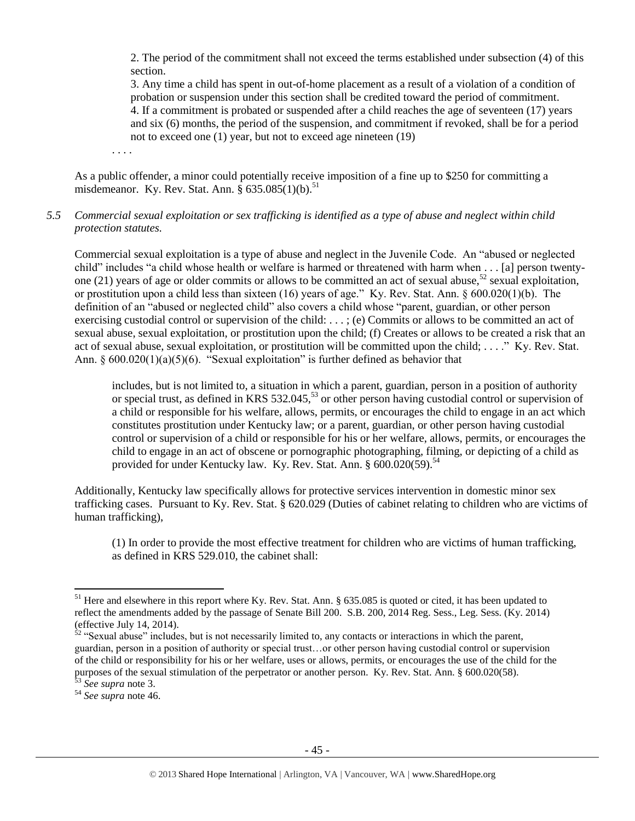2. The period of the commitment shall not exceed the terms established under subsection (4) of this section.

3. Any time a child has spent in out-of-home placement as a result of a violation of a condition of probation or suspension under this section shall be credited toward the period of commitment. 4. If a commitment is probated or suspended after a child reaches the age of seventeen (17) years and six (6) months, the period of the suspension, and commitment if revoked, shall be for a period not to exceed one (1) year, but not to exceed age nineteen (19)

. . . .

As a public offender, a minor could potentially receive imposition of a fine up to \$250 for committing a misdemeanor. Ky. Rev. Stat. Ann.  $\frac{8}{9}$  635.085(1)(b).<sup>51</sup>

#### *5.5 Commercial sexual exploitation or sex trafficking is identified as a type of abuse and neglect within child protection statutes.*

Commercial sexual exploitation is a type of abuse and neglect in the Juvenile Code. An "abused or neglected child" includes "a child whose health or welfare is harmed or threatened with harm when . . . [a] person twentyone (21) years of age or older commits or allows to be committed an act of sexual abuse,<sup>52</sup> sexual exploitation, or prostitution upon a child less than sixteen (16) years of age." Ky. Rev. Stat. Ann.  $\S 600.020(1)(b)$ . The definition of an "abused or neglected child" also covers a child whose "parent, guardian, or other person exercising custodial control or supervision of the child: . . . ; (e) Commits or allows to be committed an act of sexual abuse, sexual exploitation, or prostitution upon the child; (f) Creates or allows to be created a risk that an act of sexual abuse, sexual exploitation, or prostitution will be committed upon the child; . . . ." Ky. Rev. Stat. Ann. § 600.020(1)(a)(5)(6). "Sexual exploitation" is further defined as behavior that

includes, but is not limited to, a situation in which a parent, guardian, person in a position of authority or special trust, as defined in KRS 532.045,<sup>53</sup> or other person having custodial control or supervision of a child or responsible for his welfare, allows, permits, or encourages the child to engage in an act which constitutes prostitution under Kentucky law; or a parent, guardian, or other person having custodial control or supervision of a child or responsible for his or her welfare, allows, permits, or encourages the child to engage in an act of obscene or pornographic photographing, filming, or depicting of a child as provided for under Kentucky law. Ky. Rev. Stat. Ann.  $§$  600.020(59).<sup>54</sup>

Additionally, Kentucky law specifically allows for protective services intervention in domestic minor sex trafficking cases. Pursuant to Ky. Rev. Stat. § 620.029 (Duties of cabinet relating to children who are victims of human trafficking),

(1) In order to provide the most effective treatment for children who are victims of human trafficking, as defined in KRS 529.010, the cabinet shall:

 $52$  "Sexual abuse" includes, but is not necessarily limited to, any contacts or interactions in which the parent, guardian, person in a position of authority or special trust…or other person having custodial control or supervision of the child or responsibility for his or her welfare, uses or allows, permits, or encourages the use of the child for the purposes of the sexual stimulation of the perpetrator or another person. Ky. Rev. Stat. Ann. § 600.020(58). <sup>53</sup> *See supra* note [3.](#page-3-0)

<sup>54</sup> *See supra* note [46.](#page-39-0)

 $\overline{\phantom{a}}$ 

<sup>&</sup>lt;sup>51</sup> Here and elsewhere in this report where Ky. Rev. Stat. Ann. § 635.085 is quoted or cited, it has been updated to reflect the amendments added by the passage of Senate Bill 200. S.B. 200, 2014 Reg. Sess., Leg. Sess. (Ky. 2014) (effective July 14, 2014).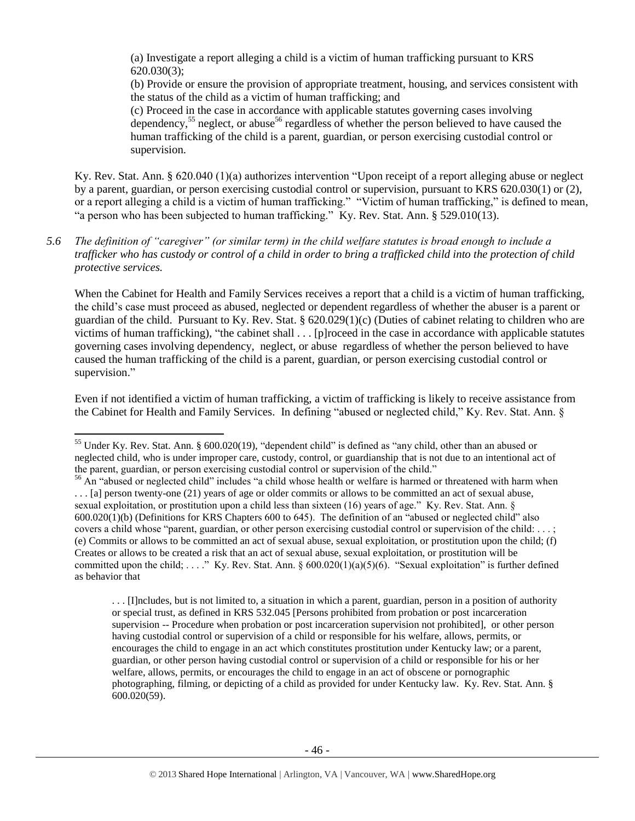(a) Investigate a report alleging a child is a victim of human trafficking pursuant to KRS 620.030(3);

(b) Provide or ensure the provision of appropriate treatment, housing, and services consistent with the status of the child as a victim of human trafficking; and

(c) Proceed in the case in accordance with applicable statutes governing cases involving dependency,<sup>55</sup> neglect, or abuse<sup>56</sup> regardless of whether the person believed to have caused the human trafficking of the child is a parent, guardian, or person exercising custodial control or supervision.

Ky. Rev. Stat. Ann. § 620.040 (1)(a) authorizes intervention "Upon receipt of a report alleging abuse or neglect by a parent, guardian, or person exercising custodial control or supervision, pursuant to KRS 620.030(1) or (2), or a report alleging a child is a victim of human trafficking." "Victim of human trafficking," is defined to mean, "a person who has been subjected to human trafficking." Ky. Rev. Stat. Ann. § 529.010(13).

## *5.6 The definition of "caregiver" (or similar term) in the child welfare statutes is broad enough to include a trafficker who has custody or control of a child in order to bring a trafficked child into the protection of child protective services.*

When the Cabinet for Health and Family Services receives a report that a child is a victim of human trafficking, the child's case must proceed as abused, neglected or dependent regardless of whether the abuser is a parent or guardian of the child. Pursuant to Ky. Rev. Stat. § 620.029(1)(c) (Duties of cabinet relating to children who are victims of human trafficking), "the cabinet shall . . . [p]roceed in the case in accordance with applicable statutes governing cases involving dependency, neglect, or abuse regardless of whether the person believed to have caused the human trafficking of the child is a parent, guardian, or person exercising custodial control or supervision."

Even if not identified a victim of human trafficking, a victim of trafficking is likely to receive assistance from the Cabinet for Health and Family Services. In defining "abused or neglected child," Ky. Rev. Stat. Ann. §

 $\overline{a}$ 

. . . [I]ncludes, but is not limited to, a situation in which a parent, guardian, person in a position of authority or special trust, as defined in KRS 532.045 [Persons prohibited from probation or post incarceration supervision -- Procedure when probation or post incarceration supervision not prohibited], or other person having custodial control or supervision of a child or responsible for his welfare, allows, permits, or encourages the child to engage in an act which constitutes prostitution under Kentucky law; or a parent, guardian, or other person having custodial control or supervision of a child or responsible for his or her welfare, allows, permits, or encourages the child to engage in an act of obscene or pornographic photographing, filming, or depicting of a child as provided for under Kentucky law. Ky. Rev. Stat. Ann. § 600.020(59).

<sup>&</sup>lt;sup>55</sup> Under Ky. Rev. Stat. Ann. § 600.020(19), "dependent child" is defined as "any child, other than an abused or neglected child, who is under improper care, custody, control, or guardianship that is not due to an intentional act of the parent, guardian, or person exercising custodial control or supervision of the child."

<sup>&</sup>lt;sup>56</sup> An "abused or neglected child" includes "a child whose health or welfare is harmed or threatened with harm when . . . [a] person twenty-one (21) years of age or older commits or allows to be committed an act of sexual abuse, sexual exploitation, or prostitution upon a child less than sixteen (16) years of age." Ky. Rev. Stat. Ann. § 600.020(1)(b) (Definitions for KRS Chapters 600 to 645). The definition of an "abused or neglected child" also covers a child whose "parent, guardian, or other person exercising custodial control or supervision of the child: . . . ; (e) Commits or allows to be committed an act of sexual abuse, sexual exploitation, or prostitution upon the child; (f) Creates or allows to be created a risk that an act of sexual abuse, sexual exploitation, or prostitution will be committed upon the child; ...." Ky. Rev. Stat. Ann. § 600.020(1)(a)(5)(6). "Sexual exploitation" is further defined as behavior that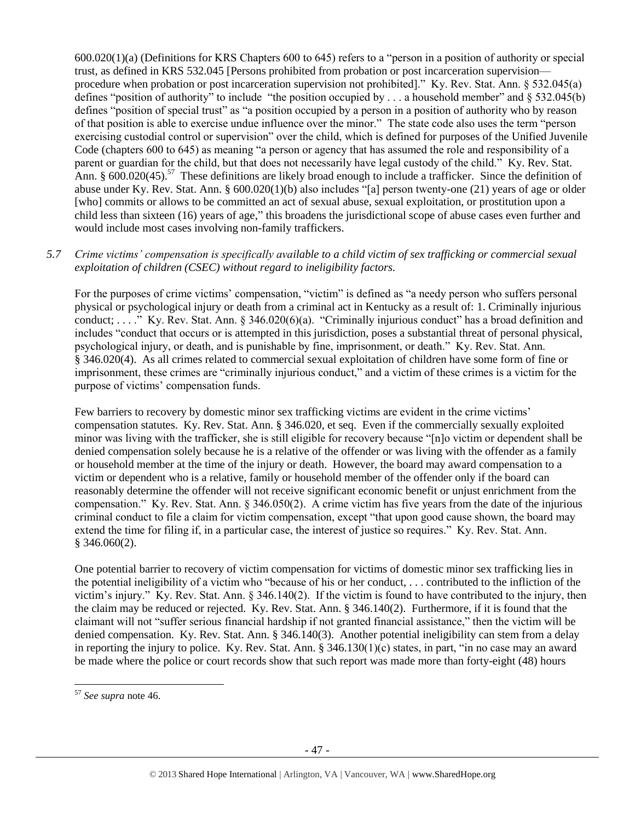600.020(1)(a) (Definitions for KRS Chapters 600 to 645) refers to a "person in a position of authority or special trust, as defined in KRS 532.045 [Persons prohibited from probation or post incarceration supervision procedure when probation or post incarceration supervision not prohibited]." Ky. Rev. Stat. Ann. § 532.045(a) defines "position of authority" to include "the position occupied by  $\ldots$  a household member" and § 532.045(b) defines "position of special trust" as "a position occupied by a person in a position of authority who by reason of that position is able to exercise undue influence over the minor." The state code also uses the term "person exercising custodial control or supervision" over the child, which is defined for purposes of the Unified Juvenile Code (chapters 600 to 645) as meaning "a person or agency that has assumed the role and responsibility of a parent or guardian for the child, but that does not necessarily have legal custody of the child." Ky. Rev. Stat. Ann. §  $600.020(45)$ .<sup>57</sup> These definitions are likely broad enough to include a trafficker. Since the definition of abuse under Ky. Rev. Stat. Ann. § 600.020(1)(b) also includes "[a] person twenty-one (21) years of age or older [who] commits or allows to be committed an act of sexual abuse, sexual exploitation, or prostitution upon a child less than sixteen (16) years of age," this broadens the jurisdictional scope of abuse cases even further and would include most cases involving non-family traffickers.

# *5.7 Crime victims' compensation is specifically available to a child victim of sex trafficking or commercial sexual exploitation of children (CSEC) without regard to ineligibility factors.*

For the purposes of crime victims' compensation, "victim" is defined as "a needy person who suffers personal physical or psychological injury or death from a criminal act in Kentucky as a result of: 1. Criminally injurious conduct; . . . ." Ky. Rev. Stat. Ann. § 346.020(6)(a). "Criminally injurious conduct" has a broad definition and includes "conduct that occurs or is attempted in this jurisdiction, poses a substantial threat of personal physical, psychological injury, or death, and is punishable by fine, imprisonment, or death." Ky. Rev. Stat. Ann. § 346.020(4). As all crimes related to commercial sexual exploitation of children have some form of fine or imprisonment, these crimes are "criminally injurious conduct," and a victim of these crimes is a victim for the purpose of victims' compensation funds.

Few barriers to recovery by domestic minor sex trafficking victims are evident in the crime victims' compensation statutes. Ky. Rev. Stat. Ann. § 346.020, et seq. Even if the commercially sexually exploited minor was living with the trafficker, she is still eligible for recovery because "[n]o victim or dependent shall be denied compensation solely because he is a relative of the offender or was living with the offender as a family or household member at the time of the injury or death. However, the board may award compensation to a victim or dependent who is a relative, family or household member of the offender only if the board can reasonably determine the offender will not receive significant economic benefit or unjust enrichment from the compensation." Ky. Rev. Stat. Ann. § 346.050(2). A crime victim has five years from the date of the injurious criminal conduct to file a claim for victim compensation, except "that upon good cause shown, the board may extend the time for filing if, in a particular case, the interest of justice so requires." Ky. Rev. Stat. Ann.  $$346.060(2)$ .

One potential barrier to recovery of victim compensation for victims of domestic minor sex trafficking lies in the potential ineligibility of a victim who "because of his or her conduct, . . . contributed to the infliction of the victim's injury." Ky. Rev. Stat. Ann. § 346.140(2). If the victim is found to have contributed to the injury, then the claim may be reduced or rejected. Ky. Rev. Stat. Ann. § 346.140(2). Furthermore, if it is found that the claimant will not "suffer serious financial hardship if not granted financial assistance," then the victim will be denied compensation. Ky. Rev. Stat. Ann. § 346.140(3). Another potential ineligibility can stem from a delay in reporting the injury to police. Ky. Rev. Stat. Ann.  $\S$  346.130(1)(c) states, in part, "in no case may an award be made where the police or court records show that such report was made more than forty-eight (48) hours

 $\overline{a}$ 

<sup>57</sup> *See supra* note [46.](#page-39-0)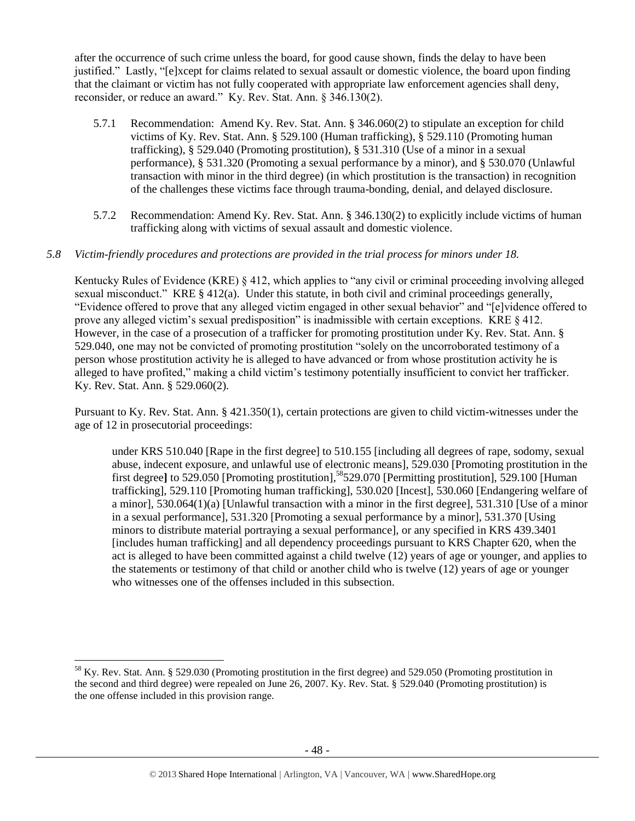after the occurrence of such crime unless the board, for good cause shown, finds the delay to have been justified." Lastly, "[e]xcept for claims related to sexual assault or domestic violence, the board upon finding that the claimant or victim has not fully cooperated with appropriate law enforcement agencies shall deny, reconsider, or reduce an award." Ky. Rev. Stat. Ann. § 346.130(2).

- 5.7.1 Recommendation: Amend Ky. Rev. Stat. Ann. § 346.060(2) to stipulate an exception for child victims of Ky. Rev. Stat. Ann. § 529.100 (Human trafficking), § 529.110 (Promoting human trafficking), § 529.040 (Promoting prostitution), § 531.310 (Use of a minor in a sexual performance), § 531.320 (Promoting a sexual performance by a minor), and § 530.070 (Unlawful transaction with minor in the third degree) (in which prostitution is the transaction) in recognition of the challenges these victims face through trauma-bonding, denial, and delayed disclosure.
- 5.7.2 Recommendation: Amend Ky. Rev. Stat. Ann. § 346.130(2) to explicitly include victims of human trafficking along with victims of sexual assault and domestic violence.

# *5.8 Victim-friendly procedures and protections are provided in the trial process for minors under 18.*

Kentucky Rules of Evidence (KRE)  $\S$  412, which applies to "any civil or criminal proceeding involving alleged sexual misconduct." KRE  $\S 412(a)$ . Under this statute, in both civil and criminal proceedings generally, "Evidence offered to prove that any alleged victim engaged in other sexual behavior" and "[e]vidence offered to prove any alleged victim's sexual predisposition" is inadmissible with certain exceptions. KRE § 412. However, in the case of a prosecution of a trafficker for promoting prostitution under Ky. Rev. Stat. Ann. § 529.040, one may not be convicted of promoting prostitution "solely on the uncorroborated testimony of a person whose prostitution activity he is alleged to have advanced or from whose prostitution activity he is alleged to have profited," making a child victim's testimony potentially insufficient to convict her trafficker. Ky. Rev. Stat. Ann. § 529.060(2).

Pursuant to Ky. Rev. Stat. Ann. § 421.350(1), certain protections are given to child victim-witnesses under the age of 12 in prosecutorial proceedings:

under KRS 510.040 [Rape in the first degree] to 510.155 [including all degrees of rape, sodomy, sexual abuse, indecent exposure, and unlawful use of electronic means], 529.030 [Promoting prostitution in the first degree] to 529.050 [Promoting prostitution],<sup>58</sup>529.070 [Permitting prostitution], 529.100 [Human] trafficking], 529.110 [Promoting human trafficking], 530.020 [Incest], 530.060 [Endangering welfare of a minor], 530.064(1)(a) [Unlawful transaction with a minor in the first degree], 531.310 [Use of a minor in a sexual performance], 531.320 [Promoting a sexual performance by a minor], 531.370 [Using minors to distribute material portraying a sexual performance], or any specified in KRS 439.3401 [includes human trafficking] and all dependency proceedings pursuant to KRS Chapter 620, when the act is alleged to have been committed against a child twelve (12) years of age or younger, and applies to the statements or testimony of that child or another child who is twelve (12) years of age or younger who witnesses one of the offenses included in this subsection.

 $\overline{\phantom{a}}$ 

<sup>&</sup>lt;sup>58</sup> Ky. Rev. Stat. Ann. § 529.030 (Promoting prostitution in the first degree) and 529.050 (Promoting prostitution in the second and third degree) were repealed on June 26, 2007. Ky. Rev. Stat. § 529.040 (Promoting prostitution) is the one offense included in this provision range.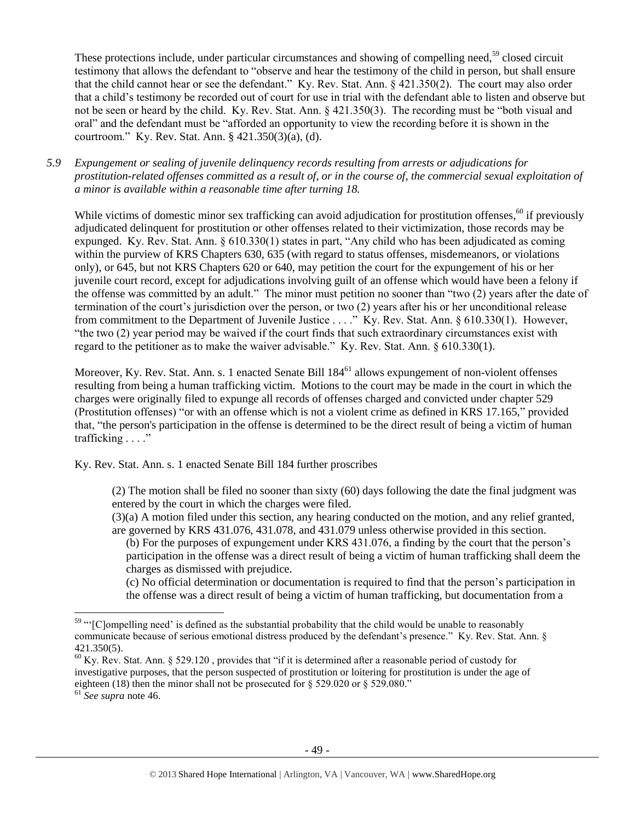These protections include, under particular circumstances and showing of compelling need,<sup>59</sup> closed circuit testimony that allows the defendant to "observe and hear the testimony of the child in person, but shall ensure that the child cannot hear or see the defendant." Ky. Rev. Stat. Ann. § 421.350(2). The court may also order that a child's testimony be recorded out of court for use in trial with the defendant able to listen and observe but not be seen or heard by the child. Ky. Rev. Stat. Ann. § 421.350(3). The recording must be "both visual and oral" and the defendant must be "afforded an opportunity to view the recording before it is shown in the courtroom." Ky. Rev. Stat. Ann. § 421.350(3)(a), (d).

#### *5.9 Expungement or sealing of juvenile delinquency records resulting from arrests or adjudications for prostitution-related offenses committed as a result of, or in the course of, the commercial sexual exploitation of a minor is available within a reasonable time after turning 18.*

While victims of domestic minor sex trafficking can avoid adjudication for prostitution offenses, $60$  if previously adjudicated delinquent for prostitution or other offenses related to their victimization, those records may be expunged. Ky. Rev. Stat. Ann. § 610.330(1) states in part, "Any child who has been adjudicated as coming within the purview of KRS Chapters 630, 635 (with regard to status offenses, misdemeanors, or violations only), or 645, but not KRS Chapters 620 or 640, may petition the court for the expungement of his or her juvenile court record, except for adjudications involving guilt of an offense which would have been a felony if the offense was committed by an adult." The minor must petition no sooner than "two (2) years after the date of termination of the court's jurisdiction over the person, or two (2) years after his or her unconditional release from commitment to the Department of Juvenile Justice . . . ." Ky. Rev. Stat. Ann. § 610.330(1). However, "the two (2) year period may be waived if the court finds that such extraordinary circumstances exist with regard to the petitioner as to make the waiver advisable." Ky. Rev. Stat. Ann. § 610.330(1).

Moreover, Ky. Rev. Stat. Ann. s. 1 enacted Senate Bill 184<sup>61</sup> allows expungement of non-violent offenses resulting from being a human trafficking victim. Motions to the court may be made in the court in which the charges were originally filed to expunge all records of offenses charged and convicted under chapter 529 (Prostitution offenses) "or with an offense which is not a violent crime as defined in KRS 17.165," provided that, "the person's participation in the offense is determined to be the direct result of being a victim of human trafficking . . . ."

Ky. Rev. Stat. Ann. s. 1 enacted Senate Bill 184 further proscribes

(2) The motion shall be filed no sooner than sixty (60) days following the date the final judgment was entered by the court in which the charges were filed.

(3)(a) A motion filed under this section, any hearing conducted on the motion, and any relief granted, are governed by KRS 431.076, 431.078, and 431.079 unless otherwise provided in this section.

(b) For the purposes of expungement under KRS 431.076, a finding by the court that the person's participation in the offense was a direct result of being a victim of human trafficking shall deem the charges as dismissed with prejudice.

(c) No official determination or documentation is required to find that the person's participation in the offense was a direct result of being a victim of human trafficking, but documentation from a

<sup>61</sup> *See supra* note [46.](#page-39-0) 

 $\overline{\phantom{a}}$ 

 $59$  "[C]ompelling need' is defined as the substantial probability that the child would be unable to reasonably communicate because of serious emotional distress produced by the defendant's presence." Ky. Rev. Stat. Ann. § 421.350(5).

<sup>60</sup> Ky. Rev. Stat. Ann. § 529.120 , provides that "if it is determined after a reasonable period of custody for investigative purposes, that the person suspected of prostitution or loitering for prostitution is under the age of eighteen (18) then the minor shall not be prosecuted for § 529.020 or § 529.080."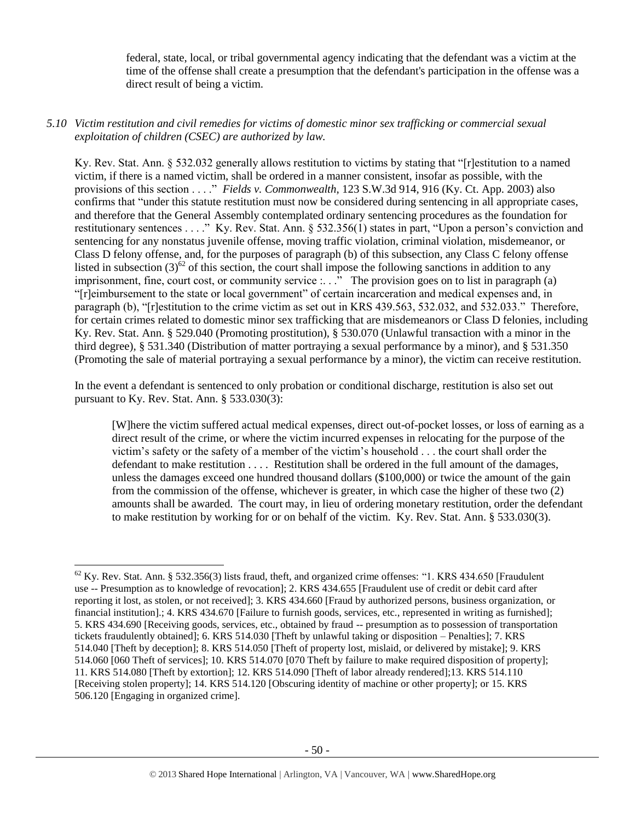federal, state, local, or tribal governmental agency indicating that the defendant was a victim at the time of the offense shall create a presumption that the defendant's participation in the offense was a direct result of being a victim.

## *5.10 Victim restitution and civil remedies for victims of domestic minor sex trafficking or commercial sexual exploitation of children (CSEC) are authorized by law.*

Ky. Rev. Stat. Ann. § 532.032 generally allows restitution to victims by stating that "[r]estitution to a named victim, if there is a named victim, shall be ordered in a manner consistent, insofar as possible, with the provisions of this section . . . ." *Fields v. Commonwealth*, 123 S.W.3d 914, 916 (Ky. Ct. App. 2003) also confirms that "under this statute restitution must now be considered during sentencing in all appropriate cases, and therefore that the General Assembly contemplated ordinary sentencing procedures as the foundation for restitutionary sentences . . . ." Ky. Rev. Stat. Ann. § 532.356(1) states in part, "Upon a person's conviction and sentencing for any nonstatus juvenile offense, moving traffic violation, criminal violation, misdemeanor, or Class D felony offense, and, for the purposes of paragraph (b) of this subsection, any Class C felony offense listed in subsection  $(3)^{62}$  of this section, the court shall impose the following sanctions in addition to any imprisonment, fine, court cost, or community service  $\ldots$ ." The provision goes on to list in paragraph (a) "[r]eimbursement to the state or local government" of certain incarceration and medical expenses and, in paragraph (b), "[r]estitution to the crime victim as set out in KRS 439.563, 532.032, and 532.033." Therefore, for certain crimes related to domestic minor sex trafficking that are misdemeanors or Class D felonies, including Ky. Rev. Stat. Ann. § 529.040 (Promoting prostitution), § 530.070 (Unlawful transaction with a minor in the third degree), § 531.340 (Distribution of matter portraying a sexual performance by a minor), and § 531.350 (Promoting the sale of material portraying a sexual performance by a minor), the victim can receive restitution.

In the event a defendant is sentenced to only probation or conditional discharge, restitution is also set out pursuant to Ky. Rev. Stat. Ann. § 533.030(3):

[W]here the victim suffered actual medical expenses, direct out-of-pocket losses, or loss of earning as a direct result of the crime, or where the victim incurred expenses in relocating for the purpose of the victim's safety or the safety of a member of the victim's household . . . the court shall order the defendant to make restitution . . . . Restitution shall be ordered in the full amount of the damages, unless the damages exceed one hundred thousand dollars (\$100,000) or twice the amount of the gain from the commission of the offense, whichever is greater, in which case the higher of these two (2) amounts shall be awarded. The court may, in lieu of ordering monetary restitution, order the defendant to make restitution by working for or on behalf of the victim. Ky. Rev. Stat. Ann. § 533.030(3).

l

 $^{62}$  Ky. Rev. Stat. Ann. § 532.356(3) lists fraud, theft, and organized crime offenses: "1. KRS 434.650 [Fraudulent use -- Presumption as to knowledge of revocation]; 2. KRS 434.655 [Fraudulent use of credit or debit card after reporting it lost, as stolen, or not received]; 3. KRS 434.660 [Fraud by authorized persons, business organization, or financial institution].; 4. KRS 434.670 [Failure to furnish goods, services, etc., represented in writing as furnished]; 5. KRS 434.690 [Receiving goods, services, etc., obtained by fraud -- presumption as to possession of transportation tickets fraudulently obtained]; 6. KRS 514.030 [Theft by unlawful taking or disposition – Penalties]; 7. KRS 514.040 [Theft by deception]; 8. KRS 514.050 [Theft of property lost, mislaid, or delivered by mistake]; 9. KRS 514.060 [060 Theft of services]; 10. KRS 514.070 [070 Theft by failure to make required disposition of property]; 11. KRS 514.080 [Theft by extortion]; 12. KRS 514.090 [Theft of labor already rendered];13. KRS 514.110 [Receiving stolen property]; 14. KRS 514.120 [Obscuring identity of machine or other property]; or 15. KRS 506.120 [Engaging in organized crime].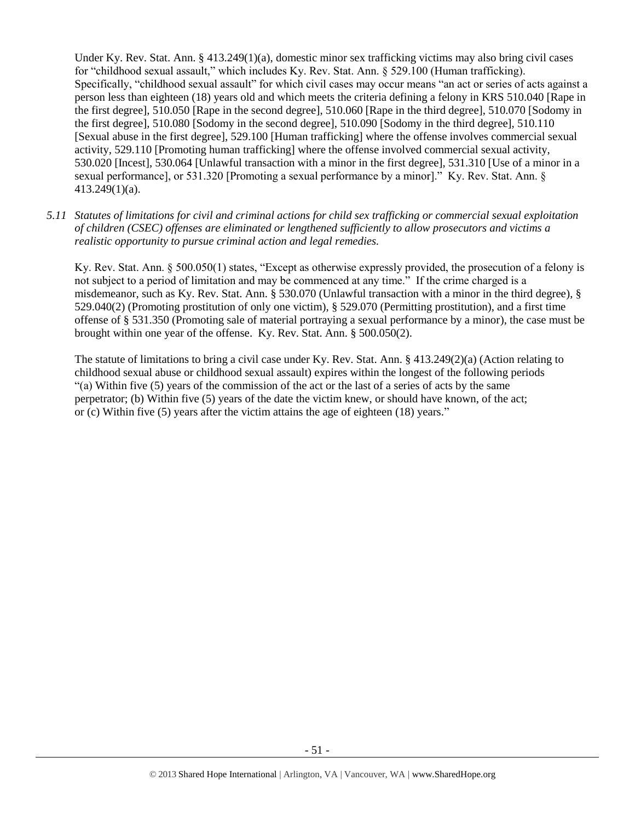Under Ky. Rev. Stat. Ann. § 413.249(1)(a), domestic minor sex trafficking victims may also bring civil cases for "childhood sexual assault," which includes Ky. Rev. Stat. Ann. § 529.100 (Human trafficking). Specifically, "childhood sexual assault" for which civil cases may occur means "an act or series of acts against a person less than eighteen (18) years old and which meets the criteria defining a felony in KRS 510.040 [Rape in the first degree], 510.050 [Rape in the second degree], 510.060 [Rape in the third degree], 510.070 [Sodomy in the first degree], 510.080 [Sodomy in the second degree], 510.090 [Sodomy in the third degree], 510.110 [Sexual abuse in the first degree], 529.100 [Human trafficking] where the offense involves commercial sexual activity, 529.110 [Promoting human trafficking] where the offense involved commercial sexual activity, 530.020 [Incest], 530.064 [Unlawful transaction with a minor in the first degree], 531.310 [Use of a minor in a sexual performance], or 531.320 [Promoting a sexual performance by a minor]." Ky. Rev. Stat. Ann. § 413.249(1)(a).

*5.11 Statutes of limitations for civil and criminal actions for child sex trafficking or commercial sexual exploitation of children (CSEC) offenses are eliminated or lengthened sufficiently to allow prosecutors and victims a realistic opportunity to pursue criminal action and legal remedies.*

Ky. Rev. Stat. Ann. § 500.050(1) states, "Except as otherwise expressly provided, the prosecution of a felony is not subject to a period of limitation and may be commenced at any time." If the crime charged is a misdemeanor, such as Ky. Rev. Stat. Ann. § 530.070 (Unlawful transaction with a minor in the third degree), § 529.040(2) (Promoting prostitution of only one victim), § 529.070 (Permitting prostitution), and a first time offense of § 531.350 (Promoting sale of material portraying a sexual performance by a minor), the case must be brought within one year of the offense. Ky. Rev. Stat. Ann. § 500.050(2).

The statute of limitations to bring a civil case under Ky. Rev. Stat. Ann. § 413.249(2)(a) (Action relating to childhood sexual abuse or childhood sexual assault) expires within the longest of the following periods "(a) Within five (5) years of the commission of the act or the last of a series of acts by the same perpetrator; (b) Within five (5) years of the date the victim knew, or should have known, of the act; or (c) Within five (5) years after the victim attains the age of eighteen (18) years."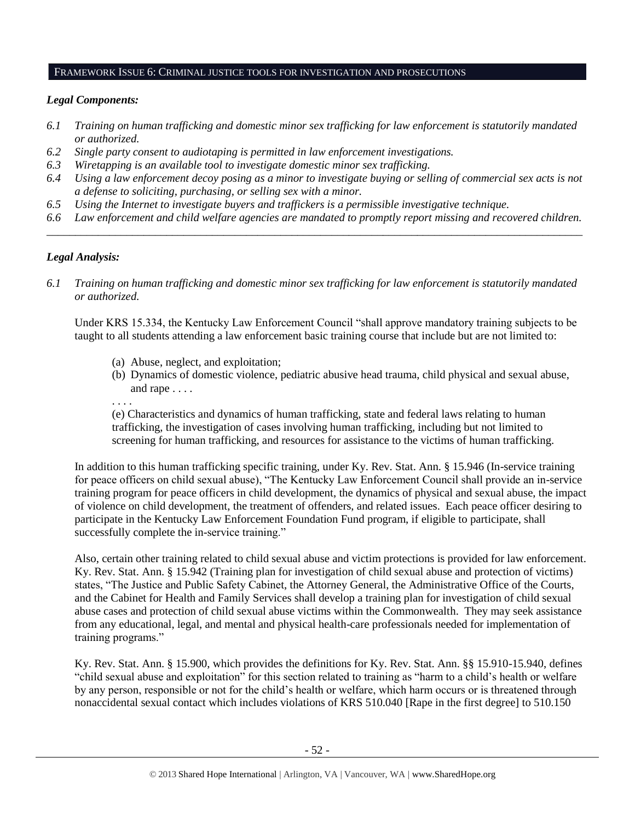#### FRAMEWORK ISSUE 6: CRIMINAL JUSTICE TOOLS FOR INVESTIGATION AND PROSECUTIONS

# *Legal Components:*

- *6.1 Training on human trafficking and domestic minor sex trafficking for law enforcement is statutorily mandated or authorized.*
- *6.2 Single party consent to audiotaping is permitted in law enforcement investigations.*
- *6.3 Wiretapping is an available tool to investigate domestic minor sex trafficking.*
- *6.4 Using a law enforcement decoy posing as a minor to investigate buying or selling of commercial sex acts is not a defense to soliciting, purchasing, or selling sex with a minor.*
- *6.5 Using the Internet to investigate buyers and traffickers is a permissible investigative technique.*
- *6.6 Law enforcement and child welfare agencies are mandated to promptly report missing and recovered children. \_\_\_\_\_\_\_\_\_\_\_\_\_\_\_\_\_\_\_\_\_\_\_\_\_\_\_\_\_\_\_\_\_\_\_\_\_\_\_\_\_\_\_\_\_\_\_\_\_\_\_\_\_\_\_\_\_\_\_\_\_\_\_\_\_\_\_\_\_\_\_\_\_\_\_\_\_\_\_\_\_\_\_\_\_\_\_\_\_\_\_\_\_\_*

# *Legal Analysis:*

*6.1 Training on human trafficking and domestic minor sex trafficking for law enforcement is statutorily mandated or authorized.*

Under KRS 15.334, the Kentucky Law Enforcement Council "shall approve mandatory training subjects to be taught to all students attending a law enforcement basic training course that include but are not limited to:

- (a) Abuse, neglect, and exploitation;
- (b) Dynamics of domestic violence, pediatric abusive head trauma, child physical and sexual abuse, and rape . . . .

. . . . (e) Characteristics and dynamics of human trafficking, state and federal laws relating to human trafficking, the investigation of cases involving human trafficking, including but not limited to screening for human trafficking, and resources for assistance to the victims of human trafficking.

In addition to this human trafficking specific training, under Ky. Rev. Stat. Ann. § 15.946 (In-service training for peace officers on child sexual abuse), "The Kentucky Law Enforcement Council shall provide an in-service training program for peace officers in child development, the dynamics of physical and sexual abuse, the impact of violence on child development, the treatment of offenders, and related issues. Each peace officer desiring to participate in the Kentucky Law Enforcement Foundation Fund program, if eligible to participate, shall successfully complete the in-service training."

Also, certain other training related to child sexual abuse and victim protections is provided for law enforcement. Ky. Rev. Stat. Ann. § 15.942 (Training plan for investigation of child sexual abuse and protection of victims) states, "The Justice and Public Safety Cabinet, the Attorney General, the Administrative Office of the Courts, and the Cabinet for Health and Family Services shall develop a training plan for investigation of child sexual abuse cases and protection of child sexual abuse victims within the Commonwealth. They may seek assistance from any educational, legal, and mental and physical health-care professionals needed for implementation of training programs."

Ky. Rev. Stat. Ann. § 15.900, which provides the definitions for Ky. Rev. Stat. Ann. §§ 15.910-15.940, defines "child sexual abuse and exploitation" for this section related to training as "harm to a child's health or welfare by any person, responsible or not for the child's health or welfare, which harm occurs or is threatened through nonaccidental sexual contact which includes violations of KRS 510.040 [Rape in the first degree] to 510.150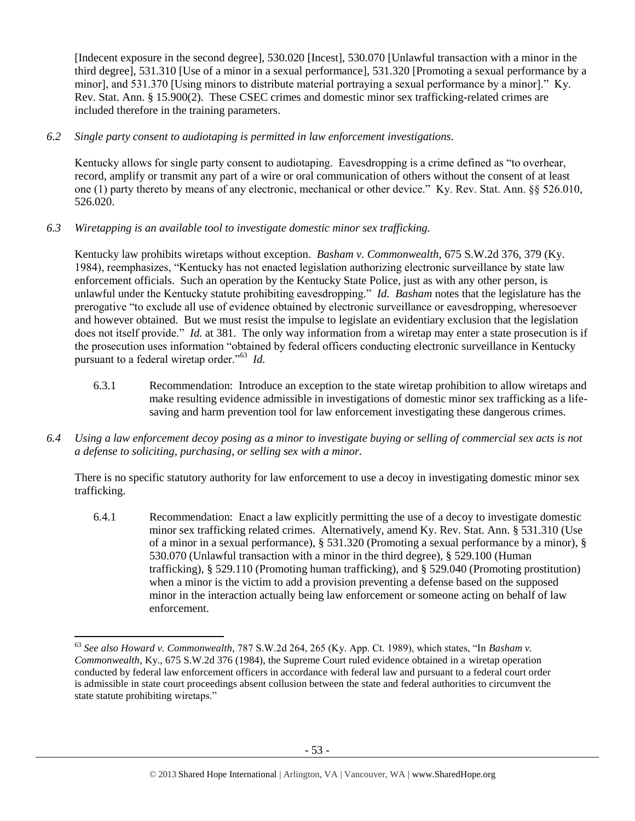[Indecent exposure in the second degree], 530.020 [Incest], 530.070 [Unlawful transaction with a minor in the third degree], 531.310 [Use of a minor in a sexual performance], 531.320 [Promoting a sexual performance by a minor], and 531.370 [Using minors to distribute material portraying a sexual performance by a minor]." Ky. Rev. Stat. Ann. § 15.900(2). These CSEC crimes and domestic minor sex trafficking-related crimes are included therefore in the training parameters.

# *6.2 Single party consent to audiotaping is permitted in law enforcement investigations.*

Kentucky allows for single party consent to audiotaping. Eavesdropping is a crime defined as "to overhear, record, amplify or transmit any part of a wire or oral communication of others without the consent of at least one (1) party thereto by means of any electronic, mechanical or other device." Ky. Rev. Stat. Ann. §§ 526.010, 526.020.

## *6.3 Wiretapping is an available tool to investigate domestic minor sex trafficking.*

 $\overline{\phantom{a}}$ 

Kentucky law prohibits wiretaps without exception. *Basham v. Commonwealth*, 675 S.W.2d 376, 379 (Ky. 1984), reemphasizes, "Kentucky has not enacted legislation authorizing electronic surveillance by state law enforcement officials. Such an operation by the Kentucky State Police, just as with any other person, is unlawful under the Kentucky statute prohibiting eavesdropping." *Id. Basham* notes that the legislature has the prerogative "to exclude all use of evidence obtained by electronic surveillance or eavesdropping, wheresoever and however obtained. But we must resist the impulse to legislate an evidentiary exclusion that the legislation does not itself provide." *Id.* at 381. The only way information from a wiretap may enter a state prosecution is if the prosecution uses information "obtained by federal officers conducting electronic surveillance in Kentucky pursuant to a federal wiretap order."<sup>63</sup> *Id.*

- 6.3.1 Recommendation: Introduce an exception to the state wiretap prohibition to allow wiretaps and make resulting evidence admissible in investigations of domestic minor sex trafficking as a lifesaving and harm prevention tool for law enforcement investigating these dangerous crimes.
- *6.4 Using a law enforcement decoy posing as a minor to investigate buying or selling of commercial sex acts is not a defense to soliciting, purchasing, or selling sex with a minor.*

There is no specific statutory authority for law enforcement to use a decoy in investigating domestic minor sex trafficking.

6.4.1 Recommendation: Enact a law explicitly permitting the use of a decoy to investigate domestic minor sex trafficking related crimes. Alternatively, amend Ky. Rev. Stat. Ann. § 531.310 (Use of a minor in a sexual performance), § 531.320 (Promoting a sexual performance by a minor), § 530.070 (Unlawful transaction with a minor in the third degree), § 529.100 (Human trafficking), § 529.110 (Promoting human trafficking), and § 529.040 (Promoting prostitution) when a minor is the victim to add a provision preventing a defense based on the supposed minor in the interaction actually being law enforcement or someone acting on behalf of law enforcement.

<sup>63</sup> *See also Howard v. Commonwealth,* 787 S.W.2d 264, 265 (Ky. App. Ct. 1989), which states, "In *Basham v. Commonwealth*, Ky., 675 S.W.2d 376 (1984), the Supreme Court ruled evidence obtained in a wiretap operation conducted by federal law enforcement officers in accordance with federal law and pursuant to a federal court order is admissible in state court proceedings absent collusion between the state and federal authorities to circumvent the state statute prohibiting wiretaps."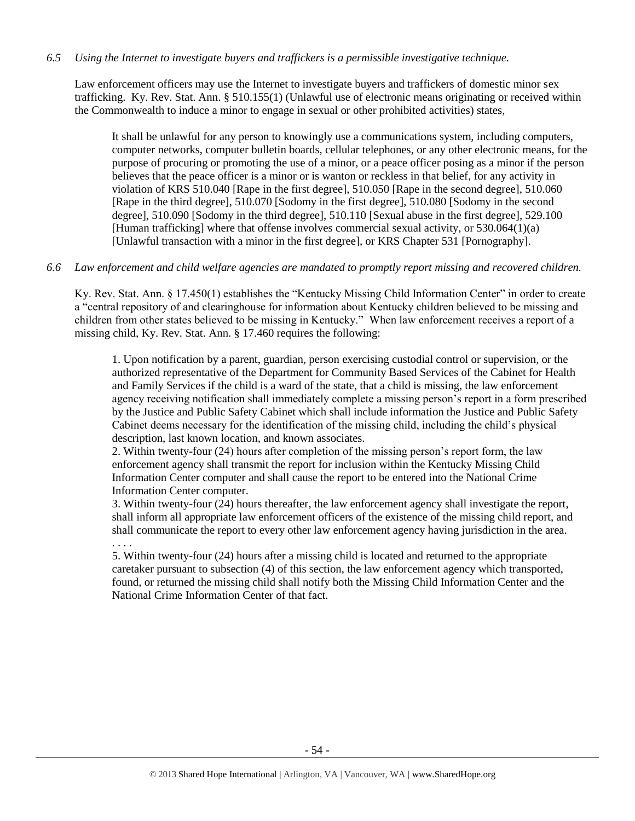#### *6.5 Using the Internet to investigate buyers and traffickers is a permissible investigative technique.*

Law enforcement officers may use the Internet to investigate buyers and traffickers of domestic minor sex trafficking. Ky. Rev. Stat. Ann. § 510.155(1) (Unlawful use of electronic means originating or received within the Commonwealth to induce a minor to engage in sexual or other prohibited activities) states,

It shall be unlawful for any person to knowingly use a communications system, including computers, computer networks, computer bulletin boards, cellular telephones, or any other electronic means, for the purpose of procuring or promoting the use of a minor, or a peace officer posing as a minor if the person believes that the peace officer is a minor or is wanton or reckless in that belief, for any activity in violation of KRS 510.040 [Rape in the first degree], 510.050 [Rape in the second degree], 510.060 [Rape in the third degree], 510.070 [Sodomy in the first degree], 510.080 [Sodomy in the second degree], 510.090 [Sodomy in the third degree], 510.110 [Sexual abuse in the first degree], 529.100 [Human trafficking] where that offense involves commercial sexual activity, or 530.064(1)(a) [Unlawful transaction with a minor in the first degree], or KRS Chapter 531 [Pornography].

#### *6.6 Law enforcement and child welfare agencies are mandated to promptly report missing and recovered children.*

Ky. Rev. Stat. Ann. § 17.450(1) establishes the "Kentucky Missing Child Information Center" in order to create a "central repository of and clearinghouse for information about Kentucky children believed to be missing and children from other states believed to be missing in Kentucky." When law enforcement receives a report of a missing child, Ky. Rev. Stat. Ann. § 17.460 requires the following:

1. Upon notification by a parent, guardian, person exercising custodial control or supervision, or the authorized representative of the Department for Community Based Services of the Cabinet for Health and Family Services if the child is a ward of the state, that a child is missing, the law enforcement agency receiving notification shall immediately complete a missing person's report in a form prescribed by the Justice and Public Safety Cabinet which shall include information the Justice and Public Safety Cabinet deems necessary for the identification of the missing child, including the child's physical description, last known location, and known associates.

2. Within twenty-four (24) hours after completion of the missing person's report form, the law enforcement agency shall transmit the report for inclusion within the Kentucky Missing Child Information Center computer and shall cause the report to be entered into the National Crime Information Center computer.

. . . .

3. Within twenty-four (24) hours thereafter, the law enforcement agency shall investigate the report, shall inform all appropriate law enforcement officers of the existence of the missing child report, and shall communicate the report to every other law enforcement agency having jurisdiction in the area.

5. Within twenty-four (24) hours after a missing child is located and returned to the appropriate caretaker pursuant to subsection (4) of this section, the law enforcement agency which transported, found, or returned the missing child shall notify both the Missing Child Information Center and the National Crime Information Center of that fact.